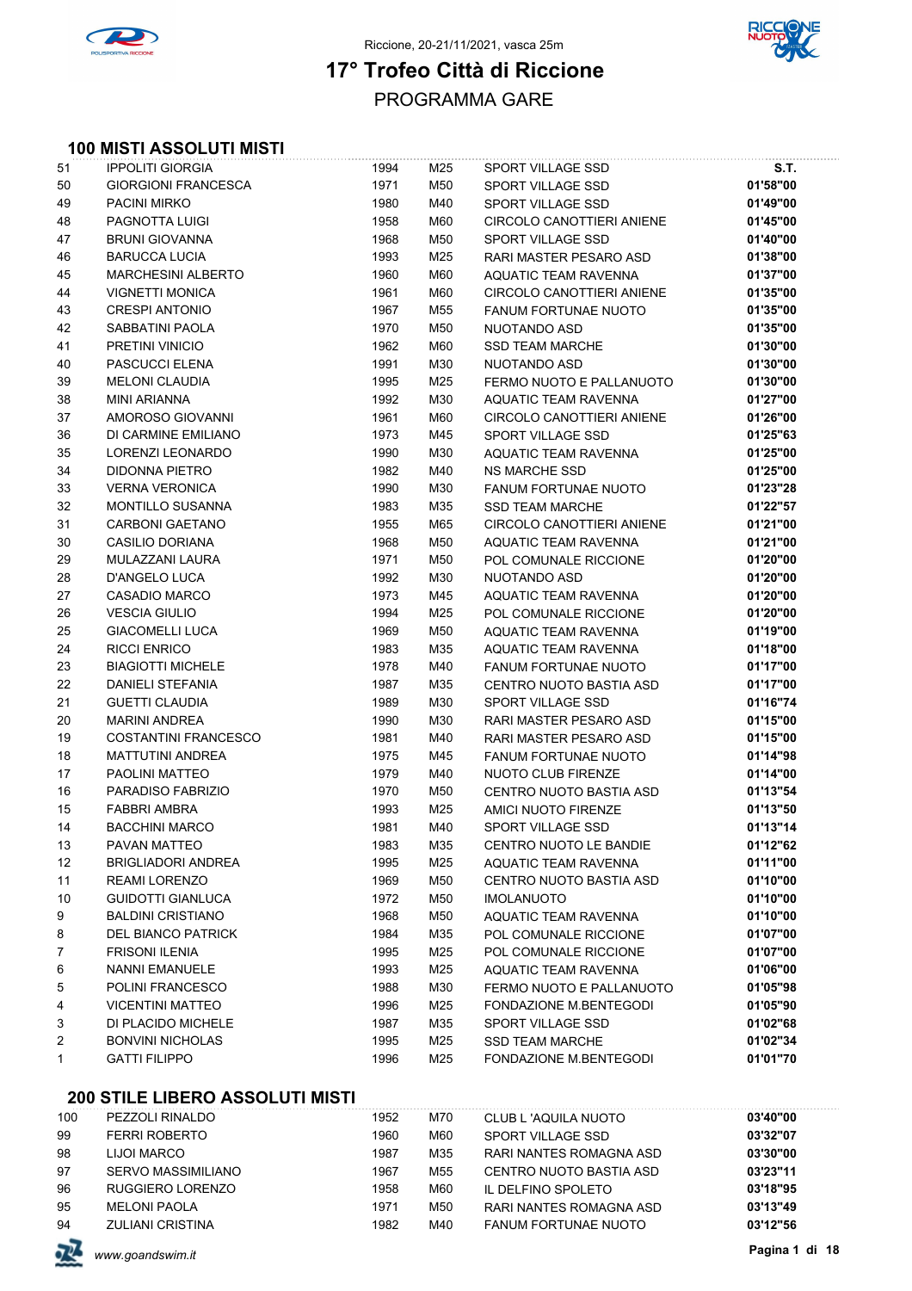



### PROGRAMMA GARE **17° Trofeo Città di Riccione**

#### **100 MISTI ASSOLUTI MISTI**

| 51 | <b>IPPOLITI GIORGIA</b>    | 1994 | M25 | SPORT VILLAGE SSD           | S.T.     |
|----|----------------------------|------|-----|-----------------------------|----------|
| 50 | <b>GIORGIONI FRANCESCA</b> | 1971 | M50 | SPORT VILLAGE SSD           | 01'58"00 |
| 49 | <b>PACINI MIRKO</b>        | 1980 | M40 | <b>SPORT VILLAGE SSD</b>    | 01'49"00 |
| 48 | PAGNOTTA LUIGI             | 1958 | M60 | CIRCOLO CANOTTIERI ANIENE   | 01'45"00 |
| 47 | <b>BRUNI GIOVANNA</b>      | 1968 | M50 | <b>SPORT VILLAGE SSD</b>    | 01'40"00 |
| 46 | <b>BARUCCA LUCIA</b>       | 1993 | M25 | RARI MASTER PESARO ASD      | 01'38"00 |
| 45 | <b>MARCHESINI ALBERTO</b>  | 1960 | M60 | AQUATIC TEAM RAVENNA        | 01'37"00 |
| 44 | <b>VIGNETTI MONICA</b>     | 1961 | M60 | CIRCOLO CANOTTIERI ANIENE   | 01'35"00 |
| 43 | <b>CRESPI ANTONIO</b>      | 1967 | M55 | <b>FANUM FORTUNAE NUOTO</b> | 01'35"00 |
| 42 | SABBATINI PAOLA            | 1970 | M50 | NUOTANDO ASD                | 01'35"00 |
| 41 | PRETINI VINICIO            | 1962 | M60 | <b>SSD TEAM MARCHE</b>      | 01'30"00 |
| 40 | PASCUCCI ELENA             | 1991 | M30 | NUOTANDO ASD                | 01'30"00 |
| 39 | <b>MELONI CLAUDIA</b>      | 1995 | M25 | FERMO NUOTO E PALLANUOTO    | 01'30"00 |
| 38 | <b>MINI ARIANNA</b>        | 1992 | M30 | AQUATIC TEAM RAVENNA        | 01'27"00 |
| 37 | AMOROSO GIOVANNI           | 1961 | M60 | CIRCOLO CANOTTIERI ANIENE   | 01'26"00 |
| 36 | DI CARMINE EMILIANO        | 1973 | M45 | SPORT VILLAGE SSD           | 01'25"63 |
| 35 | LORENZI LEONARDO           | 1990 | M30 | AQUATIC TEAM RAVENNA        | 01'25"00 |
| 34 | DIDONNA PIETRO             | 1982 | M40 | <b>NS MARCHE SSD</b>        | 01'25"00 |
| 33 | <b>VERNA VERONICA</b>      | 1990 | M30 | <b>FANUM FORTUNAE NUOTO</b> | 01'23"28 |
| 32 | <b>MONTILLO SUSANNA</b>    | 1983 | M35 | <b>SSD TEAM MARCHE</b>      | 01'22"57 |
| 31 | CARBONI GAETANO            | 1955 | M65 | CIRCOLO CANOTTIERI ANIENE   | 01'21"00 |
| 30 | <b>CASILIO DORIANA</b>     | 1968 | M50 | AQUATIC TEAM RAVENNA        | 01'21"00 |
| 29 | MULAZZANI LAURA            | 1971 | M50 | POL COMUNALE RICCIONE       | 01'20"00 |
| 28 | <b>D'ANGELO LUCA</b>       | 1992 | M30 | NUOTANDO ASD                | 01'20"00 |
| 27 | <b>CASADIO MARCO</b>       | 1973 | M45 | AQUATIC TEAM RAVENNA        | 01'20"00 |
| 26 | <b>VESCIA GIULIO</b>       | 1994 | M25 | POL COMUNALE RICCIONE       | 01'20"00 |
| 25 | <b>GIACOMELLI LUCA</b>     | 1969 | M50 | AQUATIC TEAM RAVENNA        | 01'19"00 |
| 24 | RICCI ENRICO               | 1983 | M35 | AQUATIC TEAM RAVENNA        | 01'18"00 |
| 23 | <b>BIAGIOTTI MICHELE</b>   | 1978 | M40 | FANUM FORTUNAE NUOTO        | 01'17"00 |
| 22 | <b>DANIELI STEFANIA</b>    | 1987 | M35 | CENTRO NUOTO BASTIA ASD     | 01'17"00 |
| 21 | <b>GUETTI CLAUDIA</b>      | 1989 | M30 | SPORT VILLAGE SSD           | 01'16"74 |
| 20 | <b>MARINI ANDREA</b>       | 1990 | M30 | RARI MASTER PESARO ASD      | 01'15"00 |
| 19 | COSTANTINI FRANCESCO       | 1981 | M40 | RARI MASTER PESARO ASD      | 01'15"00 |
| 18 | <b>MATTUTINI ANDREA</b>    | 1975 | M45 | <b>FANUM FORTUNAE NUOTO</b> | 01'14"98 |
| 17 | <b>PAOLINI MATTEO</b>      | 1979 | M40 | NUOTO CLUB FIRENZE          | 01'14"00 |
| 16 | PARADISO FABRIZIO          | 1970 | M50 | CENTRO NUOTO BASTIA ASD     | 01'13"54 |
| 15 | <b>FABBRI AMBRA</b>        | 1993 | M25 | AMICI NUOTO FIRENZE         | 01'13"50 |
| 14 | <b>BACCHINI MARCO</b>      | 1981 | M40 | SPORT VILLAGE SSD           | 01'13"14 |
| 13 | PAVAN MATTEO               | 1983 | M35 | CENTRO NUOTO LE BANDIE      | 01'12"62 |
| 12 | <b>BRIGLIADORI ANDREA</b>  | 1995 | M25 | AQUATIC TEAM RAVENNA        | 01'11"00 |
| 11 | <b>REAMI LORENZO</b>       | 1969 | M50 | CENTRO NUOTO BASTIA ASD     | 01'10"00 |
| 10 | GUIDOTTI GIANLUCA          | 1972 | M50 | <b>IMOLANUOTO</b>           | 01'10"00 |
| 9  | <b>BALDINI CRISTIANO</b>   | 1968 | M50 | AQUATIC TEAM RAVENNA        | 01'10"00 |
| 8  | <b>DEL BIANCO PATRICK</b>  | 1984 | M35 | POL COMUNALE RICCIONE       | 01'07"00 |
| 7  | <b>FRISONI ILENIA</b>      | 1995 | M25 | POL COMUNALE RICCIONE       | 01'07"00 |
| 6  | <b>NANNI EMANUELE</b>      | 1993 | M25 | AQUATIC TEAM RAVENNA        | 01'06"00 |
| 5  | POLINI FRANCESCO           | 1988 | M30 | FERMO NUOTO E PALLANUOTO    | 01'05"98 |
| 4  | <b>VICENTINI MATTEO</b>    | 1996 | M25 | FONDAZIONE M.BENTEGODI      | 01'05"90 |
| 3  | DI PLACIDO MICHELE         | 1987 | M35 | <b>SPORT VILLAGE SSD</b>    | 01'02"68 |
| 2  | <b>BONVINI NICHOLAS</b>    | 1995 | M25 | <b>SSD TEAM MARCHE</b>      | 01'02"34 |
| 1  | <b>GATTI FILIPPO</b>       | 1996 | M25 | FONDAZIONE M.BENTEGODI      | 01'01"70 |
|    |                            |      |     |                             |          |

| 100 | PEZZOLI RINALDO         | 1952 | M70 | CLUB L'AQUILA NUOTO         | 03'40"00 |
|-----|-------------------------|------|-----|-----------------------------|----------|
| 99  | <b>FERRI ROBERTO</b>    | 1960 | M60 | SPORT VILLAGE SSD           | 03'32"07 |
| 98  | LIJOI MARCO             | 1987 | M35 | RARI NANTES ROMAGNA ASD     | 03'30"00 |
| 97  | SERVO MASSIMILIANO      | 1967 | M55 | CENTRO NUOTO BASTIA ASD     | 03'23"11 |
| 96  | RUGGIERO LORENZO        | 1958 | M60 | IL DELFINO SPOLETO          | 03'18"95 |
| 95  | <b>MELONI PAOLA</b>     | 1971 | M50 | RARI NANTES ROMAGNA ASD     | 03'13"49 |
| 94  | <b>ZULIANI CRISTINA</b> | 1982 | M40 | <b>FANUM FORTUNAE NUOTO</b> | 03'12"56 |
|     |                         |      |     |                             |          |

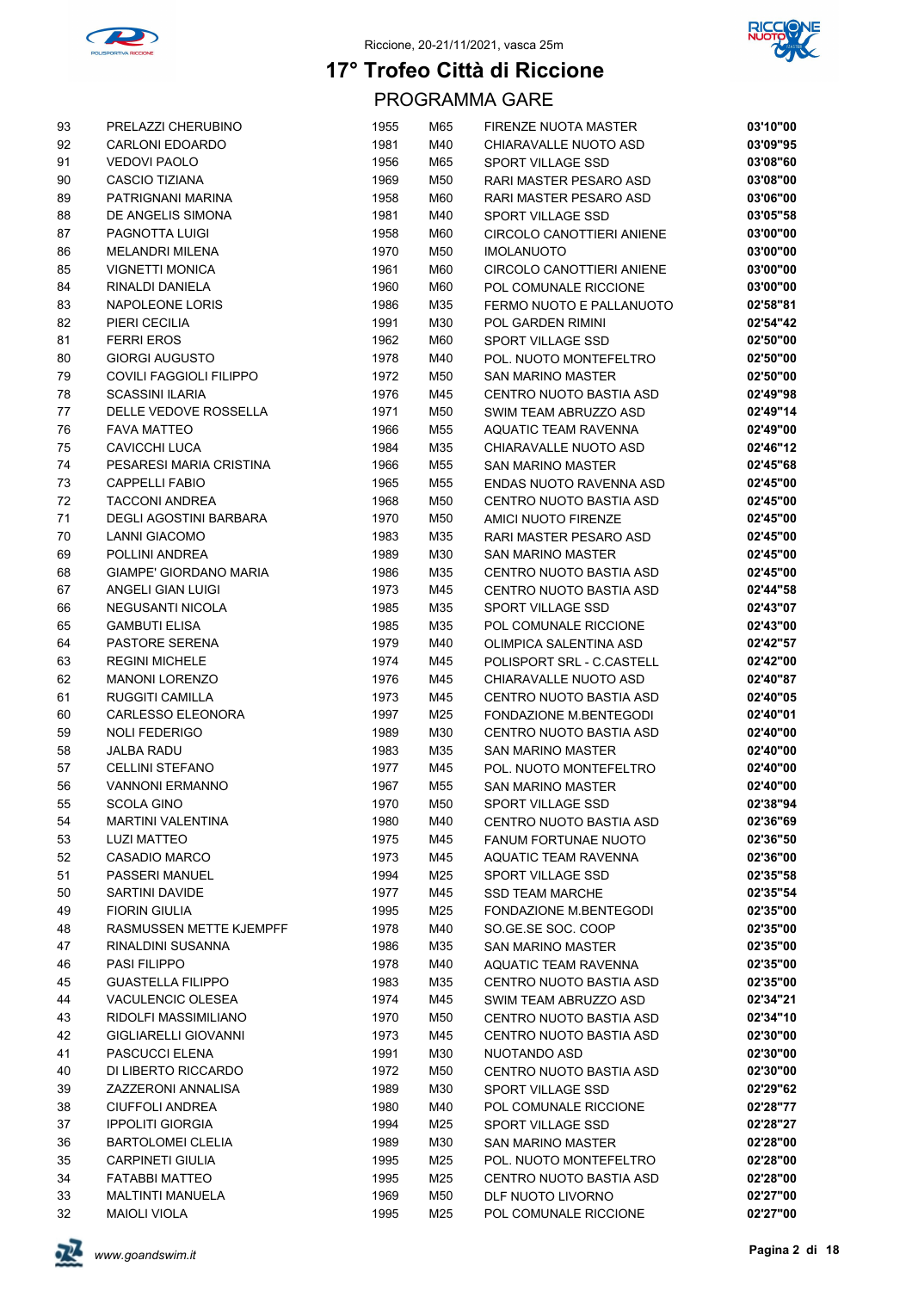



| 93 | PRELAZZI CHERUBINO             | 1955 | M65 | FIRENZE NUOTA MASTER        | 03'10"00             |
|----|--------------------------------|------|-----|-----------------------------|----------------------|
| 92 | CARLONI EDOARDO                | 1981 | M40 | CHIARAVALLE NUOTO ASD       | 03'09"95             |
| 91 | <b>VEDOVI PAOLO</b>            | 1956 | M65 | SPORT VILLAGE SSD           | 03'08"60             |
| 90 | <b>CASCIO TIZIANA</b>          | 1969 | M50 | RARI MASTER PESARO ASD      | 03'08"00             |
| 89 | PATRIGNANI MARINA              | 1958 | M60 | RARI MASTER PESARO ASD      | 03'06"00             |
| 88 | DE ANGELIS SIMONA              | 1981 | M40 | SPORT VILLAGE SSD           | 03'05"58             |
| 87 | PAGNOTTA LUIGI                 | 1958 | M60 | CIRCOLO CANOTTIERI ANIENE   | 03'00"00             |
| 86 | <b>MELANDRI MILENA</b>         | 1970 | M50 | <b>IMOLANUOTO</b>           | 03'00"00             |
| 85 | <b>VIGNETTI MONICA</b>         | 1961 | M60 | CIRCOLO CANOTTIERI ANIENE   | 03'00"00             |
| 84 | RINALDI DANIELA                | 1960 | M60 | POL COMUNALE RICCIONE       | 03'00"00             |
| 83 | NAPOLEONE LORIS                | 1986 | M35 | FERMO NUOTO E PALLANUOTO    | 02'58"81             |
| 82 | PIERI CECILIA                  | 1991 | M30 | POL GARDEN RIMINI           | 02'54"42             |
| 81 | <b>FERRI EROS</b>              | 1962 | M60 | SPORT VILLAGE SSD           | 02'50"00             |
| 80 | <b>GIORGI AUGUSTO</b>          | 1978 | M40 | POL. NUOTO MONTEFELTRO      | 02'50"00             |
| 79 | <b>COVILI FAGGIOLI FILIPPO</b> | 1972 | M50 | <b>SAN MARINO MASTER</b>    | 02'50"00             |
| 78 | <b>SCASSINI ILARIA</b>         | 1976 | M45 | CENTRO NUOTO BASTIA ASD     | 02'49"98             |
| 77 | DELLE VEDOVE ROSSELLA          | 1971 | M50 | SWIM TEAM ABRUZZO ASD       | 02'49"14             |
| 76 | <b>FAVA MATTEO</b>             | 1966 | M55 | AQUATIC TEAM RAVENNA        | 02'49"00             |
| 75 | CAVICCHI LUCA                  | 1984 | M35 | CHIARAVALLE NUOTO ASD       | 02'46"12             |
| 74 | PESARESI MARIA CRISTINA        | 1966 | M55 | <b>SAN MARINO MASTER</b>    | 02'45"68             |
| 73 | <b>CAPPELLI FABIO</b>          | 1965 | M55 | ENDAS NUOTO RAVENNA ASD     | 02'45"00             |
| 72 | <b>TACCONI ANDREA</b>          | 1968 | M50 | CENTRO NUOTO BASTIA ASD     | 02'45"00             |
| 71 | <b>DEGLI AGOSTINI BARBARA</b>  | 1970 | M50 | AMICI NUOTO FIRENZE         | 02'45"00             |
| 70 | <b>LANNI GIACOMO</b>           | 1983 | M35 | RARI MASTER PESARO ASD      | 02'45"00             |
| 69 | POLLINI ANDREA                 | 1989 | M30 | <b>SAN MARINO MASTER</b>    | 02'45"00             |
| 68 | GIAMPE' GIORDANO MARIA         | 1986 | M35 | CENTRO NUOTO BASTIA ASD     | 02'45"00             |
| 67 | ANGELI GIAN LUIGI              | 1973 | M45 | CENTRO NUOTO BASTIA ASD     | 02'44"58             |
| 66 | NEGUSANTI NICOLA               | 1985 | M35 | SPORT VILLAGE SSD           | 02'43"07             |
| 65 | <b>GAMBUTI ELISA</b>           | 1985 | M35 | POL COMUNALE RICCIONE       | 02'43"00             |
| 64 | PASTORE SERENA                 | 1979 | M40 | OLIMPICA SALENTINA ASD      | 02'42"57             |
| 63 | <b>REGINI MICHELE</b>          | 1974 | M45 | POLISPORT SRL - C.CASTELL   | 02'42"00             |
| 62 | <b>MANONI LORENZO</b>          | 1976 | M45 | CHIARAVALLE NUOTO ASD       | 02'40"87             |
| 61 | <b>RUGGITI CAMILLA</b>         | 1973 | M45 | CENTRO NUOTO BASTIA ASD     | 02'40"05             |
| 60 | CARLESSO ELEONORA              | 1997 | M25 | FONDAZIONE M.BENTEGODI      | 02'40"01             |
| 59 | <b>NOLI FEDERIGO</b>           | 1989 | M30 | CENTRO NUOTO BASTIA ASD     | 02'40"00             |
| 58 | <b>JALBA RADU</b>              | 1983 | M35 | <b>SAN MARINO MASTER</b>    | 02'40"00             |
| 57 | <b>CELLINI STEFANO</b>         | 1977 | M45 | POL. NUOTO MONTEFELTRO      | 02'40"00             |
| 56 | <b>VANNONI ERMANNO</b>         | 1967 | M55 | <b>SAN MARINO MASTER</b>    | 02'40"00             |
| 55 | SCOLA GINO                     | 1970 | M50 | SPORT VILLAGE SSD           | 02'38"94             |
| 54 | <b>MARTINI VALENTINA</b>       | 1980 | M40 | CENTRO NUOTO BASTIA ASD     | 02'36"69             |
| 53 | <b>LUZI MATTEO</b>             | 1975 | M45 | <b>FANUM FORTUNAE NUOTO</b> | 02'36"50             |
| 52 | <b>CASADIO MARCO</b>           | 1973 | M45 | AQUATIC TEAM RAVENNA        | 02'36"00             |
| 51 | PASSERI MANUEL                 | 1994 | M25 | <b>SPORT VILLAGE SSD</b>    | 02'35"58             |
| 50 | SARTINI DAVIDE                 | 1977 | M45 | <b>SSD TEAM MARCHE</b>      | 02'35"54             |
| 49 | <b>FIORIN GIULIA</b>           | 1995 | M25 | FONDAZIONE M.BENTEGODI      | 02'35"00             |
| 48 | RASMUSSEN METTE KJEMPFF        | 1978 | M40 | SO.GE.SE SOC. COOP          | 02'35"00             |
| 47 | RINALDINI SUSANNA              | 1986 | M35 | <b>SAN MARINO MASTER</b>    | 02'35"00             |
| 46 | <b>PASI FILIPPO</b>            | 1978 | M40 | AQUATIC TEAM RAVENNA        | 02'35"00             |
| 45 | <b>GUASTELLA FILIPPO</b>       | 1983 | M35 | CENTRO NUOTO BASTIA ASD     | 02'35"00             |
| 44 | VACULENCIC OLESEA              | 1974 | M45 | SWIM TEAM ABRUZZO ASD       | 02'34"21             |
| 43 | RIDOLFI MASSIMILIANO           | 1970 | M50 | CENTRO NUOTO BASTIA ASD     | 02'34"10             |
| 42 | <b>GIGLIARELLI GIOVANNI</b>    | 1973 | M45 | CENTRO NUOTO BASTIA ASD     | 02'30"00             |
| 41 | PASCUCCI ELENA                 | 1991 | M30 | NUOTANDO ASD                | 02'30"00             |
| 40 | DI LIBERTO RICCARDO            | 1972 | M50 | CENTRO NUOTO BASTIA ASD     | 02'30"00             |
| 39 | ZAZZERONI ANNALISA             | 1989 | M30 | SPORT VILLAGE SSD           | 02'29"62             |
| 38 | <b>CIUFFOLI ANDREA</b>         | 1980 | M40 | POL COMUNALE RICCIONE       | 02'28"77             |
| 37 | <b>IPPOLITI GIORGIA</b>        | 1994 | M25 | SPORT VILLAGE SSD           | 02'28"27             |
| 36 | <b>BARTOLOMEI CLELIA</b>       | 1989 | M30 | SAN MARINO MASTER           | 02'28"00             |
| 35 | <b>CARPINETI GIULIA</b>        | 1995 | M25 | POL. NUOTO MONTEFELTRO      | 02'28"00             |
| 34 | <b>FATABBI MATTEO</b>          | 1995 | M25 | CENTRO NUOTO BASTIA ASD     | 02'28"00             |
| 33 | <b>MALTINTI MANUELA</b>        | 1969 | M50 | DLF NUOTO LIVORNO           | 02'27"00<br>02'27"00 |
| 32 | <b>MAIOLI VIOLA</b>            | 1995 | M25 | POL COMUNALE RICCIONE       |                      |

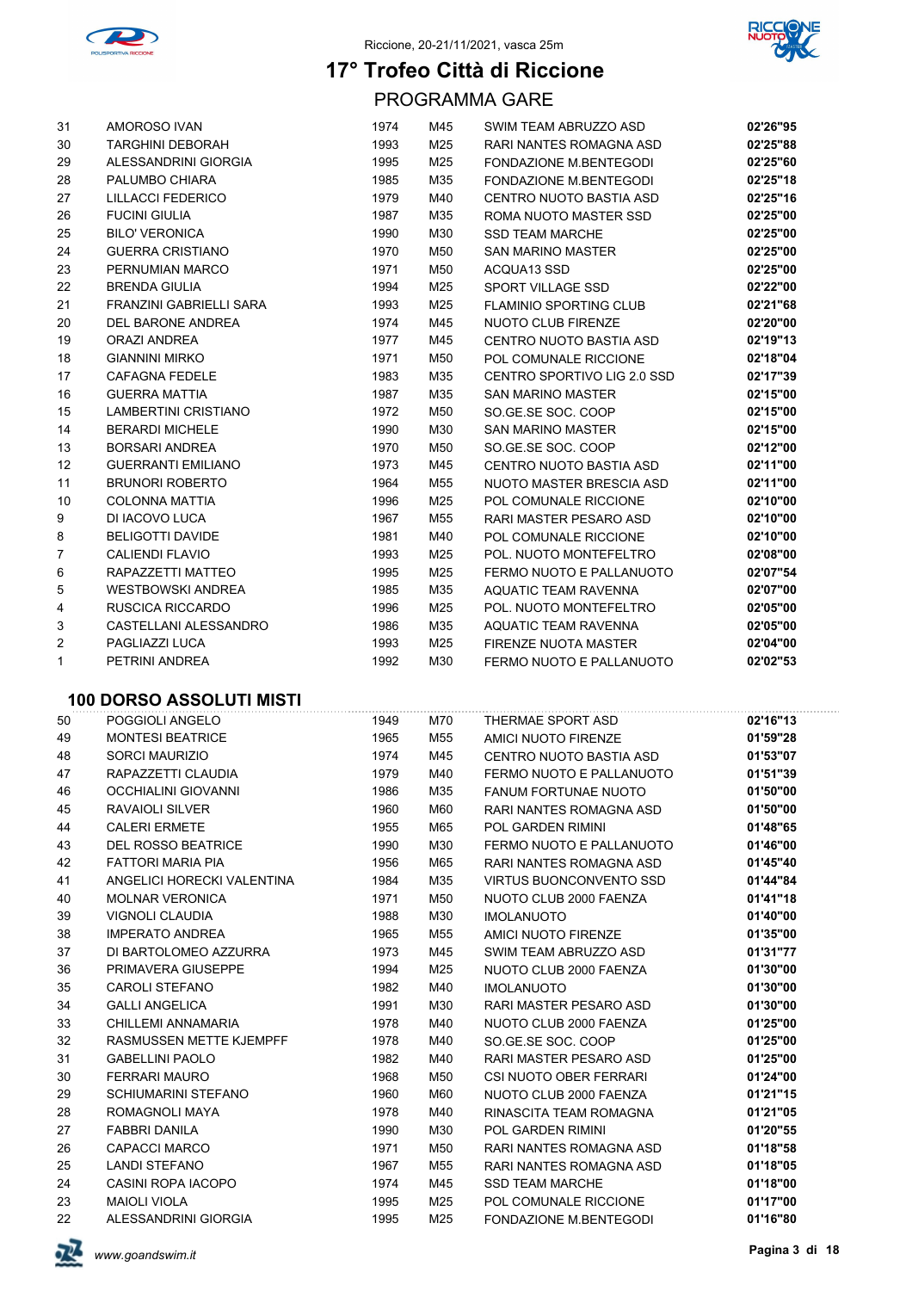



PROGRAMMA GARE

| 31             | AMOROSO IVAN                | 1974 | M45 | SWIM TEAM ABRUZZO ASD           | 02'26"95 |
|----------------|-----------------------------|------|-----|---------------------------------|----------|
| 30             | <b>TARGHINI DEBORAH</b>     | 1993 | M25 | RARI NANTES ROMAGNA ASD         | 02'25"88 |
| 29             | ALESSANDRINI GIORGIA        | 1995 | M25 | FONDAZIONE M.BENTEGODI          | 02'25"60 |
| 28             | PALUMBO CHIARA              | 1985 | M35 | FONDAZIONE M.BENTEGODI          | 02'25"18 |
| 27             | <b>LILLACCI FEDERICO</b>    | 1979 | M40 | CENTRO NUOTO BASTIA ASD         | 02'25"16 |
| 26             | <b>FUCINI GIULIA</b>        | 1987 | M35 | ROMA NUOTO MASTER SSD           | 02'25"00 |
| 25             | <b>BILO' VERONICA</b>       | 1990 | M30 | <b>SSD TEAM MARCHE</b>          | 02'25"00 |
| 24             | <b>GUERRA CRISTIANO</b>     | 1970 | M50 | <b>SAN MARINO MASTER</b>        | 02'25"00 |
| 23             | PERNUMIAN MARCO             | 1971 | M50 | ACQUA13 SSD                     | 02'25"00 |
| 22             | <b>BRENDA GIULIA</b>        | 1994 | M25 | SPORT VILLAGE SSD               | 02'22"00 |
| 21             | FRANZINI GABRIELLI SARA     | 1993 | M25 | <b>FLAMINIO SPORTING CLUB</b>   | 02'21"68 |
| 20             | DEL BARONE ANDREA           | 1974 | M45 | <b>NUOTO CLUB FIRENZE</b>       | 02'20"00 |
| 19             | ORAZI ANDREA                | 1977 | M45 | CENTRO NUOTO BASTIA ASD         | 02'19"13 |
| 18             | <b>GIANNINI MIRKO</b>       | 1971 | M50 | POL COMUNALE RICCIONE           | 02'18"04 |
| 17             | <b>CAFAGNA FEDELE</b>       | 1983 | M35 | CENTRO SPORTIVO LIG 2.0 SSD     | 02'17"39 |
| 16             | <b>GUERRA MATTIA</b>        | 1987 | M35 | <b>SAN MARINO MASTER</b>        | 02'15"00 |
| 15             | <b>LAMBERTINI CRISTIANO</b> | 1972 | M50 | SO.GE.SE SOC. COOP              | 02'15"00 |
| 14             | <b>BERARDI MICHELE</b>      | 1990 | M30 | <b>SAN MARINO MASTER</b>        | 02'15"00 |
| 13             | <b>BORSARI ANDREA</b>       | 1970 | M50 | SO.GE.SE SOC. COOP              | 02'12"00 |
| 12             | <b>GUERRANTI EMILIANO</b>   | 1973 | M45 | CENTRO NUOTO BASTIA ASD         | 02'11"00 |
| 11             | <b>BRUNORI ROBERTO</b>      | 1964 | M55 | <b>NUOTO MASTER BRESCIA ASD</b> | 02'11"00 |
| 10             | <b>COLONNA MATTIA</b>       | 1996 | M25 | POL COMUNALE RICCIONE           | 02'10"00 |
| 9              | DI IACOVO LUCA              | 1967 | M55 | RARI MASTER PESARO ASD          | 02'10"00 |
| 8              | <b>BELIGOTTI DAVIDE</b>     | 1981 | M40 | POL COMUNALE RICCIONE           | 02'10"00 |
| $\overline{7}$ | <b>CALIENDI FLAVIO</b>      | 1993 | M25 | POL. NUOTO MONTEFELTRO          | 02'08"00 |
| 6              | RAPAZZETTI MATTEO           | 1995 | M25 | FERMO NUOTO E PALLANUOTO        | 02'07"54 |
| 5              | <b>WESTBOWSKI ANDREA</b>    | 1985 | M35 | <b>AQUATIC TEAM RAVENNA</b>     | 02'07"00 |
| 4              | RUSCICA RICCARDO            | 1996 | M25 | POL. NUOTO MONTEFELTRO          | 02'05"00 |
| 3              | CASTELLANI ALESSANDRO       | 1986 | M35 | <b>AQUATIC TEAM RAVENNA</b>     | 02'05"00 |
| 2              | PAGLIAZZI LUCA              | 1993 | M25 | FIRENZE NUOTA MASTER            | 02'04"00 |
| 1              | PETRINI ANDREA              | 1992 | M30 | FERMO NUOTO E PALLANUOTO        | 02'02"53 |

### **100 DORSO ASSOLUTI MISTI**

| 50 | POGGIOLI ANGELO            | 1949 | M70 | THERMAE SPORT ASD              | 02'16"13 |
|----|----------------------------|------|-----|--------------------------------|----------|
| 49 | <b>MONTESI BEATRICE</b>    | 1965 | M55 | AMICI NUOTO FIRENZE            | 01'59"28 |
| 48 | SORCI MAURIZIO             | 1974 | M45 | CENTRO NUOTO BASTIA ASD        | 01'53"07 |
| 47 | RAPAZZETTI CLAUDIA         | 1979 | M40 | FERMO NUOTO E PALLANUOTO       | 01'51"39 |
| 46 | <b>OCCHIALINI GIOVANNI</b> | 1986 | M35 | <b>FANUM FORTUNAE NUOTO</b>    | 01'50"00 |
| 45 | <b>RAVAIOLI SILVER</b>     | 1960 | M60 | RARI NANTES ROMAGNA ASD        | 01'50"00 |
| 44 | <b>CALERI ERMETE</b>       | 1955 | M65 | <b>POL GARDEN RIMINI</b>       | 01'48"65 |
| 43 | DEL ROSSO BEATRICE         | 1990 | M30 | FERMO NUOTO E PALLANUOTO       | 01'46"00 |
| 42 | <b>FATTORI MARIA PIA</b>   | 1956 | M65 | RARI NANTES ROMAGNA ASD        | 01'45"40 |
| 41 | ANGELICI HORECKI VALENTINA | 1984 | M35 | <b>VIRTUS BUONCONVENTO SSD</b> | 01'44"84 |
| 40 | <b>MOLNAR VERONICA</b>     | 1971 | M50 | NUOTO CLUB 2000 FAENZA         | 01'41"18 |
| 39 | <b>VIGNOLI CLAUDIA</b>     | 1988 | M30 | <b>IMOLANUOTO</b>              | 01'40"00 |
| 38 | <b>IMPERATO ANDREA</b>     | 1965 | M55 | AMICI NUOTO FIRENZE            | 01'35"00 |
| 37 | DI BARTOLOMEO AZZURRA      | 1973 | M45 | SWIM TEAM ABRUZZO ASD          | 01'31"77 |
| 36 | PRIMAVERA GIUSEPPE         | 1994 | M25 | NUOTO CLUB 2000 FAENZA         | 01'30"00 |
| 35 | CAROLI STEFANO             | 1982 | M40 | <b>IMOLANUOTO</b>              | 01'30"00 |
| 34 | <b>GALLI ANGELICA</b>      | 1991 | M30 | RARI MASTER PESARO ASD         | 01'30"00 |
| 33 | CHILLEMI ANNAMARIA         | 1978 | M40 | NUOTO CLUB 2000 FAENZA         | 01'25"00 |
| 32 | RASMUSSEN METTE KJEMPFF    | 1978 | M40 | SO.GE.SE SOC. COOP             | 01'25"00 |
| 31 | <b>GABELLINI PAOLO</b>     | 1982 | M40 | RARI MASTER PESARO ASD         | 01'25"00 |
| 30 | <b>FERRARI MAURO</b>       | 1968 | M50 | CSI NUOTO OBER FERRARI         | 01'24"00 |
| 29 | <b>SCHIUMARINI STEFANO</b> | 1960 | M60 | NUOTO CLUB 2000 FAENZA         | 01'21"15 |
| 28 | ROMAGNOLI MAYA             | 1978 | M40 | RINASCITA TEAM ROMAGNA         | 01'21"05 |
| 27 | <b>FABBRI DANILA</b>       | 1990 | M30 | <b>POL GARDEN RIMINI</b>       | 01'20"55 |
| 26 | <b>CAPACCI MARCO</b>       | 1971 | M50 | RARI NANTES ROMAGNA ASD        | 01'18"58 |
| 25 | <b>LANDI STEFANO</b>       | 1967 | M55 | RARI NANTES ROMAGNA ASD        | 01'18"05 |
| 24 | CASINI ROPA IACOPO         | 1974 | M45 | <b>SSD TEAM MARCHE</b>         | 01'18"00 |
| 23 | <b>MAIOLI VIOLA</b>        | 1995 | M25 | POL COMUNALE RICCIONE          | 01'17"00 |
| 22 | ALESSANDRINI GIORGIA       | 1995 | M25 | <b>FONDAZIONE M.BENTEGODI</b>  | 01'16"80 |

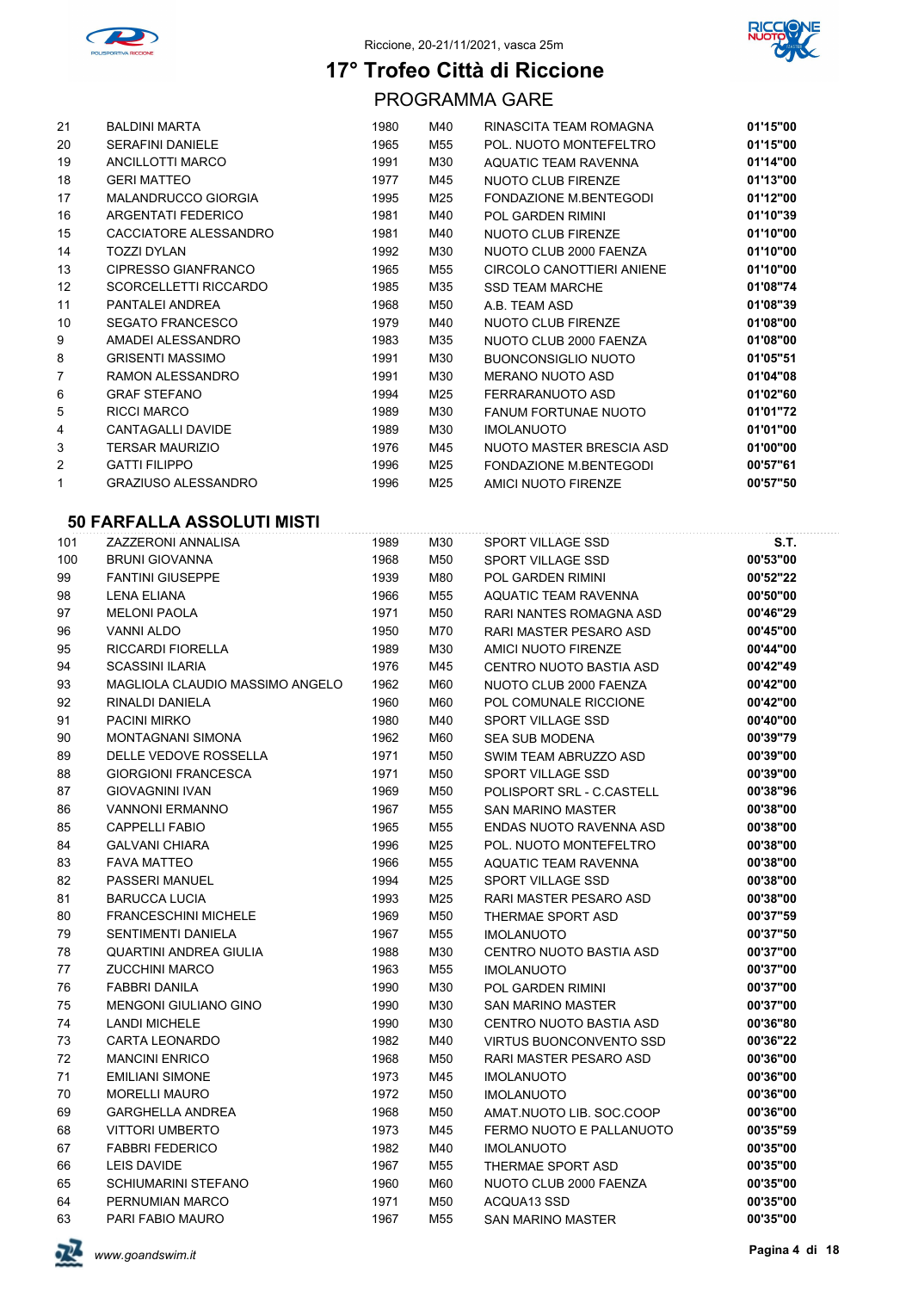



PROGRAMMA GARE

| 21 | <b>BALDINI MARTA</b>       | 1980 | M40 | RINASCITA TEAM ROMAGNA        | 01'15"00 |
|----|----------------------------|------|-----|-------------------------------|----------|
| 20 | <b>SERAFINI DANIELE</b>    | 1965 | M55 | POL. NUOTO MONTEFELTRO        | 01'15"00 |
| 19 | ANCILLOTTI MARCO           | 1991 | M30 | AQUATIC TEAM RAVENNA          | 01'14"00 |
| 18 | <b>GERI MATTEO</b>         | 1977 | M45 | <b>NUOTO CLUB FIRENZE</b>     | 01'13"00 |
| 17 | <b>MALANDRUCCO GIORGIA</b> | 1995 | M25 | FONDAZIONE M.BENTEGODI        | 01'12"00 |
| 16 | <b>ARGENTATI FEDERICO</b>  | 1981 | M40 | <b>POL GARDEN RIMINI</b>      | 01'10"39 |
| 15 | CACCIATORE ALESSANDRO      | 1981 | M40 | NUOTO CLUB FIRENZE            | 01'10"00 |
| 14 | <b>TOZZI DYLAN</b>         | 1992 | M30 | NUOTO CLUB 2000 FAENZA        | 01'10"00 |
| 13 | CIPRESSO GIANFRANCO        | 1965 | M55 | CIRCOLO CANOTTIERI ANIENE     | 01'10"00 |
| 12 | SCORCELLETTI RICCARDO      | 1985 | M35 | <b>SSD TEAM MARCHE</b>        | 01'08"74 |
| 11 | PANTALEI ANDREA            | 1968 | M50 | A.B. TEAM ASD                 | 01'08"39 |
| 10 | <b>SEGATO FRANCESCO</b>    | 1979 | M40 | NUOTO CLUB FIRENZE            | 01'08"00 |
| 9  | AMADEI ALESSANDRO          | 1983 | M35 | NUOTO CLUB 2000 FAENZA        | 01'08"00 |
| 8  | <b>GRISENTI MASSIMO</b>    | 1991 | M30 | <b>BUONCONSIGLIO NUOTO</b>    | 01'05"51 |
| 7  | RAMON ALESSANDRO           | 1991 | M30 | <b>MERANO NUOTO ASD</b>       | 01'04"08 |
| 6  | <b>GRAF STEFANO</b>        | 1994 | M25 | FERRARANUOTO ASD              | 01'02"60 |
| 5  | <b>RICCI MARCO</b>         | 1989 | M30 | <b>FANUM FORTUNAE NUOTO</b>   | 01'01"72 |
| 4  | CANTAGALLI DAVIDE          | 1989 | M30 | <b>IMOLANUOTO</b>             | 01'01"00 |
| 3  | <b>TERSAR MAURIZIO</b>     | 1976 | M45 | NUOTO MASTER BRESCIA ASD      | 01'00"00 |
| 2  | <b>GATTI FILIPPO</b>       | 1996 | M25 | <b>FONDAZIONE M.BENTEGODI</b> | 00'57"61 |
| 1  | <b>GRAZIUSO ALESSANDRO</b> | 1996 | M25 | <b>AMICI NUOTO FIRENZE</b>    | 00'57"50 |

### **50 FARFALLA ASSOLUTI MISTI**

| 101 | ZAZZERONI ANNALISA              | 1989 | M30 | SPORT VILLAGE SSD              | <b>S.T.</b> |
|-----|---------------------------------|------|-----|--------------------------------|-------------|
| 100 | <b>BRUNI GIOVANNA</b>           | 1968 | M50 | SPORT VILLAGE SSD              | 00'53"00    |
| 99  | <b>FANTINI GIUSEPPE</b>         | 1939 | M80 | <b>POL GARDEN RIMINI</b>       | 00'52"22    |
| 98  | <b>LENA ELIANA</b>              | 1966 | M55 | <b>AQUATIC TEAM RAVENNA</b>    | 00'50"00    |
| 97  | <b>MELONI PAOLA</b>             | 1971 | M50 | RARI NANTES ROMAGNA ASD        | 00'46"29    |
| 96  | <b>VANNI ALDO</b>               | 1950 | M70 | RARI MASTER PESARO ASD         | 00'45"00    |
| 95  | RICCARDI FIORELLA               | 1989 | M30 | AMICI NUOTO FIRENZE            | 00'44"00    |
| 94  | <b>SCASSINI ILARIA</b>          | 1976 | M45 | <b>CENTRO NUOTO BASTIA ASD</b> | 00'42"49    |
| 93  | MAGLIOLA CLAUDIO MASSIMO ANGELO | 1962 | M60 | NUOTO CLUB 2000 FAENZA         | 00'42"00    |
| 92  | RINALDI DANIELA                 | 1960 | M60 | POL COMUNALE RICCIONE          | 00'42"00    |
| 91  | <b>PACINI MIRKO</b>             | 1980 | M40 | SPORT VILLAGE SSD              | 00'40"00    |
| 90  | <b>MONTAGNANI SIMONA</b>        | 1962 | M60 | <b>SEA SUB MODENA</b>          | 00'39"79    |
| 89  | DELLE VEDOVE ROSSELLA           | 1971 | M50 | SWIM TEAM ABRUZZO ASD          | 00'39"00    |
| 88  | <b>GIORGIONI FRANCESCA</b>      | 1971 | M50 | SPORT VILLAGE SSD              | 00'39"00    |
| 87  | <b>GIOVAGNINI IVAN</b>          | 1969 | M50 | POLISPORT SRL - C.CASTELL      | 00'38"96    |
| 86  | <b>VANNONI ERMANNO</b>          | 1967 | M55 | <b>SAN MARINO MASTER</b>       | 00'38"00    |
| 85  | <b>CAPPELLI FABIO</b>           | 1965 | M55 | ENDAS NUOTO RAVENNA ASD        | 00'38"00    |
| 84  | <b>GALVANI CHIARA</b>           | 1996 | M25 | POL. NUOTO MONTEFELTRO         | 00'38"00    |
| 83  | <b>FAVA MATTEO</b>              | 1966 | M55 | <b>AQUATIC TEAM RAVENNA</b>    | 00'38"00    |
| 82  | PASSERI MANUEL                  | 1994 | M25 | SPORT VILLAGE SSD              | 00'38"00    |
| 81  | <b>BARUCCA LUCIA</b>            | 1993 | M25 | RARI MASTER PESARO ASD         | 00'38"00    |
| 80  | <b>FRANCESCHINI MICHELE</b>     | 1969 | M50 | THERMAE SPORT ASD              | 00'37"59    |
| 79  | <b>SENTIMENTI DANIELA</b>       | 1967 | M55 | <b>IMOLANUOTO</b>              | 00'37"50    |
| 78  | QUARTINI ANDREA GIULIA          | 1988 | M30 | <b>CENTRO NUOTO BASTIA ASD</b> | 00'37"00    |
| 77  | <b>ZUCCHINI MARCO</b>           | 1963 | M55 | <b>IMOLANUOTO</b>              | 00'37"00    |
| 76  | <b>FABBRI DANILA</b>            | 1990 | M30 | <b>POL GARDEN RIMINI</b>       | 00'37"00    |
| 75  | <b>MENGONI GIULIANO GINO</b>    | 1990 | M30 | <b>SAN MARINO MASTER</b>       | 00'37"00    |
| 74  | <b>LANDI MICHELE</b>            | 1990 | M30 | CENTRO NUOTO BASTIA ASD        | 00'36"80    |
| 73  | <b>CARTA LEONARDO</b>           | 1982 | M40 | <b>VIRTUS BUONCONVENTO SSD</b> | 00'36"22    |
| 72  | <b>MANCINI ENRICO</b>           | 1968 | M50 | RARI MASTER PESARO ASD         | 00'36"00    |
| 71  | <b>EMILIANI SIMONE</b>          | 1973 | M45 | <b>IMOLANUOTO</b>              | 00'36"00    |
| 70  | <b>MORELLI MAURO</b>            | 1972 | M50 | <b>IMOLANUOTO</b>              | 00'36"00    |
| 69  | <b>GARGHELLA ANDREA</b>         | 1968 | M50 | AMAT.NUOTO LIB. SOC.COOP       | 00'36"00    |
| 68  | <b>VITTORI UMBERTO</b>          | 1973 | M45 | FERMO NUOTO E PALLANUOTO       | 00'35"59    |
| 67  | <b>FABBRI FEDERICO</b>          | 1982 | M40 | <b>IMOLANUOTO</b>              | 00'35"00    |
| 66  | LEIS DAVIDE                     | 1967 | M55 | THERMAE SPORT ASD              | 00'35"00    |
| 65  | <b>SCHIUMARINI STEFANO</b>      | 1960 | M60 | NUOTO CLUB 2000 FAENZA         | 00'35"00    |
| 64  | PERNUMIAN MARCO                 | 1971 | M50 | ACQUA13 SSD                    | 00'35"00    |
| 63  | PARI FABIO MAURO                | 1967 | M55 | <b>SAN MARINO MASTER</b>       | 00'35"00    |

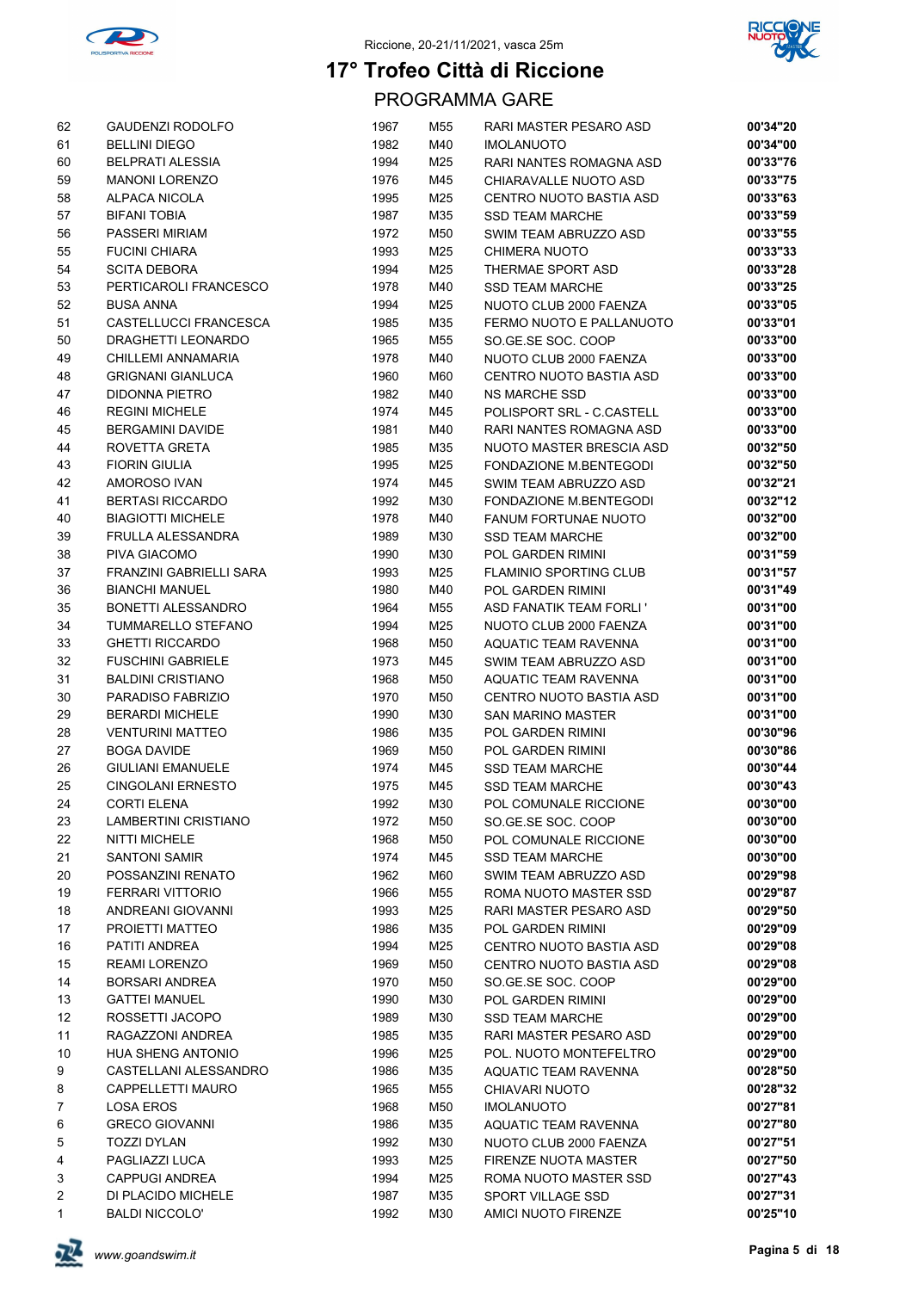



| 62                | GAUDENZI RODOLFO                                   | 1967         | M55        | RARI MASTER PESARO ASD                         | 00'34"20             |
|-------------------|----------------------------------------------------|--------------|------------|------------------------------------------------|----------------------|
| 61                | <b>BELLINI DIEGO</b>                               | 1982         | M40        | <b>IMOLANUOTO</b>                              | 00'34"00             |
| 60                | <b>BELPRATI ALESSIA</b>                            | 1994         | M25        | RARI NANTES ROMAGNA ASD                        | 00'33"76             |
| 59                | <b>MANONI LORENZO</b>                              | 1976         | M45        | CHIARAVALLE NUOTO ASD                          | 00'33"75             |
| 58                | ALPACA NICOLA                                      | 1995         | M25        | CENTRO NUOTO BASTIA ASD                        | 00'33"63             |
| 57                | <b>BIFANI TOBIA</b>                                | 1987         | M35        | <b>SSD TEAM MARCHE</b>                         | 00'33"59             |
| 56                | <b>PASSERI MIRIAM</b>                              | 1972         | M50        | SWIM TEAM ABRUZZO ASD                          | 00'33"55             |
| 55                | <b>FUCINI CHIARA</b>                               | 1993         | M25        | <b>CHIMERA NUOTO</b>                           | 00'33"33             |
| 54                | <b>SCITA DEBORA</b>                                | 1994         | M25        | THERMAE SPORT ASD                              | 00'33"28             |
| 53                | PERTICAROLI FRANCESCO                              | 1978         | M40        | <b>SSD TEAM MARCHE</b>                         | 00'33"25             |
| 52                | <b>BUSA ANNA</b>                                   | 1994         | M25        | NUOTO CLUB 2000 FAENZA                         | 00'33"05             |
| 51                | CASTELLUCCI FRANCESCA                              | 1985         | M35        | FERMO NUOTO E PALLANUOTO                       | 00'33"01             |
| 50                | DRAGHETTI LEONARDO                                 | 1965         | M55        | SO.GE.SE SOC. COOP                             | 00'33"00             |
| 49                | CHILLEMI ANNAMARIA                                 | 1978         | M40        | NUOTO CLUB 2000 FAENZA                         | 00'33"00             |
| 48                | <b>GRIGNANI GIANLUCA</b>                           | 1960         | M60        | CENTRO NUOTO BASTIA ASD                        | 00'33"00             |
| 47                | DIDONNA PIETRO                                     | 1982         | M40        | <b>NS MARCHE SSD</b>                           | 00'33"00             |
| 46                | <b>REGINI MICHELE</b>                              | 1974         | M45        | POLISPORT SRL - C.CASTELL                      | 00'33"00             |
| 45                | <b>BERGAMINI DAVIDE</b>                            | 1981         | M40        | RARI NANTES ROMAGNA ASD                        | 00'33"00             |
| 44                | ROVETTA GRETA                                      | 1985         | M35        | NUOTO MASTER BRESCIA ASD                       | 00'32"50             |
| 43                | <b>FIORIN GIULIA</b>                               | 1995         | M25        | FONDAZIONE M.BENTEGODI                         | 00'32"50             |
| 42                | AMOROSO IVAN                                       | 1974         | M45        | SWIM TEAM ABRUZZO ASD                          | 00'32"21             |
| 41                | <b>BERTASI RICCARDO</b>                            | 1992         | M30        | FONDAZIONE M.BENTEGODI                         | 00'32"12             |
| 40                | <b>BIAGIOTTI MICHELE</b>                           | 1978         | M40        | FANUM FORTUNAE NUOTO                           | 00'32"00             |
| 39                | <b>FRULLA ALESSANDRA</b>                           | 1989         | M30        | <b>SSD TEAM MARCHE</b>                         | 00'32"00             |
| 38                | PIVA GIACOMO                                       | 1990         | M30        | <b>POL GARDEN RIMINI</b>                       | 00'31"59             |
| 37                | FRANZINI GABRIELLI SARA                            | 1993         | M25        | <b>FLAMINIO SPORTING CLUB</b>                  | 00'31"57             |
| 36                | <b>BIANCHI MANUEL</b>                              | 1980         | M40        | POL GARDEN RIMINI                              | 00'31"49             |
| 35                | <b>BONETTI ALESSANDRO</b>                          | 1964         | M55        | ASD FANATIK TEAM FORLI'                        | 00'31"00             |
| 34                | TUMMARELLO STEFANO                                 | 1994         | M25        | NUOTO CLUB 2000 FAENZA                         | 00'31"00<br>00'31"00 |
| 33<br>32          | <b>GHETTI RICCARDO</b><br><b>FUSCHINI GABRIELE</b> | 1968<br>1973 | M50<br>M45 | AQUATIC TEAM RAVENNA<br>SWIM TEAM ABRUZZO ASD  | 00'31"00             |
| 31                | <b>BALDINI CRISTIANO</b>                           | 1968         | M50        | AQUATIC TEAM RAVENNA                           | 00'31"00             |
| 30                | PARADISO FABRIZIO                                  | 1970         | M50        | CENTRO NUOTO BASTIA ASD                        | 00'31"00             |
| 29                | <b>BERARDI MICHELE</b>                             | 1990         | M30        | <b>SAN MARINO MASTER</b>                       | 00'31"00             |
| 28                | <b>VENTURINI MATTEO</b>                            | 1986         | M35        | POL GARDEN RIMINI                              | 00'30"96             |
| 27                | <b>BOGA DAVIDE</b>                                 | 1969         | M50        | POL GARDEN RIMINI                              | 00'30"86             |
| 26                | <b>GIULIANI EMANUELE</b>                           | 1974         | M45        | <b>SSD TEAM MARCHE</b>                         | 00'30"44             |
| 25                | <b>CINGOLANI ERNESTO</b>                           | 1975         | M45        | <b>SSD TEAM MARCHE</b>                         | 00'30"43             |
| 24                | <b>CORTI ELENA</b>                                 | 1992         | M30        | POL COMUNALE RICCIONE                          | 00'30"00             |
| 23                | LAMBERTINI CRISTIANO                               | 1972         | M50        | SO.GE.SE SOC. COOP                             | 00'30"00             |
| 22                | <b>NITTI MICHELE</b>                               | 1968         | M50        | POL COMUNALE RICCIONE                          | 00'30"00             |
| 21                | <b>SANTONI SAMIR</b>                               | 1974         | M45        | <b>SSD TEAM MARCHE</b>                         | 00'30"00             |
| 20                | POSSANZINI RENATO                                  | 1962         | M60        | SWIM TEAM ABRUZZO ASD                          | 00'29"98             |
| 19                | <b>FERRARI VITTORIO</b>                            | 1966         | M55        | ROMA NUOTO MASTER SSD                          | 00'29"87             |
| 18                | ANDREANI GIOVANNI                                  | 1993         | M25        | RARI MASTER PESARO ASD                         | 00'29"50             |
| 17                | PROJETTI MATTEO                                    | 1986         | M35        | POL GARDEN RIMINI                              | 00'29"09             |
| 16                | PATITI ANDREA                                      | 1994         | M25        | CENTRO NUOTO BASTIA ASD                        | 00'29"08             |
| 15                | REAMI LORENZO                                      | 1969         | M50        | CENTRO NUOTO BASTIA ASD                        | 00'29"08             |
| 14                | <b>BORSARI ANDREA</b>                              | 1970         | M50        | SO GE SE SOC. COOP                             | 00'29"00             |
| 13                | <b>GATTEI MANUEL</b>                               | 1990         | M30        | POL GARDEN RIMINI                              | 00'29"00             |
| $12 \overline{ }$ | ROSSETTI JACOPO                                    | 1989         | M30        | <b>SSD TEAM MARCHE</b>                         | 00'29"00             |
| 11                | RAGAZZONI ANDREA                                   | 1985         | M35        | RARI MASTER PESARO ASD                         | 00'29"00             |
| 10                | <b>HUA SHENG ANTONIO</b>                           | 1996         | M25        | POL. NUOTO MONTEFELTRO                         | 00'29"00             |
| 9                 | CASTELLANI ALESSANDRO                              | 1986         | M35        | AQUATIC TEAM RAVENNA                           | 00'28"50             |
| 8                 | CAPPELLETTI MAURO                                  | 1965         | M55        | CHIAVARI NUOTO                                 | 00'28"32             |
| 7                 | LOSA EROS                                          | 1968         | M50        | <b>IMOLANUOTO</b>                              | 00'27"81             |
| 6<br>5            | <b>GRECO GIOVANNI</b><br><b>TOZZI DYLAN</b>        | 1986<br>1992 | M35<br>M30 | AQUATIC TEAM RAVENNA                           | 00'27"80<br>00'27"51 |
| 4                 | PAGLIAZZI LUCA                                     | 1993         | M25        | NUOTO CLUB 2000 FAENZA<br>FIRENZE NUOTA MASTER | 00'27"50             |
| 3                 | <b>CAPPUGI ANDREA</b>                              | 1994         | M25        | ROMA NUOTO MASTER SSD                          | 00'27"43             |
| 2                 | DI PLACIDO MICHELE                                 | 1987         | M35        | SPORT VILLAGE SSD                              | 00'27"31             |
| 1                 | <b>BALDI NICCOLO'</b>                              | 1992         | M30        | AMICI NUOTO FIRENZE                            | 00'25"10             |
|                   |                                                    |              |            |                                                |                      |

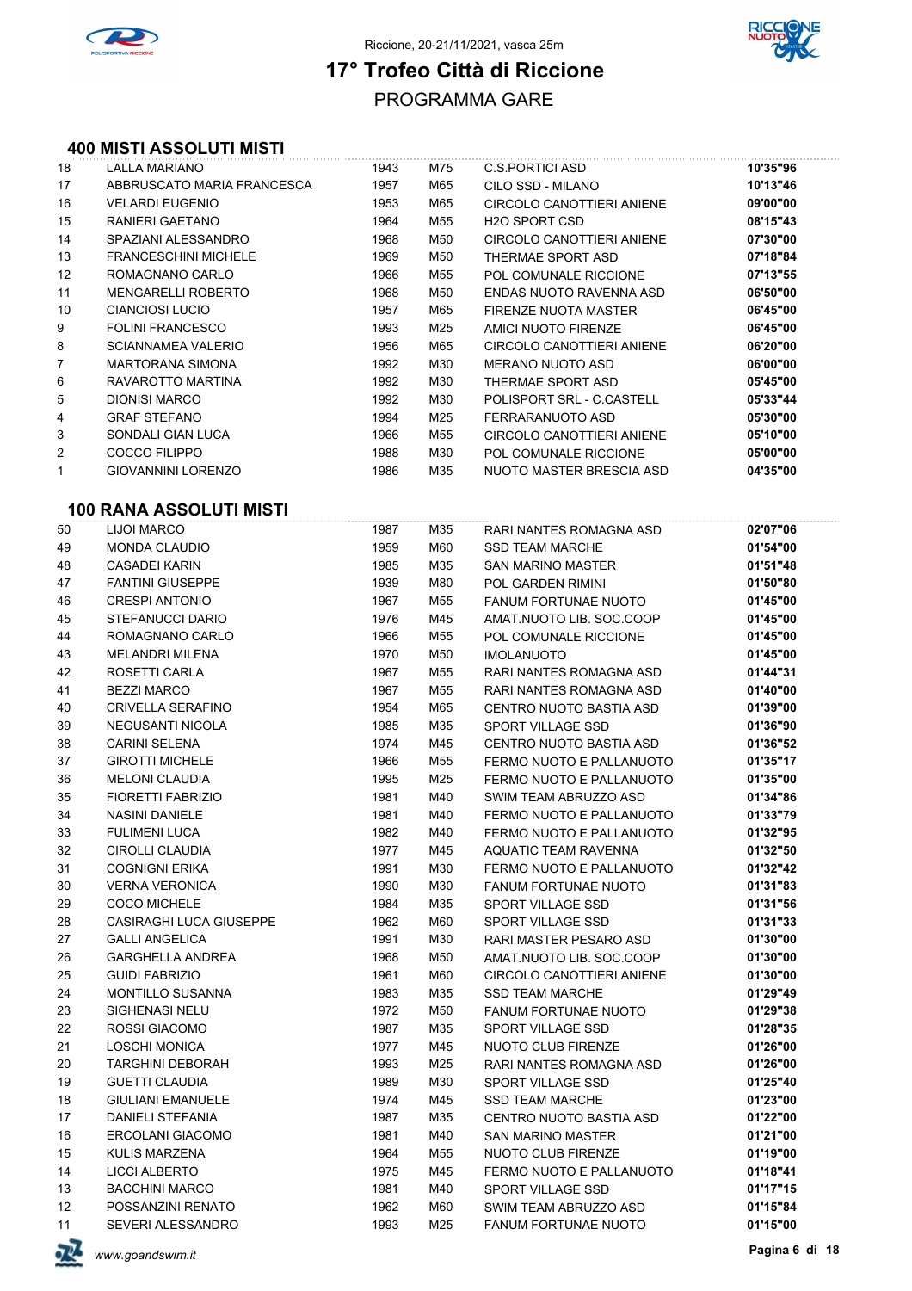



### PROGRAMMA GARE **17° Trofeo Città di Riccione**

#### **400 MISTI ASSOLUTI MISTI**

| 18                | LALLA MARIANO               | 1943 | M75 | C.S. PORTICI ASD          | 10'35"96 |
|-------------------|-----------------------------|------|-----|---------------------------|----------|
| 17                | ABBRUSCATO MARIA FRANCESCA  | 1957 | M65 | CILO SSD - MILANO         | 10'13"46 |
| 16                | <b>VELARDI EUGENIO</b>      | 1953 | M65 | CIRCOLO CANOTTIERI ANIENE | 09'00"00 |
| 15                | RANIERI GAETANO             | 1964 | M55 | <b>H2O SPORT CSD</b>      | 08'15"43 |
| 14                | SPAZIANI ALESSANDRO         | 1968 | M50 | CIRCOLO CANOTTIERI ANIENE | 07'30"00 |
| 13                | <b>FRANCESCHINI MICHELE</b> | 1969 | M50 | THERMAE SPORT ASD         | 07'18"84 |
| $12 \overline{ }$ | ROMAGNANO CARLO             | 1966 | M55 | POL COMUNALE RICCIONE     | 07'13"55 |
| 11                | <b>MENGARELLI ROBERTO</b>   | 1968 | M50 | ENDAS NUOTO RAVENNA ASD   | 06'50"00 |
| 10                | <b>CIANCIOSI LUCIO</b>      | 1957 | M65 | FIRENZE NUOTA MASTER      | 06'45"00 |
| 9                 | <b>FOLINI FRANCESCO</b>     | 1993 | M25 | AMICI NUOTO FIRENZE       | 06'45"00 |
| 8                 | SCIANNAMEA VALERIO          | 1956 | M65 | CIRCOLO CANOTTIERI ANIENE | 06'20"00 |
| $\overline{7}$    | <b>MARTORANA SIMONA</b>     | 1992 | M30 | MERANO NUOTO ASD          | 06'00"00 |
| 6                 | RAVAROTTO MARTINA           | 1992 | M30 | THERMAE SPORT ASD         | 05'45"00 |
| 5                 | <b>DIONISI MARCO</b>        | 1992 | M30 | POLISPORT SRL - C.CASTELL | 05'33"44 |
| 4                 | <b>GRAF STEFANO</b>         | 1994 | M25 | FERRARANUOTO ASD          | 05'30"00 |
| 3                 | SONDALI GIAN LUCA           | 1966 | M55 | CIRCOLO CANOTTIERI ANIENE | 05'10"00 |
| 2                 | COCCO FILIPPO               | 1988 | M30 | POL COMUNALE RICCIONE     | 05'00"00 |
| 1                 | <b>GIOVANNINI LORENZO</b>   | 1986 | M35 | NUOTO MASTER BRESCIA ASD  | 04'35"00 |
|                   |                             |      |     |                           |          |

#### **100 RANA ASSOLUTI MISTI**

|    | лип RVVV                       |      |     |                             |          |
|----|--------------------------------|------|-----|-----------------------------|----------|
| 50 | <b>LIJOI MARCO</b>             | 1987 | M35 | RARI NANTES ROMAGNA ASD     | 02'07"06 |
| 49 | <b>MONDA CLAUDIO</b>           | 1959 | M60 | <b>SSD TEAM MARCHE</b>      | 01'54"00 |
| 48 | <b>CASADEI KARIN</b>           | 1985 | M35 | SAN MARINO MASTER           | 01'51"48 |
| 47 | <b>FANTINI GIUSEPPE</b>        | 1939 | M80 | POL GARDEN RIMINI           | 01'50"80 |
| 46 | <b>CRESPI ANTONIO</b>          | 1967 | M55 | <b>FANUM FORTUNAE NUOTO</b> | 01'45"00 |
| 45 | <b>STEFANUCCI DARIO</b>        | 1976 | M45 | AMAT.NUOTO LIB. SOC.COOP    | 01'45"00 |
| 44 | ROMAGNANO CARLO                | 1966 | M55 | POL COMUNALE RICCIONE       | 01'45"00 |
| 43 | <b>MELANDRI MILENA</b>         | 1970 | M50 | <b>IMOLANUOTO</b>           | 01'45"00 |
| 42 | ROSETTI CARLA                  | 1967 | M55 | RARI NANTES ROMAGNA ASD     | 01'44"31 |
| 41 | <b>BEZZI MARCO</b>             | 1967 | M55 | RARI NANTES ROMAGNA ASD     | 01'40"00 |
| 40 | CRIVELLA SERAFINO              | 1954 | M65 | CENTRO NUOTO BASTIA ASD     | 01'39"00 |
| 39 | NEGUSANTI NICOLA               | 1985 | M35 | SPORT VILLAGE SSD           | 01'36"90 |
| 38 | <b>CARINI SELENA</b>           | 1974 | M45 | CENTRO NUOTO BASTIA ASD     | 01'36"52 |
| 37 | <b>GIROTTI MICHELE</b>         | 1966 | M55 | FERMO NUOTO E PALLANUOTO    | 01'35"17 |
| 36 | <b>MELONI CLAUDIA</b>          | 1995 | M25 | FERMO NUOTO E PALLANUOTO    | 01'35"00 |
| 35 | FIORETTI FABRIZIO              | 1981 | M40 | SWIM TEAM ABRUZZO ASD       | 01'34"86 |
| 34 | <b>NASINI DANIELE</b>          | 1981 | M40 | FERMO NUOTO E PALLANUOTO    | 01'33"79 |
| 33 | <b>FULIMENI LUCA</b>           | 1982 | M40 | FERMO NUOTO E PALLANUOTO    | 01'32"95 |
| 32 | CIROLLI CLAUDIA                | 1977 | M45 | AQUATIC TEAM RAVENNA        | 01'32"50 |
| 31 | <b>COGNIGNI ERIKA</b>          | 1991 | M30 | FERMO NUOTO E PALLANUOTO    | 01'32"42 |
| 30 | VERNA VERONICA                 | 1990 | M30 | <b>FANUM FORTUNAE NUOTO</b> | 01'31"83 |
| 29 | <b>COCO MICHELE</b>            | 1984 | M35 | SPORT VILLAGE SSD           | 01'31"56 |
| 28 | <b>CASIRAGHI LUCA GIUSEPPE</b> | 1962 | M60 | SPORT VILLAGE SSD           | 01'31"33 |
| 27 | <b>GALLI ANGELICA</b>          | 1991 | M30 | RARI MASTER PESARO ASD      | 01'30"00 |
| 26 | <b>GARGHELLA ANDREA</b>        | 1968 | M50 | AMAT NUOTO LIB. SOC COOP    | 01'30"00 |
| 25 | <b>GUIDI FABRIZIO</b>          | 1961 | M60 | CIRCOLO CANOTTIERI ANIENE   | 01'30"00 |
| 24 | <b>MONTILLO SUSANNA</b>        | 1983 | M35 | SSD TEAM MARCHE             | 01'29"49 |
| 23 | SIGHENASI NELU                 | 1972 | M50 | FANUM FORTUNAE NUOTO        | 01'29"38 |
| 22 | ROSSI GIACOMO                  | 1987 | M35 | SPORT VILLAGE SSD           | 01'28"35 |
| 21 | <b>LOSCHI MONICA</b>           | 1977 | M45 | NUOTO CLUB FIRENZE          | 01'26"00 |
| 20 | TARGHINI DEBORAH               | 1993 | M25 | RARI NANTES ROMAGNA ASD     | 01'26"00 |
| 19 | <b>GUETTI CLAUDIA</b>          | 1989 | M30 | SPORT VILLAGE SSD           | 01'25"40 |
| 18 | <b>GIULIANI EMANUELE</b>       | 1974 | M45 | <b>SSD TEAM MARCHE</b>      | 01'23"00 |
| 17 | DANIELI STEFANIA               | 1987 | M35 | CENTRO NUOTO BASTIA ASD     | 01'22"00 |
| 16 | ERCOLANI GIACOMO               | 1981 | M40 | SAN MARINO MASTER           | 01'21"00 |
| 15 | KULIS MARZENA                  | 1964 | M55 | NUOTO CLUB FIRENZE          | 01'19"00 |
| 14 | <b>LICCI ALBERTO</b>           | 1975 | M45 | FERMO NUOTO E PALLANUOTO    | 01'18"41 |
| 13 | <b>BACCHINI MARCO</b>          | 1981 | M40 | SPORT VILLAGE SSD           | 01'17"15 |
| 12 | POSSANZINI RENATO              | 1962 | M60 | SWIM TEAM ABRUZZO ASD       | 01'15"84 |
| 11 | SEVERI ALESSANDRO              | 1993 | M25 | FANUM FORTUNAE NUOTO        | 01'15"00 |

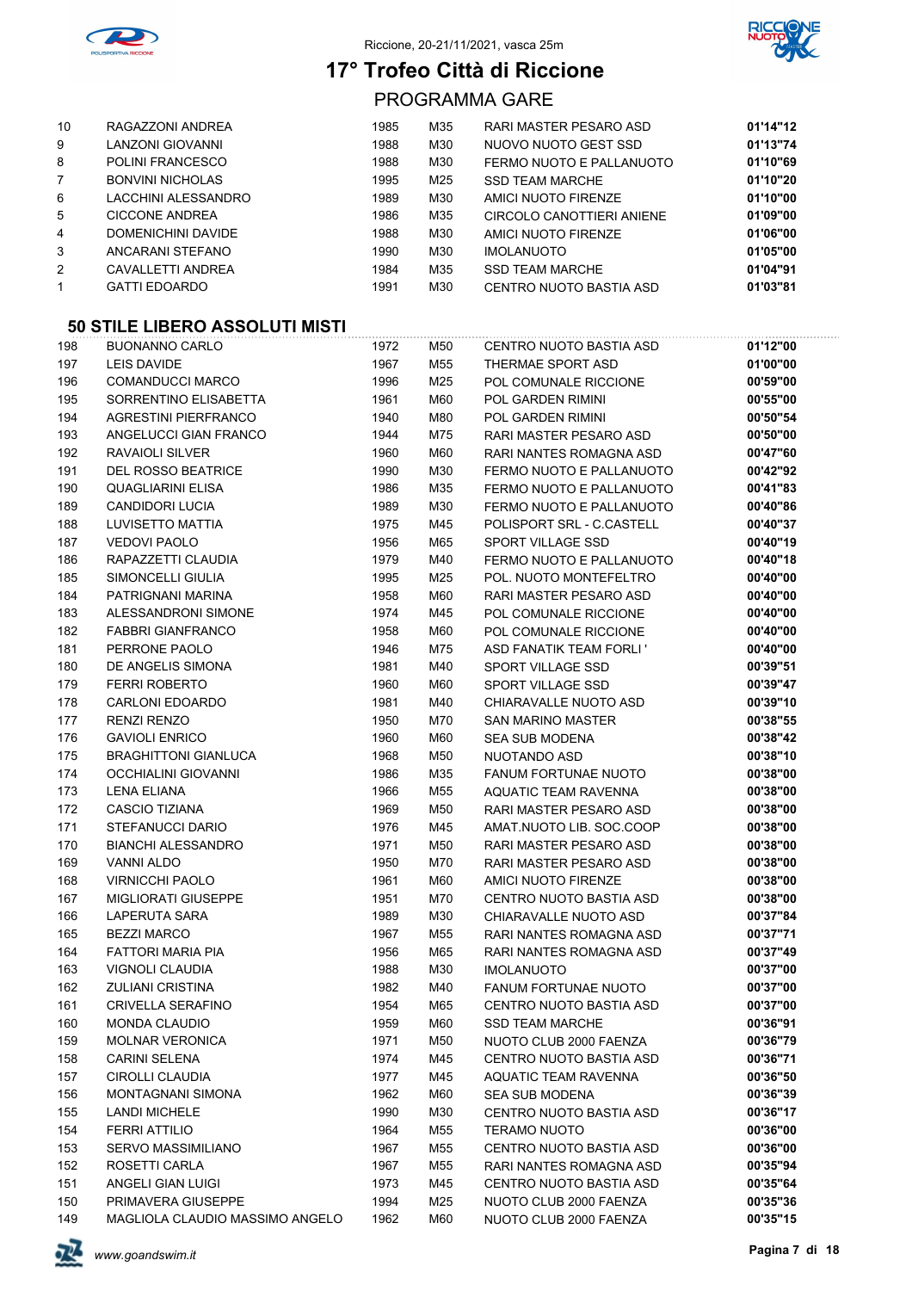



PROGRAMMA GARE

| 10             | RAGAZZONI ANDREA        | 1985 | M35 | RARI MASTER PESARO ASD    | 01'14"12 |
|----------------|-------------------------|------|-----|---------------------------|----------|
| 9              | LANZONI GIOVANNI        | 1988 | M30 | NUOVO NUOTO GEST SSD      | 01'13"74 |
| 8              | <b>POLINI FRANCESCO</b> | 1988 | M30 | FERMO NUOTO E PALLANUOTO  | 01'10"69 |
| $\overline{7}$ | <b>BONVINI NICHOLAS</b> | 1995 | M25 | <b>SSD TEAM MARCHE</b>    | 01'10"20 |
| 6              | LACCHINI ALESSANDRO     | 1989 | M30 | AMICI NUOTO FIRENZE       | 01'10"00 |
| 5              | <b>CICCONE ANDREA</b>   | 1986 | M35 | CIRCOLO CANOTTIERI ANIENE | 01'09"00 |
| 4              | DOMENICHINI DAVIDE      | 1988 | M30 | AMICI NUOTO FIRENZE       | 01'06"00 |
| 3              | ANCARANI STEFANO        | 1990 | M30 | <b>IMOLANUOTO</b>         | 01'05"00 |
| $\overline{2}$ | CAVALLETTI ANDREA       | 1984 | M35 | <b>SSD TEAM MARCHE</b>    | 01'04"91 |
| 1              | <b>GATTI EDOARDO</b>    | 1991 | M30 | CENTRO NUOTO BASTIA ASD   | 01'03"81 |
|                |                         |      |     |                           |          |

| 198 | <b>BUONANNO CARLO</b>           | 1972 | M50 | CENTRO NUOTO BASTIA ASD        | 01'12"00 |
|-----|---------------------------------|------|-----|--------------------------------|----------|
| 197 | LEIS DAVIDE                     | 1967 | M55 | THERMAE SPORT ASD              | 01'00"00 |
| 196 | <b>COMANDUCCI MARCO</b>         | 1996 | M25 | POL COMUNALE RICCIONE          | 00'59"00 |
| 195 | SORRENTINO ELISABETTA           | 1961 | M60 | POL GARDEN RIMINI              | 00'55"00 |
| 194 | <b>AGRESTINI PIERFRANCO</b>     | 1940 | M80 | POL GARDEN RIMINI              | 00'50"54 |
| 193 | ANGELUCCI GIAN FRANCO           | 1944 | M75 | RARI MASTER PESARO ASD         | 00'50"00 |
| 192 | RAVAIOLI SILVER                 | 1960 | M60 | RARI NANTES ROMAGNA ASD        | 00'47"60 |
| 191 | <b>DEL ROSSO BEATRICE</b>       | 1990 | M30 | FERMO NUOTO E PALLANUOTO       | 00'42"92 |
| 190 | QUAGLIARINI ELISA               | 1986 | M35 | FERMO NUOTO E PALLANUOTO       | 00'41"83 |
| 189 | <b>CANDIDORI LUCIA</b>          | 1989 | M30 | FERMO NUOTO E PALLANUOTO       | 00'40"86 |
| 188 | LUVISETTO MATTIA                | 1975 | M45 | POLISPORT SRL - C.CASTELL      | 00'40"37 |
| 187 | <b>VEDOVI PAOLO</b>             | 1956 | M65 | SPORT VILLAGE SSD              | 00'40"19 |
| 186 | RAPAZZETTI CLAUDIA              | 1979 | M40 | FERMO NUOTO E PALLANUOTO       | 00'40"18 |
| 185 | SIMONCELLI GIULIA               | 1995 | M25 | POL. NUOTO MONTEFELTRO         | 00'40"00 |
| 184 | PATRIGNANI MARINA               | 1958 | M60 | RARI MASTER PESARO ASD         | 00'40"00 |
| 183 | ALESSANDRONI SIMONE             | 1974 | M45 | POL COMUNALE RICCIONE          | 00'40"00 |
| 182 | <b>FABBRI GIANFRANCO</b>        | 1958 | M60 | POL COMUNALE RICCIONE          | 00'40"00 |
| 181 | PERRONE PAOLO                   | 1946 | M75 | <b>ASD FANATIK TEAM FORLI'</b> | 00'40"00 |
| 180 | DE ANGELIS SIMONA               | 1981 | M40 | SPORT VILLAGE SSD              | 00'39"51 |
| 179 | <b>FERRI ROBERTO</b>            | 1960 | M60 | SPORT VILLAGE SSD              | 00'39"47 |
| 178 | <b>CARLONI EDOARDO</b>          | 1981 | M40 | CHIARAVALLE NUOTO ASD          | 00'39"10 |
| 177 | <b>RENZI RENZO</b>              | 1950 | M70 | <b>SAN MARINO MASTER</b>       | 00'38"55 |
| 176 | <b>GAVIOLI ENRICO</b>           | 1960 | M60 | <b>SEA SUB MODENA</b>          | 00'38"42 |
| 175 | <b>BRAGHITTONI GIANLUCA</b>     | 1968 | M50 | NUOTANDO ASD                   | 00'38"10 |
| 174 | <b>OCCHIALINI GIOVANNI</b>      | 1986 | M35 | <b>FANUM FORTUNAE NUOTO</b>    | 00'38"00 |
| 173 | LENA ELIANA                     | 1966 | M55 | AQUATIC TEAM RAVENNA           | 00'38"00 |
| 172 | CASCIO TIZIANA                  | 1969 | M50 | RARI MASTER PESARO ASD         | 00'38"00 |
| 171 | <b>STEFANUCCI DARIO</b>         | 1976 | M45 | AMAT NUOTO LIB. SOC.COOP       | 00'38"00 |
| 170 | <b>BIANCHI ALESSANDRO</b>       | 1971 | M50 | RARI MASTER PESARO ASD         | 00'38"00 |
| 169 | <b>VANNI ALDO</b>               | 1950 | M70 | RARI MASTER PESARO ASD         | 00'38"00 |
| 168 | <b>VIRNICCHI PAOLO</b>          | 1961 | M60 | AMICI NUOTO FIRENZE            | 00'38"00 |
| 167 | <b>MIGLIORATI GIUSEPPE</b>      | 1951 | M70 | CENTRO NUOTO BASTIA ASD        | 00'38"00 |
| 166 | LAPERUTA SARA                   | 1989 | M30 | CHIARAVALLE NUOTO ASD          | 00'37"84 |
| 165 | <b>BEZZI MARCO</b>              | 1967 | M55 | RARI NANTES ROMAGNA ASD        | 00'37"71 |
| 164 | FATTORI MARIA PIA               | 1956 | M65 | RARI NANTES ROMAGNA ASD        | 00'37"49 |
| 163 | VIGNOLI CLAUDIA                 | 1988 | M30 | <b>IMOLANUOTO</b>              | 00'37"00 |
| 162 | <b>ZULIANI CRISTINA</b>         | 1982 | M40 | <b>FANUM FORTUNAE NUOTO</b>    | 00'37"00 |
| 161 | <b>CRIVELLA SERAFINO</b>        | 1954 | M65 | CENTRO NUOTO BASTIA ASD        | 00'37"00 |
| 160 | <b>MONDA CLAUDIO</b>            | 1959 | M60 | SSD TEAM MARCHE                | 00'36"91 |
| 159 | <b>MOLNAR VERONICA</b>          | 1971 | M50 | NUOTO CLUB 2000 FAENZA         | 00'36"79 |
| 158 | <b>CARINI SELENA</b>            | 1974 | M45 | CENTRO NUOTO BASTIA ASD        | 00'36"71 |
| 157 | <b>CIROLLI CLAUDIA</b>          | 1977 | M45 | AQUATIC TEAM RAVENNA           | 00'36"50 |
| 156 | MONTAGNANI SIMONA               | 1962 | M60 | SEA SUB MODENA                 | 00'36"39 |
| 155 | <b>LANDI MICHELE</b>            | 1990 | M30 | CENTRO NUOTO BASTIA ASD        | 00'36"17 |
| 154 | FERRI ATTILIO                   | 1964 | M55 | <b>TERAMO NUOTO</b>            | 00'36"00 |
| 153 | SERVO MASSIMILIANO              | 1967 | M55 | CENTRO NUOTO BASTIA ASD        | 00'36"00 |
| 152 | ROSETTI CARLA                   | 1967 | M55 | RARI NANTES ROMAGNA ASD        | 00'35"94 |
| 151 | ANGELI GIAN LUIGI               | 1973 | M45 | CENTRO NUOTO BASTIA ASD        | 00'35"64 |
| 150 | PRIMAVERA GIUSEPPE              | 1994 | M25 | NUOTO CLUB 2000 FAENZA         | 00'35"36 |
| 149 | MAGLIOLA CLAUDIO MASSIMO ANGELO | 1962 | M60 | NUOTO CLUB 2000 FAENZA         | 00'35"15 |

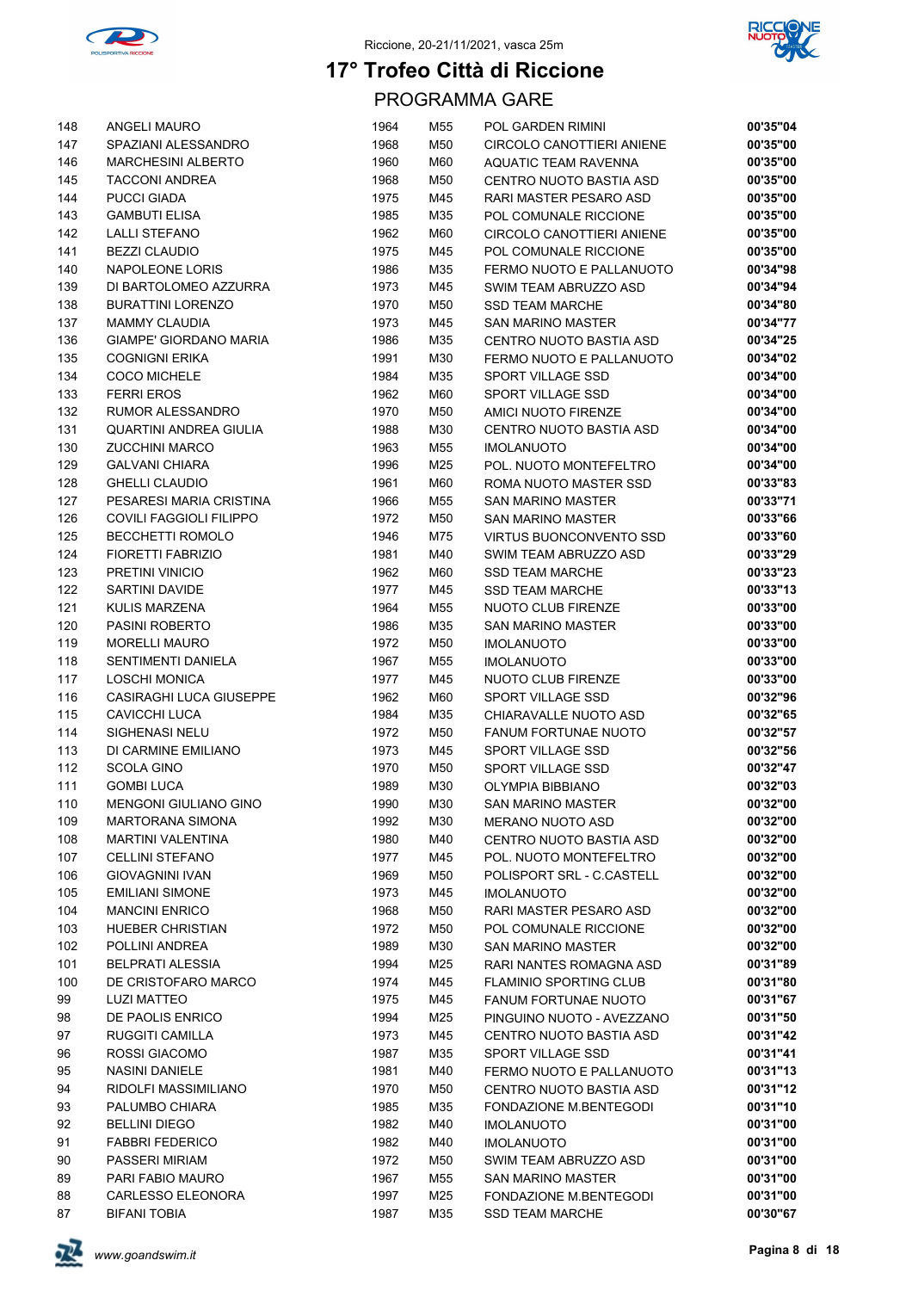



| 148        | ANGELI MAURO                                    | 1964         | M55        | POL GARDEN RIMINI                       | 00'35"04             |
|------------|-------------------------------------------------|--------------|------------|-----------------------------------------|----------------------|
| 147        | SPAZIANI ALESSANDRO                             | 1968         | M50        | <b>CIRCOLO CANOTTIERI ANIENE</b>        | 00'35"00             |
| 146        | <b>MARCHESINI ALBERTO</b>                       | 1960         | M60        | <b>AQUATIC TEAM RAVENNA</b>             | 00'35"00             |
| 145        | <b>TACCONI ANDREA</b>                           | 1968         | M50        | CENTRO NUOTO BASTIA ASD                 | 00'35"00             |
| 144        | <b>PUCCI GIADA</b>                              | 1975         | M45        | RARI MASTER PESARO ASD                  | 00'35"00             |
| 143        | <b>GAMBUTI ELISA</b>                            | 1985         | M35        | POL COMUNALE RICCIONE                   | 00'35"00             |
| 142        | <b>LALLI STEFANO</b>                            | 1962         | M60        | CIRCOLO CANOTTIERI ANIENE               | 00'35"00             |
| 141        | <b>BEZZI CLAUDIO</b>                            | 1975         | M45        | POL COMUNALE RICCIONE                   | 00'35"00             |
| 140        | NAPOLEONE LORIS                                 | 1986         | M35        | FERMO NUOTO E PALLANUOTO                | 00'34"98             |
| 139        | DI BARTOLOMEO AZZURRA                           | 1973         | M45        | SWIM TEAM ABRUZZO ASD                   | 00'34"94             |
| 138        | <b>BURATTINI LORENZO</b>                        | 1970         | M50        | <b>SSD TEAM MARCHE</b>                  | 00'34"80             |
| 137        | <b>MAMMY CLAUDIA</b>                            | 1973         | M45        | <b>SAN MARINO MASTER</b>                | 00'34"77             |
| 136        | <b>GIAMPE' GIORDANO MARIA</b>                   | 1986         | M35        | CENTRO NUOTO BASTIA ASD                 | 00'34"25             |
| 135        | <b>COGNIGNI ERIKA</b>                           | 1991         | M30        | FERMO NUOTO E PALLANUOTO                | 00'34"02             |
| 134        | <b>COCO MICHELE</b>                             | 1984         | M35        | SPORT VILLAGE SSD                       | 00'34"00             |
| 133        | <b>FERRI EROS</b>                               | 1962         | M60        | SPORT VILLAGE SSD                       | 00'34"00             |
| 132        | RUMOR ALESSANDRO                                | 1970         | M50        | AMICI NUOTO FIRENZE                     | 00'34"00             |
| 131        | <b>QUARTINI ANDREA GIULIA</b>                   | 1988         | M30        | CENTRO NUOTO BASTIA ASD                 | 00'34"00             |
| 130        | <b>ZUCCHINI MARCO</b>                           | 1963         | M55        | <b>IMOLANUOTO</b>                       | 00'34"00             |
| 129        | <b>GALVANI CHIARA</b>                           | 1996         | M25        | POL. NUOTO MONTEFELTRO                  | 00'34"00             |
| 128        | <b>GHELLI CLAUDIO</b>                           | 1961         | M60        | ROMA NUOTO MASTER SSD                   | 00'33"83             |
| 127        | PESARESI MARIA CRISTINA                         | 1966         | M55        | <b>SAN MARINO MASTER</b>                | 00'33"71             |
| 126        | COVILI FAGGIOLI FILIPPO                         | 1972         | M50        | <b>SAN MARINO MASTER</b>                | 00'33"66             |
| 125        | <b>BECCHETTI ROMOLO</b>                         | 1946         | M75        | <b>VIRTUS BUONCONVENTO SSD</b>          | 00'33"60             |
| 124        | <b>FIORETTI FABRIZIO</b>                        | 1981         | M40        | SWIM TEAM ABRUZZO ASD                   | 00'33"29             |
| 123        | PRETINI VINICIO                                 | 1962         | M60        | <b>SSD TEAM MARCHE</b>                  | 00'33"23             |
| 122        | SARTINI DAVIDE                                  | 1977         | M45        | <b>SSD TEAM MARCHE</b>                  | 00'33"13             |
| 121        | KULIS MARZENA                                   | 1964         | M55        | NUOTO CLUB FIRENZE                      | 00'33"00             |
| 120        | PASINI ROBERTO                                  | 1986         | M35        | <b>SAN MARINO MASTER</b>                | 00'33"00             |
| 119        | <b>MORELLI MAURO</b>                            | 1972         | M50        | <b>IMOLANUOTO</b>                       | 00'33"00             |
| 118        | <b>SENTIMENTI DANIELA</b>                       | 1967         | M55<br>M45 | <b>IMOLANUOTO</b>                       | 00'33"00<br>00'33"00 |
| 117<br>116 | <b>LOSCHI MONICA</b><br>CASIRAGHI LUCA GIUSEPPE | 1977<br>1962 | M60        | NUOTO CLUB FIRENZE<br>SPORT VILLAGE SSD | 00'32"96             |
| 115        | <b>CAVICCHI LUCA</b>                            | 1984         | M35        | CHIARAVALLE NUOTO ASD                   | 00'32"65             |
| 114        | SIGHENASI NELU                                  | 1972         | M50        | <b>FANUM FORTUNAE NUOTO</b>             | 00'32"57             |
| 113        | DI CARMINE EMILIANO                             | 1973         | M45        | <b>SPORT VILLAGE SSD</b>                | 00'32"56             |
| 112        | <b>SCOLA GINO</b>                               | 1970         | M50        | SPORT VILLAGE SSD                       | 00'32"47             |
| 111        | <b>GOMBI LUCA</b>                               | 1989         | M30        | OLYMPIA BIBBIANO                        | 00'32"03             |
| 110        | MENGONI GIULIANO GINO                           | 1990         | M30        | <b>SAN MARINO MASTER</b>                | 00'32"00             |
| 109        | <b>MARTORANA SIMONA</b>                         | 1992         | M30        | <b>MERANO NUOTO ASD</b>                 | 00'32"00             |
| 108        | <b>MARTINI VALENTINA</b>                        | 1980         | M40        | CENTRO NUOTO BASTIA ASD                 | 00'32"00             |
| 107        | <b>CELLINI STEFANO</b>                          | 1977         | M45        | POL. NUOTO MONTEFELTRO                  | 00'32"00             |
| 106        | <b>GIOVAGNINI IVAN</b>                          | 1969         | M50        | POLISPORT SRL - C.CASTELL               | 00'32"00             |
| 105        | <b>EMILIANI SIMONE</b>                          | 1973         | M45        | <b>IMOLANUOTO</b>                       | 00'32"00             |
| 104        | <b>MANCINI ENRICO</b>                           | 1968         | M50        | RARI MASTER PESARO ASD                  | 00'32"00             |
| 103        | <b>HUEBER CHRISTIAN</b>                         | 1972         | M50        | POL COMUNALE RICCIONE                   | 00'32"00             |
| 102        | POLLINI ANDREA                                  | 1989         | M30        | <b>SAN MARINO MASTER</b>                | 00'32"00             |
| 101        | BELPRATI ALESSIA                                | 1994         | M25        | RARI NANTES ROMAGNA ASD                 | 00'31"89             |
| 100        | DE CRISTOFARO MARCO                             | 1974         | M45        | <b>FLAMINIO SPORTING CLUB</b>           | 00'31"80             |
| 99         | <b>LUZI MATTEO</b>                              | 1975         | M45        | <b>FANUM FORTUNAE NUOTO</b>             | 00'31"67             |
| 98         | DE PAOLIS ENRICO                                | 1994         | M25        | PINGUINO NUOTO - AVEZZANO               | 00'31"50             |
| 97         | RUGGITI CAMILLA                                 | 1973         | M45        | CENTRO NUOTO BASTIA ASD                 | 00'31"42             |
| 96         | ROSSI GIACOMO                                   | 1987         | M35        | SPORT VILLAGE SSD                       | 00'31"41             |
| 95         | <b>NASINI DANIELE</b>                           | 1981         | M40        | FERMO NUOTO E PALLANUOTO                | 00'31"13             |
| 94         | RIDOLFI MASSIMILIANO                            | 1970         | M50        | CENTRO NUOTO BASTIA ASD                 | 00'31"12             |
| 93         | PALUMBO CHIARA                                  | 1985         | M35        | FONDAZIONE M.BENTEGODI                  | 00'31"10             |
| 92         | <b>BELLINI DIEGO</b>                            | 1982         | M40        | <b>IMOLANUOTO</b>                       | 00'31"00             |
| 91         | <b>FABBRI FEDERICO</b>                          | 1982         | M40        | <b>IMOLANUOTO</b>                       | 00'31"00             |
| 90         | PASSERI MIRIAM                                  | 1972         | M50        | SWIM TEAM ABRUZZO ASD                   | 00'31"00             |
| 89         | PARI FABIO MAURO                                | 1967         | M55        | <b>SAN MARINO MASTER</b>                | 00'31"00             |
| 88         | CARLESSO ELEONORA                               | 1997         | M25        | FONDAZIONE M.BENTEGODI                  | 00'31"00             |
| 87         | <b>BIFANI TOBIA</b>                             | 1987         | M35        | <b>SSD TEAM MARCHE</b>                  | 00'30"67             |

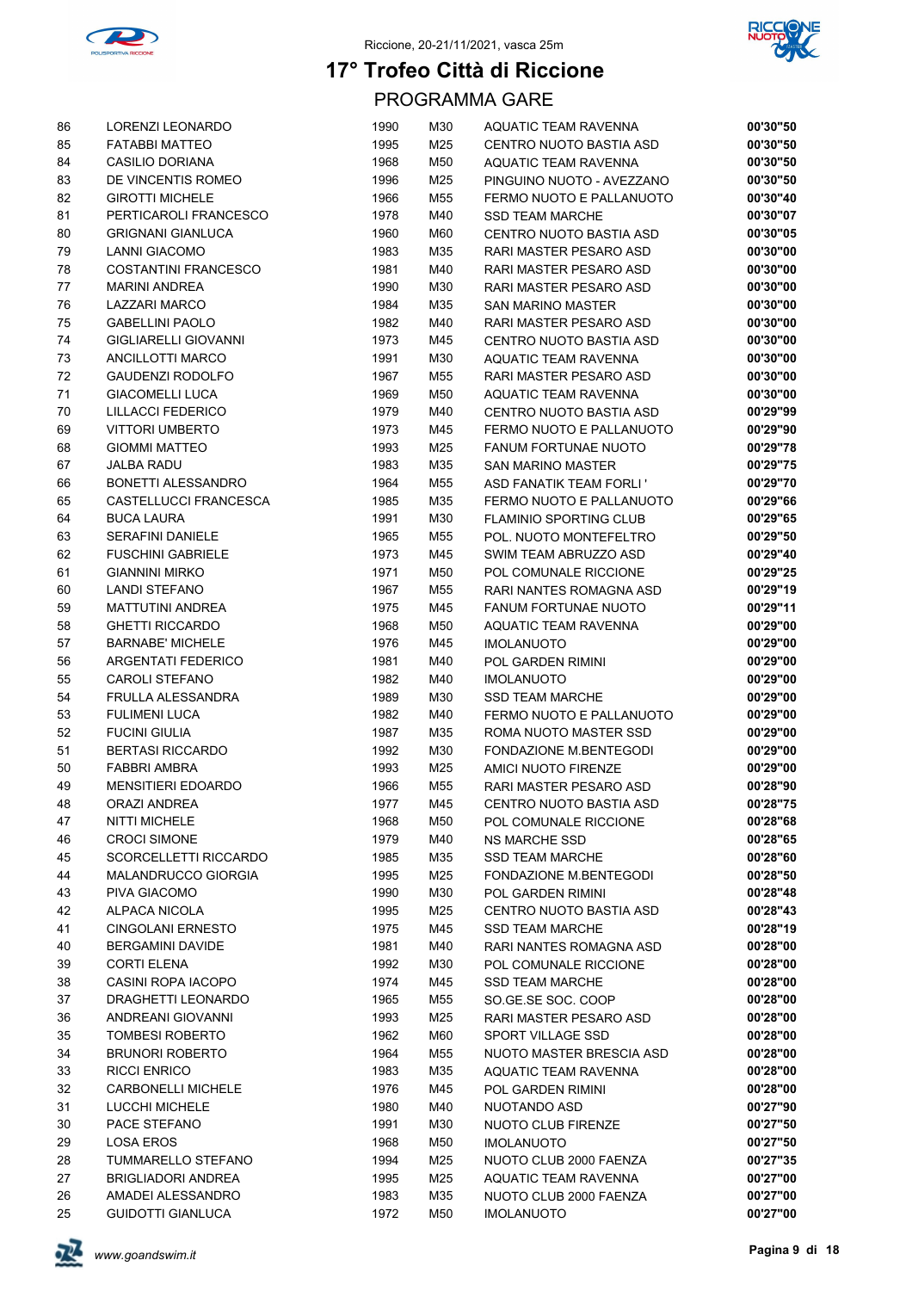



| 86 | LORENZI LEONARDO             | 1990 | M30 | <b>AQUATIC TEAM RAVENNA</b>    | 00'30"50 |
|----|------------------------------|------|-----|--------------------------------|----------|
| 85 | <b>FATABBI MATTEO</b>        | 1995 | M25 | CENTRO NUOTO BASTIA ASD        | 00'30"50 |
| 84 | <b>CASILIO DORIANA</b>       | 1968 | M50 | AQUATIC TEAM RAVENNA           | 00'30"50 |
| 83 | DE VINCENTIS ROMEO           | 1996 | M25 | PINGUINO NUOTO - AVEZZANO      | 00'30"50 |
| 82 | <b>GIROTTI MICHELE</b>       | 1966 | M55 | FERMO NUOTO E PALLANUOTO       | 00'30"40 |
| 81 | PERTICAROLI FRANCESCO        | 1978 | M40 | <b>SSD TEAM MARCHE</b>         | 00'30"07 |
| 80 | <b>GRIGNANI GIANLUCA</b>     | 1960 | M60 | CENTRO NUOTO BASTIA ASD        | 00'30"05 |
| 79 | <b>LANNI GIACOMO</b>         | 1983 | M35 | RARI MASTER PESARO ASD         | 00'30"00 |
| 78 | COSTANTINI FRANCESCO         | 1981 | M40 | RARI MASTER PESARO ASD         | 00'30"00 |
| 77 | <b>MARINI ANDREA</b>         | 1990 | M30 | RARI MASTER PESARO ASD         | 00'30"00 |
| 76 | LAZZARI MARCO                | 1984 | M35 | <b>SAN MARINO MASTER</b>       | 00'30"00 |
| 75 | <b>GABELLINI PAOLO</b>       | 1982 | M40 | RARI MASTER PESARO ASD         | 00'30"00 |
| 74 | <b>GIGLIARELLI GIOVANNI</b>  | 1973 | M45 | CENTRO NUOTO BASTIA ASD        | 00'30"00 |
| 73 | ANCILLOTTI MARCO             | 1991 | M30 | AQUATIC TEAM RAVENNA           | 00'30"00 |
| 72 | <b>GAUDENZI RODOLFO</b>      | 1967 | M55 | RARI MASTER PESARO ASD         | 00'30"00 |
| 71 | <b>GIACOMELLI LUCA</b>       | 1969 | M50 | AQUATIC TEAM RAVENNA           | 00'30"00 |
| 70 | LILLACCI FEDERICO            | 1979 | M40 | CENTRO NUOTO BASTIA ASD        | 00'29"99 |
| 69 | <b>VITTORI UMBERTO</b>       | 1973 | M45 | FERMO NUOTO E PALLANUOTO       | 00'29"90 |
| 68 | <b>GIOMMI MATTEO</b>         | 1993 | M25 | <b>FANUM FORTUNAE NUOTO</b>    | 00'29"78 |
| 67 | <b>JALBA RADU</b>            | 1983 | M35 | SAN MARINO MASTER              | 00'29"75 |
| 66 | BONETTI ALESSANDRO           | 1964 | M55 | <b>ASD FANATIK TEAM FORLI'</b> | 00'29"70 |
| 65 | CASTELLUCCI FRANCESCA        | 1985 | M35 | FERMO NUOTO E PALLANUOTO       | 00'29"66 |
| 64 | <b>BUCA LAURA</b>            | 1991 | M30 | <b>FLAMINIO SPORTING CLUB</b>  | 00'29"65 |
| 63 | <b>SERAFINI DANIELE</b>      | 1965 | M55 | POL. NUOTO MONTEFELTRO         | 00'29"50 |
| 62 | <b>FUSCHINI GABRIELE</b>     | 1973 | M45 | SWIM TEAM ABRUZZO ASD          | 00'29"40 |
| 61 | <b>GIANNINI MIRKO</b>        | 1971 | M50 | POL COMUNALE RICCIONE          | 00'29"25 |
| 60 | <b>LANDI STEFANO</b>         | 1967 | M55 | RARI NANTES ROMAGNA ASD        | 00'29"19 |
| 59 | <b>MATTUTINI ANDREA</b>      | 1975 | M45 | <b>FANUM FORTUNAE NUOTO</b>    | 00'29"11 |
| 58 | <b>GHETTI RICCARDO</b>       | 1968 | M50 | AQUATIC TEAM RAVENNA           | 00'29"00 |
| 57 | <b>BARNABE' MICHELE</b>      | 1976 | M45 | <b>IMOLANUOTO</b>              | 00'29"00 |
| 56 | <b>ARGENTATI FEDERICO</b>    | 1981 | M40 | POL GARDEN RIMINI              | 00'29"00 |
| 55 | <b>CAROLI STEFANO</b>        | 1982 | M40 | <b>IMOLANUOTO</b>              | 00'29"00 |
| 54 | FRULLA ALESSANDRA            | 1989 | M30 | <b>SSD TEAM MARCHE</b>         | 00'29"00 |
| 53 | <b>FULIMENI LUCA</b>         | 1982 | M40 | FERMO NUOTO E PALLANUOTO       | 00'29"00 |
| 52 | <b>FUCINI GIULIA</b>         | 1987 | M35 | ROMA NUOTO MASTER SSD          | 00'29"00 |
| 51 | <b>BERTASI RICCARDO</b>      | 1992 | M30 | FONDAZIONE M.BENTEGODI         | 00'29"00 |
| 50 | <b>FABBRI AMBRA</b>          | 1993 | M25 | AMICI NUOTO FIRENZE            | 00'29"00 |
| 49 | <b>MENSITIERI EDOARDO</b>    | 1966 | M55 | RARI MASTER PESARO ASD         | 00'28"90 |
| 48 | ORAZI ANDREA                 | 1977 | M45 | CENTRO NUOTO BASTIA ASD        | 00'28"75 |
| 47 | <b>NITTI MICHELE</b>         | 1968 | M50 | POL COMUNALE RICCIONE          | 00'28"68 |
| 46 | <b>CROCI SIMONE</b>          | 1979 | M40 | <b>NS MARCHE SSD</b>           | 00'28"65 |
| 45 | <b>SCORCELLETTI RICCARDO</b> | 1985 | M35 | <b>SSD TEAM MARCHE</b>         | 00'28"60 |
| 44 | MALANDRUCCO GIORGIA          | 1995 | M25 | FONDAZIONE M.BENTEGODI         | 00'28"50 |
| 43 | PIVA GIACOMO                 | 1990 | M30 | POL GARDEN RIMINI              | 00'28"48 |
| 42 | <b>ALPACA NICOLA</b>         | 1995 | M25 | CENTRO NUOTO BASTIA ASD        | 00'28"43 |
| 41 | <b>CINGOLANI ERNESTO</b>     | 1975 | M45 | <b>SSD TEAM MARCHE</b>         | 00'28"19 |
| 40 | <b>BERGAMINI DAVIDE</b>      | 1981 | M40 | RARI NANTES ROMAGNA ASD        | 00'28"00 |
| 39 | <b>CORTI ELENA</b>           | 1992 | M30 | POL COMUNALE RICCIONE          | 00'28"00 |
| 38 | <b>CASINI ROPA IACOPO</b>    | 1974 | M45 | <b>SSD TEAM MARCHE</b>         | 00'28"00 |
| 37 | DRAGHETTI LEONARDO           | 1965 | M55 | SO.GE.SE SOC. COOP             | 00'28"00 |
| 36 | ANDREANI GIOVANNI            | 1993 | M25 | RARI MASTER PESARO ASD         | 00'28"00 |
| 35 | TOMBESI ROBERTO              | 1962 | M60 | SPORT VILLAGE SSD              | 00'28"00 |
| 34 | <b>BRUNORI ROBERTO</b>       | 1964 | M55 | NUOTO MASTER BRESCIA ASD       | 00'28"00 |
| 33 | <b>RICCI ENRICO</b>          | 1983 | M35 | AQUATIC TEAM RAVENNA           | 00'28"00 |
| 32 | <b>CARBONELLI MICHELE</b>    | 1976 | M45 | POL GARDEN RIMINI              | 00'28"00 |
| 31 | LUCCHI MICHELE               | 1980 | M40 | NUOTANDO ASD                   | 00'27"90 |
| 30 | PACE STEFANO                 | 1991 | M30 | NUOTO CLUB FIRENZE             | 00'27"50 |
| 29 | <b>LOSA EROS</b>             | 1968 | M50 | <b>IMOLANUOTO</b>              | 00'27"50 |
| 28 | TUMMARELLO STEFANO           | 1994 | M25 | NUOTO CLUB 2000 FAENZA         | 00'27"35 |
| 27 | <b>BRIGLIADORI ANDREA</b>    | 1995 | M25 | AQUATIC TEAM RAVENNA           | 00'27"00 |
| 26 | AMADEI ALESSANDRO            | 1983 | M35 | NUOTO CLUB 2000 FAENZA         | 00'27"00 |
| 25 | <b>GUIDOTTI GIANLUCA</b>     | 1972 | M50 | <b>IMOLANUOTO</b>              | 00'27"00 |

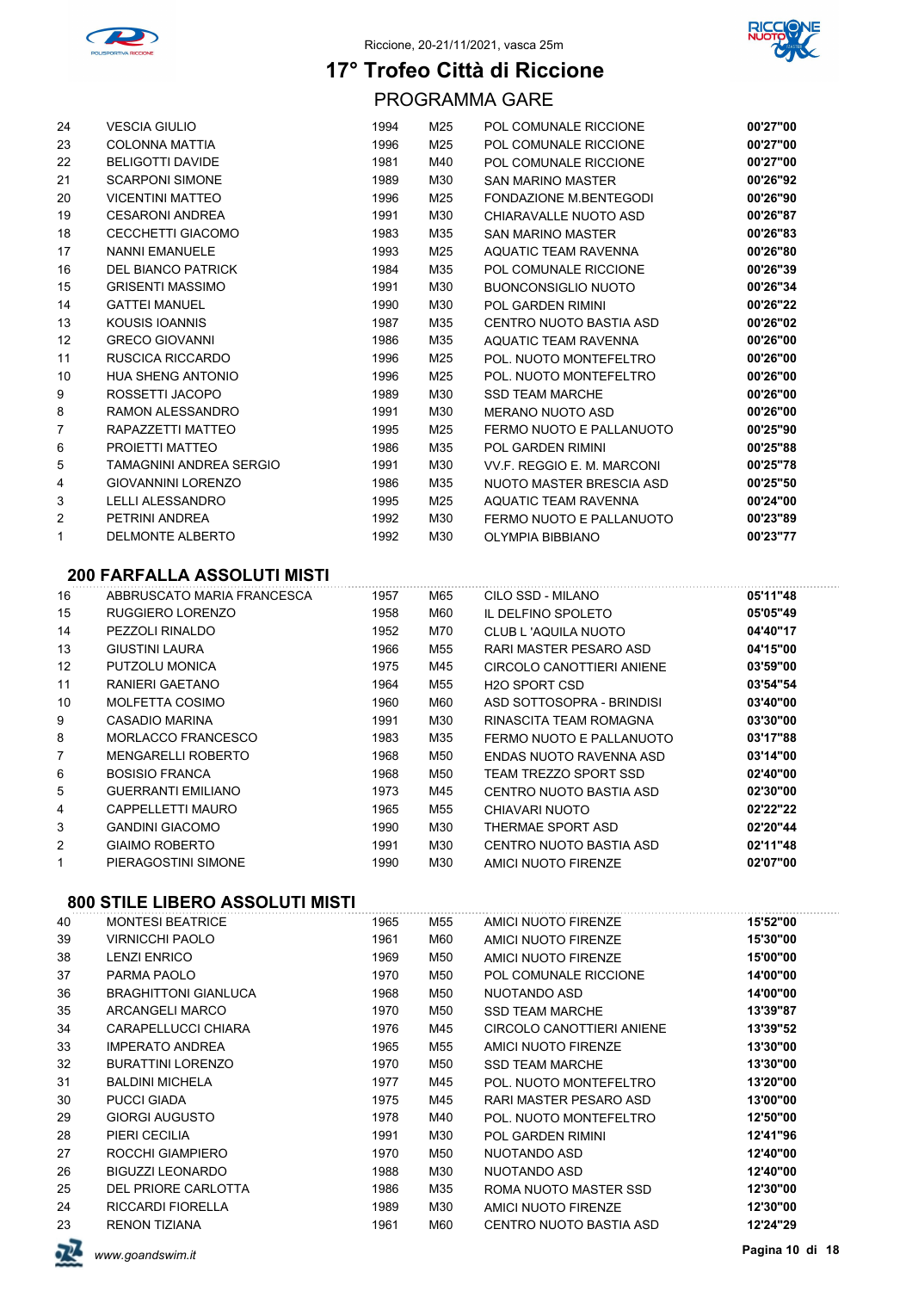



PROGRAMMA GARE

| 24 | <b>VESCIA GIULIO</b>           | 1994 | M25 | POL COMUNALE RICCIONE           | 00'27"00 |
|----|--------------------------------|------|-----|---------------------------------|----------|
| 23 | <b>COLONNA MATTIA</b>          | 1996 | M25 | POL COMUNALE RICCIONE           | 00'27"00 |
| 22 | <b>BELIGOTTI DAVIDE</b>        | 1981 | M40 | POL COMUNALE RICCIONE           | 00'27"00 |
| 21 | <b>SCARPONI SIMONE</b>         | 1989 | M30 | <b>SAN MARINO MASTER</b>        | 00'26"92 |
| 20 | <b>VICENTINI MATTEO</b>        | 1996 | M25 | FONDAZIONE M.BENTEGODI          | 00'26"90 |
| 19 | <b>CESARONI ANDREA</b>         | 1991 | M30 | CHIARAVALLE NUOTO ASD           | 00'26"87 |
| 18 | <b>CECCHETTI GIACOMO</b>       | 1983 | M35 | <b>SAN MARINO MASTER</b>        | 00'26"83 |
| 17 | <b>NANNI EMANUELE</b>          | 1993 | M25 | AQUATIC TEAM RAVENNA            | 00'26"80 |
| 16 | <b>DEL BIANCO PATRICK</b>      | 1984 | M35 | POL COMUNALE RICCIONE           | 00'26"39 |
| 15 | <b>GRISENTI MASSIMO</b>        | 1991 | M30 | <b>BUONCONSIGLIO NUOTO</b>      | 00'26"34 |
| 14 | <b>GATTEI MANUEL</b>           | 1990 | M30 | <b>POL GARDEN RIMINI</b>        | 00'26"22 |
| 13 | KOUSIS IOANNIS                 | 1987 | M35 | CENTRO NUOTO BASTIA ASD         | 00'26"02 |
| 12 | <b>GRECO GIOVANNI</b>          | 1986 | M35 | AQUATIC TEAM RAVENNA            | 00'26"00 |
| 11 | RUSCICA RICCARDO               | 1996 | M25 | POL. NUOTO MONTEFELTRO          | 00'26"00 |
| 10 | HUA SHENG ANTONIO              | 1996 | M25 | POL. NUOTO MONTEFELTRO          | 00'26"00 |
| 9  | ROSSETTI JACOPO                | 1989 | M30 | <b>SSD TEAM MARCHE</b>          | 00'26"00 |
| 8  | <b>RAMON ALESSANDRO</b>        | 1991 | M30 | <b>MERANO NUOTO ASD</b>         | 00'26"00 |
| 7  | RAPAZZETTI MATTEO              | 1995 | M25 | FERMO NUOTO E PALLANUOTO        | 00'25"90 |
| 6  | PROJETTI MATTEO                | 1986 | M35 | <b>POL GARDEN RIMINI</b>        | 00'25"88 |
| 5  | <b>TAMAGNINI ANDREA SERGIO</b> | 1991 | M30 | VV.F. REGGIO E. M. MARCONI      | 00'25"78 |
| 4  | <b>GIOVANNINI LORENZO</b>      | 1986 | M35 | <b>NUOTO MASTER BRESCIA ASD</b> | 00'25"50 |
| 3  | LELLI ALESSANDRO               | 1995 | M25 | AQUATIC TEAM RAVENNA            | 00'24"00 |
| 2  | PETRINI ANDREA                 | 1992 | M30 | FERMO NUOTO E PALLANUOTO        | 00'23"89 |
| 1  | <b>DELMONTE ALBERTO</b>        | 1992 | M30 | <b>OLYMPIA BIBBIANO</b>         | 00'23"77 |
|    |                                |      |     |                                 |          |

### **200 FARFALLA ASSOLUTI MISTI**

| 16 | ABBRUSCATO MARIA FRANCESCA | 1957 | M65 | CILO SSD - MILANO         | 05'11"48 |
|----|----------------------------|------|-----|---------------------------|----------|
| 15 | RUGGIERO LORENZO           | 1958 | M60 | IL DELFINO SPOLETO        | 05'05"49 |
| 14 | PEZZOLI RINALDO            | 1952 | M70 | CLUB L'AQUILA NUOTO       | 04'40"17 |
| 13 | <b>GIUSTINI LAURA</b>      | 1966 | M55 | RARI MASTER PESARO ASD    | 04'15"00 |
| 12 | PUTZOLU MONICA             | 1975 | M45 | CIRCOLO CANOTTIERI ANIENE | 03'59"00 |
| 11 | RANIERI GAETANO            | 1964 | M55 | <b>H2O SPORT CSD</b>      | 03'54"54 |
| 10 | <b>MOLFETTA COSIMO</b>     | 1960 | M60 | ASD SOTTOSOPRA - BRINDISI | 03'40"00 |
| 9  | CASADIO MARINA             | 1991 | M30 | RINASCITA TEAM ROMAGNA    | 03'30"00 |
| 8  | MORLACCO FRANCESCO         | 1983 | M35 | FERMO NUOTO E PALLANUOTO  | 03'17"88 |
| 7  | <b>MENGARELLI ROBERTO</b>  | 1968 | M50 | ENDAS NUOTO RAVENNA ASD   | 03'14"00 |
| 6  | <b>BOSISIO FRANCA</b>      | 1968 | M50 | TEAM TREZZO SPORT SSD     | 02'40"00 |
| 5  | <b>GUERRANTI EMILIANO</b>  | 1973 | M45 | CENTRO NUOTO BASTIA ASD   | 02'30"00 |
| 4  | CAPPELLETTI MAURO          | 1965 | M55 | CHIAVARI NUOTO            | 02'22"22 |
| 3  | <b>GANDINI GIACOMO</b>     | 1990 | M30 | THERMAE SPORT ASD         | 02'20"44 |
| 2  | GIAIMO ROBERTO             | 1991 | M30 | CENTRO NUOTO BASTIA ASD   | 02'11"48 |
|    | PIERAGOSTINI SIMONE        | 1990 | M30 | AMICI NUOTO FIRENZE       | 02'07"00 |

| <b>MONTESI BEATRICE</b>     | 1965 | M55 | AMICI NUOTO FIRENZE       | 15'52"00 |
|-----------------------------|------|-----|---------------------------|----------|
| <b>VIRNICCHI PAOLO</b>      | 1961 | M60 | AMICI NUOTO FIRENZE       | 15'30"00 |
| <b>LENZI ENRICO</b>         | 1969 | M50 | AMICI NUOTO FIRENZE       | 15'00"00 |
| PARMA PAOLO                 | 1970 | M50 | POL COMUNALE RICCIONE     | 14'00"00 |
| <b>BRAGHITTONI GIANLUCA</b> | 1968 | M50 | NUOTANDO ASD              | 14'00"00 |
| ARCANGELI MARCO             | 1970 | M50 | SSD TEAM MARCHE           | 13'39"87 |
| CARAPELLUCCI CHIARA         | 1976 | M45 | CIRCOLO CANOTTIERI ANIENE | 13'39"52 |
| <b>IMPERATO ANDREA</b>      | 1965 | M55 | AMICI NUOTO FIRENZE       | 13'30"00 |
| <b>BURATTINI LORENZO</b>    | 1970 | M50 | <b>SSD TEAM MARCHE</b>    | 13'30"00 |
| <b>BALDINI MICHELA</b>      | 1977 | M45 | POL. NUOTO MONTEFELTRO    | 13'20"00 |
| <b>PUCCI GIADA</b>          | 1975 | M45 | RARI MASTER PESARO ASD    | 13'00"00 |
| <b>GIORGI AUGUSTO</b>       | 1978 | M40 | POL. NUOTO MONTEFELTRO    | 12'50"00 |
| PIERI CECILIA               | 1991 | M30 | POL GARDEN RIMINI         | 12'41"96 |
| ROCCHI GIAMPIERO            | 1970 | M50 | NUOTANDO ASD              | 12'40"00 |
| <b>BIGUZZI LEONARDO</b>     | 1988 | M30 | NUOTANDO ASD              | 12'40"00 |
| DEL PRIORE CARLOTTA         | 1986 | M35 | ROMA NUOTO MASTER SSD     | 12'30"00 |
| <b>RICCARDI FIORELLA</b>    | 1989 | M30 | AMICI NUOTO FIRENZE       | 12'30"00 |
| <b>RENON TIZIANA</b>        | 1961 | M60 | CENTRO NUOTO BASTIA ASD   | 12'24"29 |
|                             |      |     |                           |          |

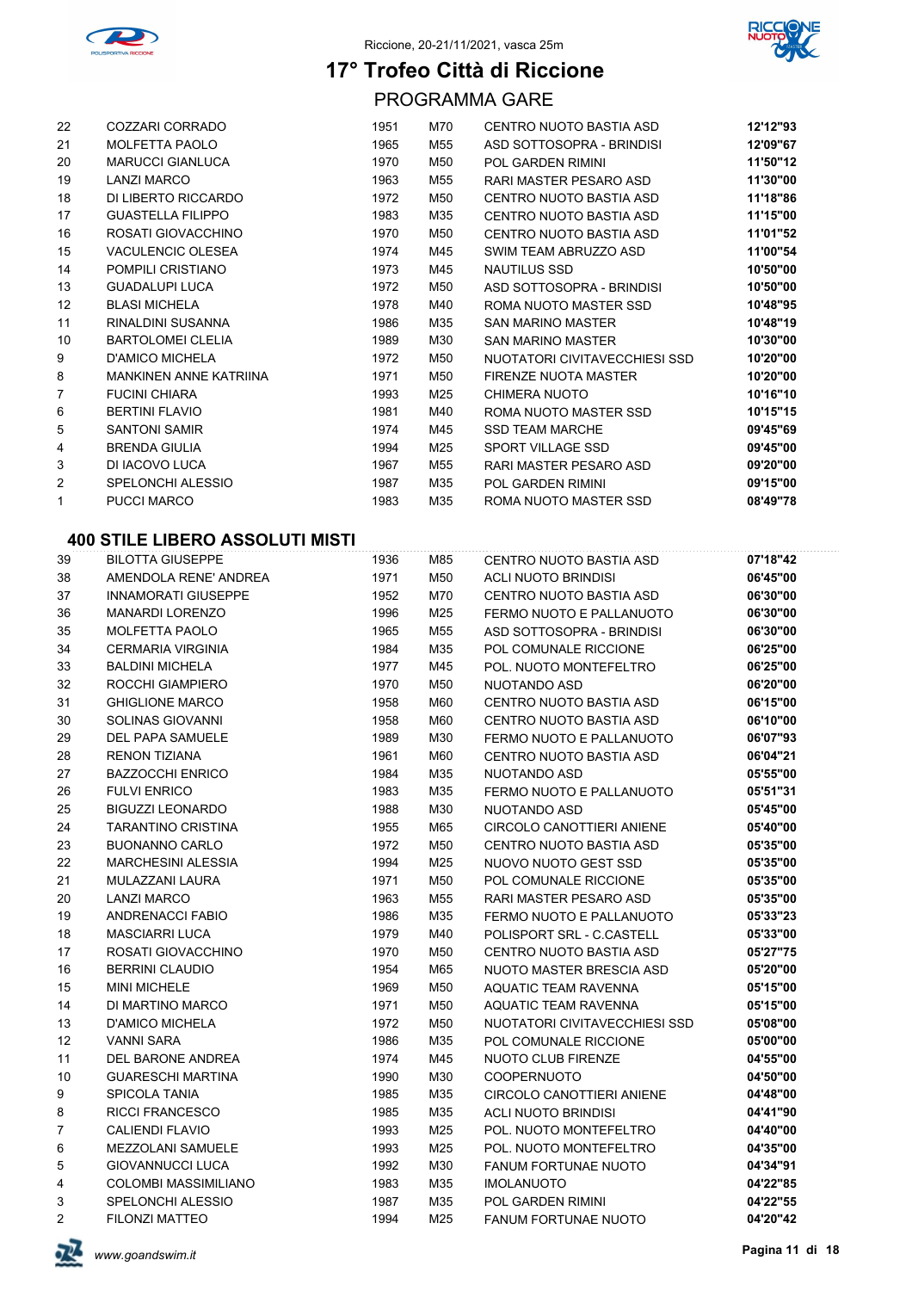



PROGRAMMA GARE

| 22             | COZZARI CORRADO               | 1951 | M70 | CENTRO NUOTO BASTIA ASD       | 12'12"93 |
|----------------|-------------------------------|------|-----|-------------------------------|----------|
| 21             | MOLFETTA PAOLO                | 1965 | M55 | ASD SOTTOSOPRA - BRINDISI     | 12'09"67 |
| 20             | <b>MARUCCI GIANLUCA</b>       | 1970 | M50 | <b>POL GARDEN RIMINI</b>      | 11'50"12 |
| 19             | <b>LANZI MARCO</b>            | 1963 | M55 | RARI MASTER PESARO ASD        | 11'30"00 |
| 18             | DI LIBERTO RICCARDO           | 1972 | M50 | CENTRO NUOTO BASTIA ASD       | 11'18"86 |
| 17             | <b>GUASTELLA FILIPPO</b>      | 1983 | M35 | CENTRO NUOTO BASTIA ASD       | 11'15"00 |
| 16             | ROSATI GIOVACCHINO            | 1970 | M50 | CENTRO NUOTO BASTIA ASD       | 11'01"52 |
| 15             | <b>VACULENCIC OLESEA</b>      | 1974 | M45 | SWIM TEAM ABRUZZO ASD         | 11'00"54 |
| 14             | POMPILI CRISTIANO             | 1973 | M45 | <b>NAUTILUS SSD</b>           | 10'50"00 |
| 13             | <b>GUADALUPI LUCA</b>         | 1972 | M50 | ASD SOTTOSOPRA - BRINDISI     | 10'50"00 |
| 12             | <b>BLASI MICHELA</b>          | 1978 | M40 | ROMA NUOTO MASTER SSD         | 10'48"95 |
| 11             | RINALDINI SUSANNA             | 1986 | M35 | <b>SAN MARINO MASTER</b>      | 10'48"19 |
| 10             | <b>BARTOLOMEI CLELIA</b>      | 1989 | M30 | <b>SAN MARINO MASTER</b>      | 10'30"00 |
| 9              | <b>D'AMICO MICHELA</b>        | 1972 | M50 | NUOTATORI CIVITAVECCHIESI SSD | 10'20"00 |
| 8              | <b>MANKINEN ANNE KATRIINA</b> | 1971 | M50 | FIRENZE NUOTA MASTER          | 10'20"00 |
| $\overline{7}$ | <b>FUCINI CHIARA</b>          | 1993 | M25 | CHIMERA NUOTO                 | 10'16"10 |
| 6              | <b>BERTINI FLAVIO</b>         | 1981 | M40 | ROMA NUOTO MASTER SSD         | 10'15"15 |
| 5              | <b>SANTONI SAMIR</b>          | 1974 | M45 | <b>SSD TEAM MARCHE</b>        | 09'45"69 |
| 4              | <b>BRENDA GIULIA</b>          | 1994 | M25 | SPORT VILLAGE SSD             | 09'45"00 |
| 3              | DI IACOVO LUCA                | 1967 | M55 | RARI MASTER PESARO ASD        | 09'20"00 |
| 2              | SPELONCHI ALESSIO             | 1987 | M35 | <b>POL GARDEN RIMINI</b>      | 09'15"00 |
| 1              | <b>PUCCI MARCO</b>            | 1983 | M35 | ROMA NUOTO MASTER SSD         | 08'49"78 |

| 39             | <b>BILOTTA GIUSEPPE</b>    | 1936 | M85 | CENTRO NUOTO BASTIA ASD         | 07'18"42 |
|----------------|----------------------------|------|-----|---------------------------------|----------|
| 38             | AMENDOLA RENE' ANDREA      | 1971 | M50 | ACLI NUOTO BRINDISI             | 06'45"00 |
| 37             | <b>INNAMORATI GIUSEPPE</b> | 1952 | M70 | CENTRO NUOTO BASTIA ASD         | 06'30"00 |
| 36             | <b>MANARDI LORENZO</b>     | 1996 | M25 | FERMO NUOTO E PALLANUOTO        | 06'30"00 |
| 35             | <b>MOLFETTA PAOLO</b>      | 1965 | M55 | ASD SOTTOSOPRA - BRINDISI       | 06'30"00 |
| 34             | <b>CERMARIA VIRGINIA</b>   | 1984 | M35 | POL COMUNALE RICCIONE           | 06'25"00 |
| 33             | <b>BALDINI MICHELA</b>     | 1977 | M45 | POL. NUOTO MONTEFELTRO          | 06'25"00 |
| 32             | ROCCHI GIAMPIERO           | 1970 | M50 | NUOTANDO ASD                    | 06'20"00 |
| 31             | <b>GHIGLIONE MARCO</b>     | 1958 | M60 | CENTRO NUOTO BASTIA ASD         | 06'15"00 |
| 30             | SOLINAS GIOVANNI           | 1958 | M60 | CENTRO NUOTO BASTIA ASD         | 06'10"00 |
| 29             | DEL PAPA SAMUELE           | 1989 | M30 | FERMO NUOTO E PALLANUOTO        | 06'07"93 |
| 28             | <b>RENON TIZIANA</b>       | 1961 | M60 | CENTRO NUOTO BASTIA ASD         | 06'04"21 |
| 27             | <b>BAZZOCCHI ENRICO</b>    | 1984 | M35 | NUOTANDO ASD                    | 05'55"00 |
| 26             | <b>FULVI ENRICO</b>        | 1983 | M35 | FERMO NUOTO E PALLANUOTO        | 05'51"31 |
| 25             | <b>BIGUZZI LEONARDO</b>    | 1988 | M30 | NUOTANDO ASD                    | 05'45"00 |
| 24             | <b>TARANTINO CRISTINA</b>  | 1955 | M65 | CIRCOLO CANOTTIERI ANIENE       | 05'40"00 |
| 23             | <b>BUONANNO CARLO</b>      | 1972 | M50 | CENTRO NUOTO BASTIA ASD         | 05'35"00 |
| 22             | <b>MARCHESINI ALESSIA</b>  | 1994 | M25 | NUOVO NUOTO GEST SSD            | 05'35"00 |
| 21             | MULAZZANI LAURA            | 1971 | M50 | POL COMUNALE RICCIONE           | 05'35"00 |
| 20             | <b>LANZI MARCO</b>         | 1963 | M55 | RARI MASTER PESARO ASD          | 05'35"00 |
| 19             | <b>ANDRENACCI FABIO</b>    | 1986 | M35 | FERMO NUOTO E PALLANUOTO        | 05'33"23 |
| 18             | <b>MASCIARRI LUCA</b>      | 1979 | M40 | POLISPORT SRL - C.CASTELL       | 05'33"00 |
| 17             | ROSATI GIOVACCHINO         | 1970 | M50 | CENTRO NUOTO BASTIA ASD         | 05'27"75 |
| 16             | <b>BERRINI CLAUDIO</b>     | 1954 | M65 | <b>NUOTO MASTER BRESCIA ASD</b> | 05'20"00 |
| 15             | <b>MINI MICHELE</b>        | 1969 | M50 | AQUATIC TEAM RAVENNA            | 05'15"00 |
| 14             | DI MARTINO MARCO           | 1971 | M50 | <b>AQUATIC TEAM RAVENNA</b>     | 05'15"00 |
| 13             | <b>D'AMICO MICHELA</b>     | 1972 | M50 | NUOTATORI CIVITAVECCHIESI SSD   | 05'08"00 |
| 12             | <b>VANNI SARA</b>          | 1986 | M35 | POL COMUNALE RICCIONE           | 05'00"00 |
| 11             | DEL BARONE ANDREA          | 1974 | M45 | NUOTO CLUB FIRENZE              | 04'55"00 |
| 10             | <b>GUARESCHI MARTINA</b>   | 1990 | M30 | COOPERNUOTO                     | 04'50"00 |
| 9              | SPICOLA TANIA              | 1985 | M35 | CIRCOLO CANOTTIERI ANIENE       | 04'48"00 |
| 8              | <b>RICCI FRANCESCO</b>     | 1985 | M35 | ACLI NUOTO BRINDISI             | 04'41"90 |
| $\overline{7}$ | <b>CALIENDI FLAVIO</b>     | 1993 | M25 | POL. NUOTO MONTEFELTRO          | 04'40"00 |
| 6              | <b>MEZZOLANI SAMUELE</b>   | 1993 | M25 | POL. NUOTO MONTEFELTRO          | 04'35"00 |
| 5              | <b>GIOVANNUCCI LUCA</b>    | 1992 | M30 | <b>FANUM FORTUNAE NUOTO</b>     | 04'34"91 |
| 4              | COLOMBI MASSIMILIANO       | 1983 | M35 | <b>IMOLANUOTO</b>               | 04'22"85 |
| 3              | <b>SPELONCHI ALESSIO</b>   | 1987 | M35 | <b>POL GARDEN RIMINI</b>        | 04'22"55 |
| 2              | <b>FILONZI MATTEO</b>      | 1994 | M25 | <b>FANUM FORTUNAE NUOTO</b>     | 04'20"42 |

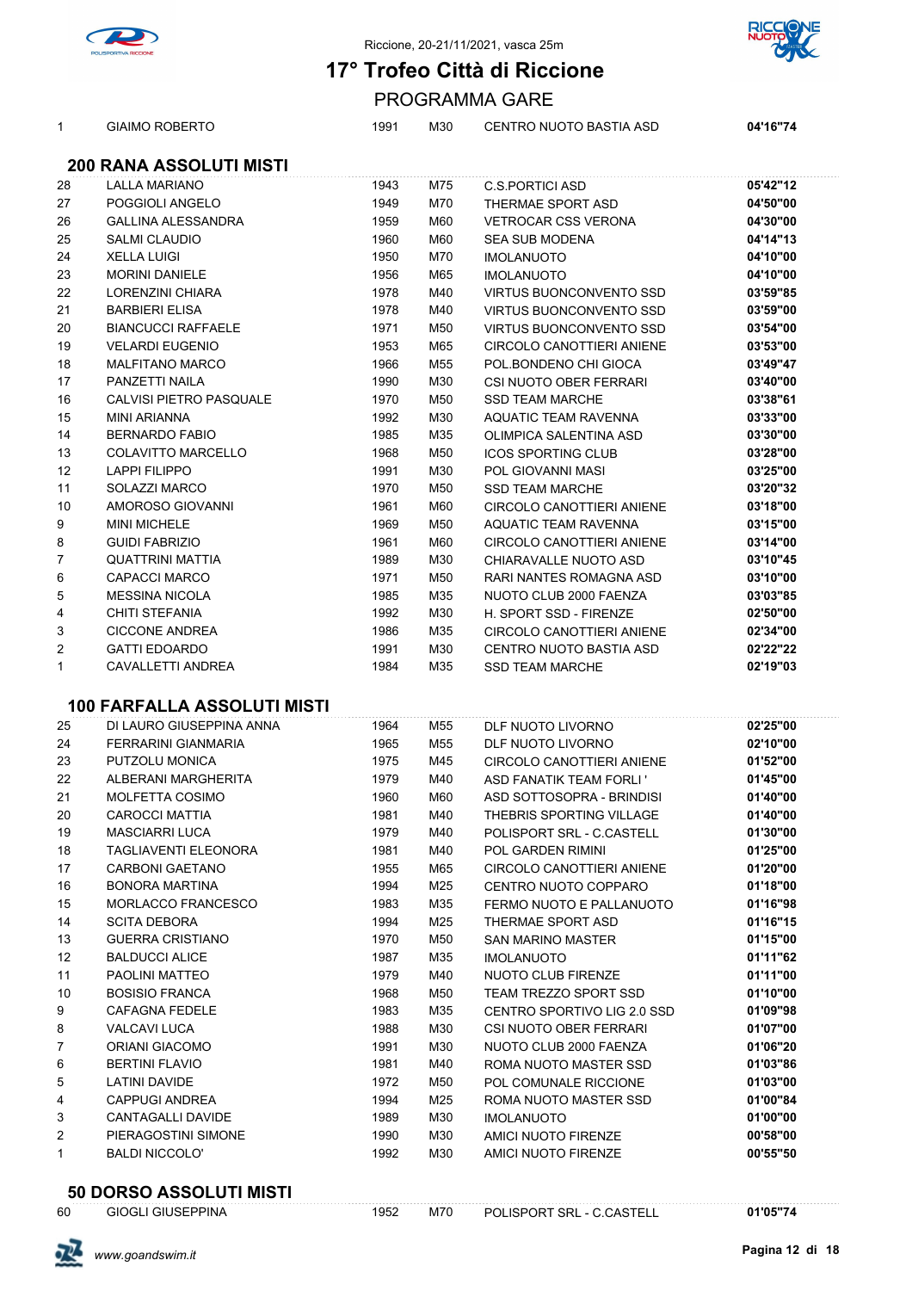



GIAIMO ROBERTO 1991 M30 CENTRO NUOTO BASTIA ASD **04'16"74**

PROGRAMMA GARE

### **200 RANA ASSOLUTI MISTI**

| 28           | <b>LALLA MARIANO</b>               | 1943 | M75 | <b>C.S.PORTICI ASD</b>         | 05'42"12 |
|--------------|------------------------------------|------|-----|--------------------------------|----------|
| 27           | POGGIOLI ANGELO                    | 1949 | M70 | THERMAE SPORT ASD              | 04'50"00 |
| 26           | GALLINA ALESSANDRA                 | 1959 | M60 | VETROCAR CSS VERONA            | 04'30"00 |
| 25           | <b>SALMI CLAUDIO</b>               | 1960 | M60 | <b>SEA SUB MODENA</b>          | 04'14"13 |
| 24           | <b>XELLA LUIGI</b>                 | 1950 | M70 | <b>IMOLANUOTO</b>              | 04'10"00 |
| 23           | <b>MORINI DANIELE</b>              | 1956 | M65 | <b>IMOLANUOTO</b>              | 04'10"00 |
| 22           | LORENZINI CHIARA                   | 1978 | M40 | <b>VIRTUS BUONCONVENTO SSD</b> | 03'59"85 |
| 21           | <b>BARBIERI ELISA</b>              | 1978 | M40 | VIRTUS BUONCONVENTO SSD        | 03'59"00 |
| 20           | <b>BIANCUCCI RAFFAELE</b>          | 1971 | M50 | VIRTUS BUONCONVENTO SSD        | 03'54"00 |
| 19           | <b>VELARDI EUGENIO</b>             | 1953 | M65 | CIRCOLO CANOTTIERI ANIENE      | 03'53"00 |
| 18           | <b>MALFITANO MARCO</b>             | 1966 | M55 | POL.BONDENO CHI GIOCA          | 03'49"47 |
| 17           | PANZETTI NAILA                     | 1990 | M30 | CSI NUOTO OBER FERRARI         | 03'40"00 |
| 16           | CALVISI PIETRO PASQUALE            | 1970 | M50 | <b>SSD TEAM MARCHE</b>         | 03'38"61 |
| 15           | MINI ARIANNA                       | 1992 | M30 | AQUATIC TEAM RAVENNA           | 03'33"00 |
| 14           | <b>BERNARDO FABIO</b>              | 1985 | M35 | OLIMPICA SALENTINA ASD         | 03'30"00 |
| 13           | COLAVITTO MARCELLO                 | 1968 | M50 | <b>ICOS SPORTING CLUB</b>      | 03'28"00 |
| 12           | <b>LAPPI FILIPPO</b>               | 1991 | M30 | POL GIOVANNI MASI              | 03'25"00 |
| 11           | SOLAZZI MARCO                      | 1970 | M50 | <b>SSD TEAM MARCHE</b>         | 03'20"32 |
| 10           | AMOROSO GIOVANNI                   | 1961 | M60 | CIRCOLO CANOTTIERI ANIENE      | 03'18"00 |
| 9            | <b>MINI MICHELE</b>                | 1969 | M50 | AQUATIC TEAM RAVENNA           | 03'15"00 |
| 8            | <b>GUIDI FABRIZIO</b>              | 1961 | M60 | CIRCOLO CANOTTIERI ANIENE      | 03'14"00 |
| 7            | <b>QUATTRINI MATTIA</b>            | 1989 | M30 | CHIARAVALLE NUOTO ASD          | 03'10"45 |
| 6            | <b>CAPACCI MARCO</b>               | 1971 | M50 | RARI NANTES ROMAGNA ASD        | 03'10"00 |
| 5            | <b>MESSINA NICOLA</b>              | 1985 | M35 | NUOTO CLUB 2000 FAENZA         | 03'03"85 |
| 4            | CHITI STEFANIA                     | 1992 | M30 | H. SPORT SSD - FIRENZE         | 02'50"00 |
| 3            | <b>CICCONE ANDREA</b>              | 1986 | M35 | CIRCOLO CANOTTIERI ANIENE      | 02'34"00 |
| 2            | <b>GATTI EDOARDO</b>               | 1991 | M30 | CENTRO NUOTO BASTIA ASD        | 02'22"22 |
| $\mathbf{1}$ | CAVALLETTI ANDREA                  | 1984 | M35 | <b>SSD TEAM MARCHE</b>         | 02'19"03 |
|              |                                    |      |     |                                |          |
|              | <b>100 FARFALLA ASSOLUTI MISTI</b> |      |     |                                |          |
| 25           | DI LAURO GIUSEPPINA ANNA           | 1964 | M55 | DLF NUOTO LIVORNO              | 02'25"00 |
| 24           | FERRARINI GIANMARIA                | 1965 | M55 | DLF NUOTO LIVORNO              | 02'10"00 |
| 23           | PUTZOLU MONICA                     | 1975 | M45 | CIRCOLO CANOTTIERI ANIENE      | 01'52"00 |
| 22           | ALBERANI MARGHERITA                | 1979 | M40 | ASD FANATIK TEAM FORLI'        | 01'45"00 |
| 21           | MOLFETTA COSIMO                    | 1960 | M60 | ASD SOTTOSOPRA - BRINDISI      | 01'40"00 |
| 20           | <b>CAROCCI MATTIA</b>              | 1981 | M40 | THEBRIS SPORTING VILLAGE       | 01'40"00 |
| 19           | <b>MASCIARRI LUCA</b>              | 1979 | M40 | POLISPORT SRL - C.CASTELL      | 01'30"00 |
| 18           | TAGLIAVENTI ELEONORA               | 1981 | M40 | POL GARDEN RIMINI              | 01'25"00 |
| 17           | CARBONI GAETANO                    | 1955 | M65 | CIRCOLO CANOTTIERI ANIENE      | 01'20"00 |
| 16           | BONORA MARTINA                     | 1994 | M25 | CENTRO NUOTO COPPARO           | 01'18"00 |
| 15           | MORLACCO FRANCESCO                 | 1983 | M35 | FERMO NUOTO E PALLANUOTO       | 01'16"98 |
| 14           | <b>SCITA DEBORA</b>                | 1994 | M25 | THERMAE SPORT ASD              | 01'16"15 |
| 13           | <b>GUERRA CRISTIANO</b>            | 1970 | M50 | <b>SAN MARINO MASTER</b>       | 01'15"00 |
| 12           | <b>BALDUCCI ALICE</b>              | 1987 | M35 | <b>IMOLANUOTO</b>              | 01'11"62 |
| 11           | PAOLINI MATTEO                     | 1979 | M40 | NUOTO CLUB FIRENZE             | 01'11"00 |
| 10           | <b>BOSISIO FRANCA</b>              | 1968 | M50 | TEAM TREZZO SPORT SSD          | 01'10"00 |
| 9            | <b>CAFAGNA FEDELE</b>              | 1983 | M35 | CENTRO SPORTIVO LIG 2.0 SSD    | 01'09"98 |
| 8            | VALCAVI LUCA                       | 1988 | M30 | CSI NUOTO OBER FERRARI         | 01'07"00 |
| 7            | <b>ORIANI GIACOMO</b>              | 1991 | M30 | NUOTO CLUB 2000 FAENZA         | 01'06"20 |
| 6            | <b>BERTINI FLAVIO</b>              | 1981 | M40 | ROMA NUOTO MASTER SSD          | 01'03"86 |
| 5            | <b>LATINI DAVIDE</b>               | 1972 | M50 | POL COMUNALE RICCIONE          | 01'03"00 |
| 4            | <b>CAPPUGI ANDREA</b>              | 1994 | M25 | ROMA NUOTO MASTER SSD          | 01'00"84 |
| 3            | CANTAGALLI DAVIDE                  | 1989 | M30 | <b>IMOLANUOTO</b>              | 01'00"00 |
| 2            | PIERAGOSTINI SIMONE                | 1990 | M30 | AMICI NUOTO FIRENZE            | 00'58"00 |
| 1            | <b>BALDI NICCOLO'</b>              | 1992 | M30 | AMICI NUOTO FIRENZE            | 00'55"50 |
|              |                                    |      |     |                                |          |

### **50 DORSO ASSOLUTI MISTI**

| 60 | <b>GIOGLI GIUSEPPINA</b> | 1952 | M70 | POLISPORT SRL - C.CASTELL | 01'05"74 |
|----|--------------------------|------|-----|---------------------------|----------|
|    |                          |      |     |                           |          |

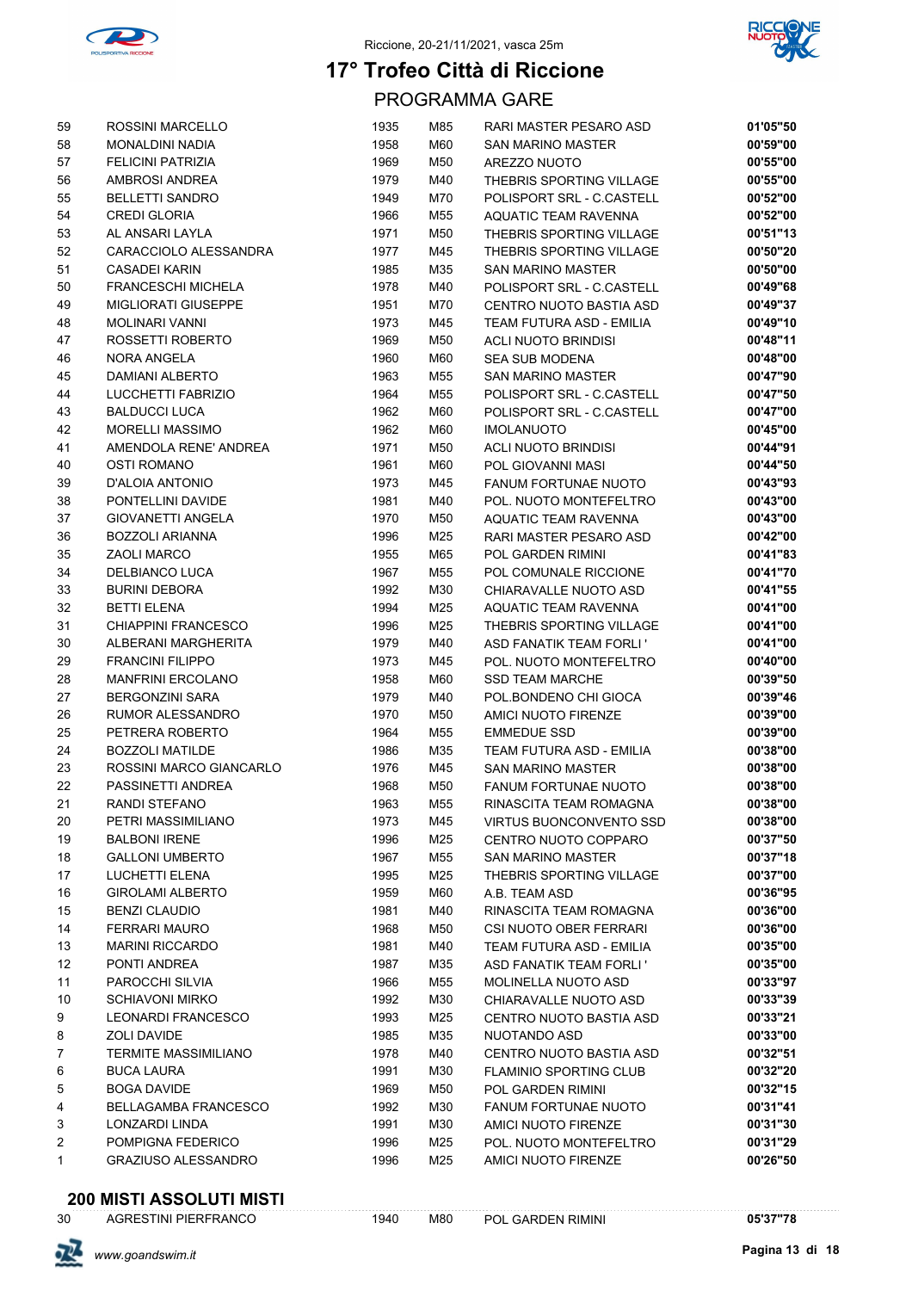



PROGRAMMA GARE

| 59 | ROSSINI MARCELLO            | 1935 | M85 | RARI MASTER PESARO ASD         | 01'05"50 |
|----|-----------------------------|------|-----|--------------------------------|----------|
| 58 | <b>MONALDINI NADIA</b>      | 1958 | M60 | <b>SAN MARINO MASTER</b>       | 00'59"00 |
| 57 | <b>FELICINI PATRIZIA</b>    | 1969 | M50 | AREZZO NUOTO                   | 00'55"00 |
| 56 | AMBROSI ANDREA              | 1979 | M40 | THEBRIS SPORTING VILLAGE       | 00'55"00 |
| 55 | <b>BELLETTI SANDRO</b>      | 1949 | M70 | POLISPORT SRL - C.CASTELL      | 00'52"00 |
| 54 | <b>CREDI GLORIA</b>         | 1966 | M55 | <b>AQUATIC TEAM RAVENNA</b>    | 00'52"00 |
| 53 | AL ANSARI LAYLA             | 1971 | M50 | THEBRIS SPORTING VILLAGE       | 00'51"13 |
| 52 | CARACCIOLO ALESSANDRA       | 1977 | M45 | THEBRIS SPORTING VILLAGE       | 00'50"20 |
| 51 | <b>CASADEI KARIN</b>        | 1985 | M35 | SAN MARINO MASTER              | 00'50"00 |
| 50 | <b>FRANCESCHI MICHELA</b>   | 1978 | M40 | POLISPORT SRL - C.CASTELL      | 00'49"68 |
| 49 | <b>MIGLIORATI GIUSEPPE</b>  | 1951 | M70 | CENTRO NUOTO BASTIA ASD        | 00'49"37 |
| 48 | <b>MOLINARI VANNI</b>       | 1973 | M45 | TEAM FUTURA ASD - EMILIA       | 00'49"10 |
| 47 | ROSSETTI ROBERTO            | 1969 | M50 | <b>ACLI NUOTO BRINDISI</b>     | 00'48"11 |
| 46 | NORA ANGELA                 | 1960 | M60 | <b>SEA SUB MODENA</b>          | 00'48"00 |
| 45 | <b>DAMIANI ALBERTO</b>      | 1963 | M55 | SAN MARINO MASTER              | 00'47"90 |
| 44 | LUCCHETTI FABRIZIO          | 1964 | M55 | POLISPORT SRL - C.CASTELL      | 00'47"50 |
| 43 | <b>BALDUCCI LUCA</b>        | 1962 | M60 | POLISPORT SRL - C.CASTELL      | 00'47"00 |
| 42 | <b>MORELLI MASSIMO</b>      | 1962 | M60 | <b>IMOLANUOTO</b>              | 00'45"00 |
| 41 | AMENDOLA RENE' ANDREA       | 1971 | M50 | <b>ACLI NUOTO BRINDISI</b>     | 00'44"91 |
| 40 | <b>OSTI ROMANO</b>          | 1961 | M60 | POL GIOVANNI MASI              | 00'44"50 |
| 39 | D'ALOIA ANTONIO             | 1973 | M45 | <b>FANUM FORTUNAE NUOTO</b>    | 00'43"93 |
| 38 | PONTELLINI DAVIDE           | 1981 | M40 | POL. NUOTO MONTEFELTRO         | 00'43"00 |
| 37 | <b>GIOVANETTI ANGELA</b>    | 1970 | M50 | <b>AQUATIC TEAM RAVENNA</b>    | 00'43"00 |
| 36 | <b>BOZZOLI ARIANNA</b>      | 1996 | M25 | RARI MASTER PESARO ASD         | 00'42"00 |
| 35 | ZAOLI MARCO                 | 1955 | M65 | <b>POL GARDEN RIMINI</b>       | 00'41"83 |
| 34 | DELBIANCO LUCA              | 1967 | M55 | POL COMUNALE RICCIONE          | 00'41"70 |
| 33 | <b>BURINI DEBORA</b>        | 1992 | M30 | CHIARAVALLE NUOTO ASD          | 00'41"55 |
| 32 | <b>BETTI ELENA</b>          | 1994 | M25 | AQUATIC TEAM RAVENNA           | 00'41"00 |
| 31 | <b>CHIAPPINI FRANCESCO</b>  | 1996 | M25 | THEBRIS SPORTING VILLAGE       | 00'41"00 |
| 30 | ALBERANI MARGHERITA         | 1979 | M40 | ASD FANATIK TEAM FORLI'        | 00'41"00 |
| 29 | <b>FRANCINI FILIPPO</b>     | 1973 | M45 | POL. NUOTO MONTEFELTRO         | 00'40"00 |
| 28 | <b>MANFRINI ERCOLANO</b>    | 1958 | M60 | <b>SSD TEAM MARCHE</b>         | 00'39"50 |
| 27 | <b>BERGONZINI SARA</b>      | 1979 | M40 | POL.BONDENO CHI GIOCA          | 00'39"46 |
| 26 | RUMOR ALESSANDRO            | 1970 | M50 | AMICI NUOTO FIRENZE            | 00'39"00 |
| 25 | PETRERA ROBERTO             | 1964 | M55 | <b>EMMEDUE SSD</b>             | 00'39"00 |
| 24 | <b>BOZZOLI MATILDE</b>      | 1986 | M35 | TEAM FUTURA ASD - EMILIA       | 00'38"00 |
| 23 | ROSSINI MARCO GIANCARLO     | 1976 | M45 | <b>SAN MARINO MASTER</b>       | 00'38"00 |
| 22 | PASSINETTI ANDREA           | 1968 | M50 | FANUM FORTUNAE NUOTO           | 00'38"00 |
| 21 | RANDI STEFANO               | 1963 | M55 | RINASCITA TEAM ROMAGNA         | 00'38"00 |
| 20 | PETRI MASSIMILIANO          | 1973 | M45 | <b>VIRTUS BUONCONVENTO SSD</b> | 00'38"00 |
| 19 | <b>BALBONI IRENE</b>        | 1996 | M25 | CENTRO NUOTO COPPARO           | 00'37"50 |
| 18 | <b>GALLONI UMBERTO</b>      | 1967 | M55 | <b>SAN MARINO MASTER</b>       | 00'37"18 |
| 17 | <b>LUCHETTI ELENA</b>       | 1995 | M25 | THEBRIS SPORTING VILLAGE       | 00'37"00 |
| 16 | <b>GIROLAMI ALBERTO</b>     | 1959 | M60 | A.B. TEAM ASD                  | 00'36"95 |
| 15 | <b>BENZI CLAUDIO</b>        | 1981 | M40 | RINASCITA TEAM ROMAGNA         | 00'36"00 |
| 14 | <b>FERRARI MAURO</b>        | 1968 | M50 | CSI NUOTO OBER FERRARI         | 00'36"00 |
| 13 | <b>MARINI RICCARDO</b>      | 1981 | M40 | TEAM FUTURA ASD - EMILIA       | 00'35"00 |
| 12 | PONTI ANDREA                | 1987 | M35 | ASD FANATIK TEAM FORLI'        | 00'35"00 |
| 11 | PAROCCHI SILVIA             | 1966 | M55 | <b>MOLINELLA NUOTO ASD</b>     | 00'33"97 |
| 10 | <b>SCHIAVONI MIRKO</b>      | 1992 | M30 | CHIARAVALLE NUOTO ASD          | 00'33"39 |
| 9  | <b>LEONARDI FRANCESCO</b>   | 1993 | M25 | CENTRO NUOTO BASTIA ASD        | 00'33"21 |
| 8  | ZOLI DAVIDE                 | 1985 | M35 | NUOTANDO ASD                   | 00'33"00 |
| 7  | <b>TERMITE MASSIMILIANO</b> | 1978 | M40 | CENTRO NUOTO BASTIA ASD        | 00'32"51 |
| 6  | <b>BUCA LAURA</b>           | 1991 | M30 | <b>FLAMINIO SPORTING CLUB</b>  | 00'32"20 |
| 5  | <b>BOGA DAVIDE</b>          | 1969 | M50 | POL GARDEN RIMINI              | 00'32"15 |
| 4  | <b>BELLAGAMBA FRANCESCO</b> | 1992 | M30 | <b>FANUM FORTUNAE NUOTO</b>    | 00'31"41 |
| 3  | LONZARDI LINDA              | 1991 | M30 | AMICI NUOTO FIRENZE            | 00'31"30 |
| 2  | POMPIGNA FEDERICO           | 1996 | M25 | POL. NUOTO MONTEFELTRO         | 00'31"29 |
| 1  | <b>GRAZIUSO ALESSANDRO</b>  | 1996 | M25 | AMICI NUOTO FIRENZE            | 00'26"50 |
|    |                             |      |     |                                |          |

# **200 MISTI ASSOLUTI MISTI**<br>30 AGRESTINI PIERFRANCO

AGRESTINI PIERFRANCO 1940 M80 POL GARDEN RIMINI **05'37"78**

52.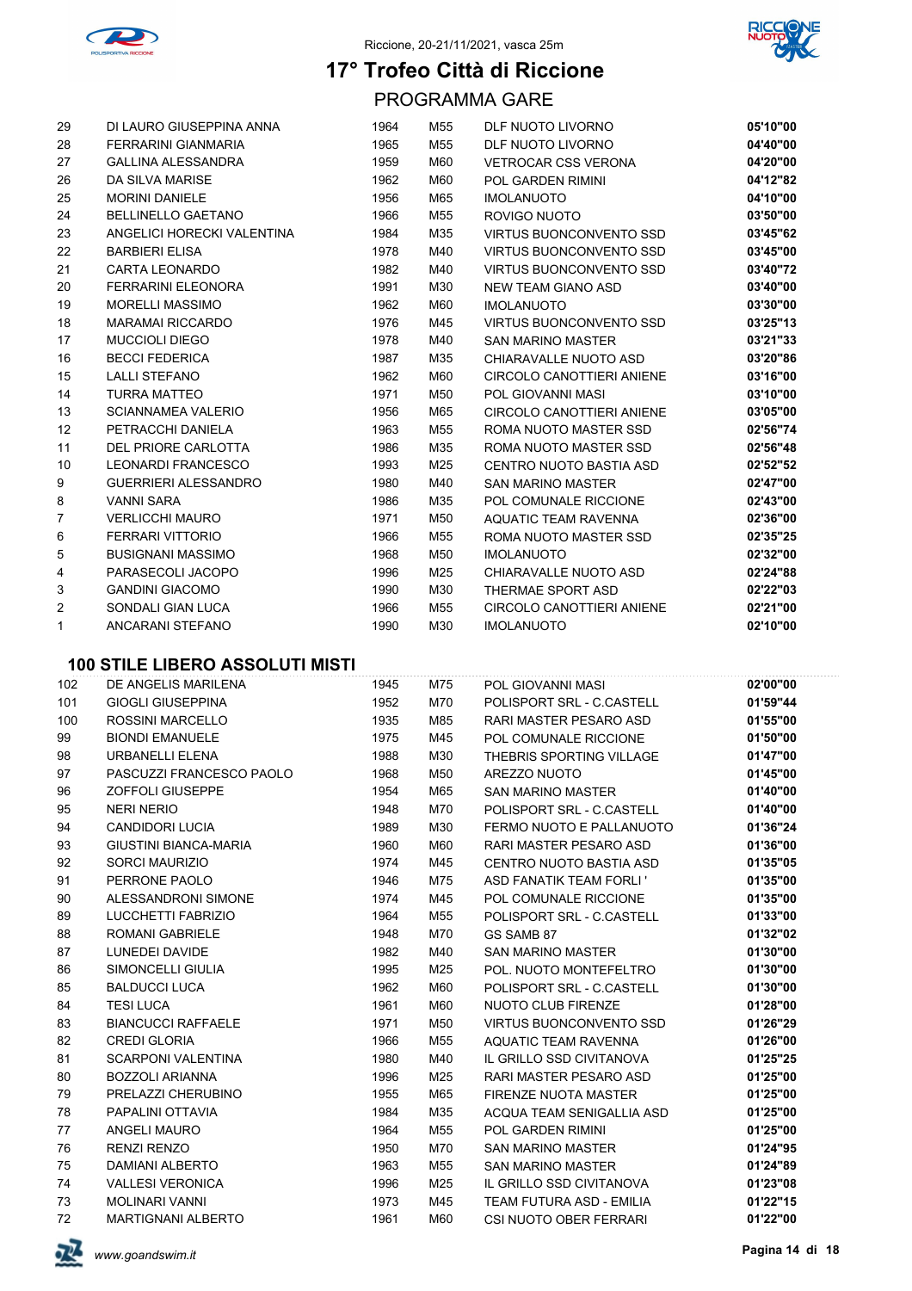



PROGRAMMA GARE

| 29              | DI LAURO GIUSEPPINA ANNA    | 1964 | M55 | DLF NUOTO LIVORNO              | 05'10"00 |
|-----------------|-----------------------------|------|-----|--------------------------------|----------|
| 28              | <b>FERRARINI GIANMARIA</b>  | 1965 | M55 | DLF NUOTO LIVORNO              | 04'40"00 |
| 27              | <b>GALLINA ALESSANDRA</b>   | 1959 | M60 | <b>VETROCAR CSS VERONA</b>     | 04'20"00 |
| 26              | DA SILVA MARISE             | 1962 | M60 | POL GARDEN RIMINI              | 04'12"82 |
| 25              | <b>MORINI DANIELE</b>       | 1956 | M65 | <b>IMOLANUOTO</b>              | 04'10"00 |
| 24              | <b>BELLINELLO GAETANO</b>   | 1966 | M55 | ROVIGO NUOTO                   | 03'50"00 |
| 23              | ANGELICI HORECKI VALENTINA  | 1984 | M35 | <b>VIRTUS BUONCONVENTO SSD</b> | 03'45"62 |
| 22              | <b>BARBIERI ELISA</b>       | 1978 | M40 | <b>VIRTUS BUONCONVENTO SSD</b> | 03'45"00 |
| 21              | <b>CARTA LEONARDO</b>       | 1982 | M40 | <b>VIRTUS BUONCONVENTO SSD</b> | 03'40"72 |
| 20              | <b>FERRARINI ELEONORA</b>   | 1991 | M30 | NEW TEAM GIANO ASD             | 03'40"00 |
| 19              | <b>MORELLI MASSIMO</b>      | 1962 | M60 | <b>IMOLANUOTO</b>              | 03'30"00 |
| 18              | <b>MARAMAI RICCARDO</b>     | 1976 | M45 | <b>VIRTUS BUONCONVENTO SSD</b> | 03'25"13 |
| 17              | <b>MUCCIOLI DIEGO</b>       | 1978 | M40 | <b>SAN MARINO MASTER</b>       | 03'21"33 |
| 16              | <b>BECCI FEDERICA</b>       | 1987 | M35 | CHIARAVALLE NUOTO ASD          | 03'20"86 |
| 15              | <b>LALLI STEFANO</b>        | 1962 | M60 | CIRCOLO CANOTTIERI ANIENE      | 03'16"00 |
| 14              | <b>TURRA MATTEO</b>         | 1971 | M50 | POL GIOVANNI MASI              | 03'10"00 |
| 13              | <b>SCIANNAMEA VALERIO</b>   | 1956 | M65 | CIRCOLO CANOTTIERI ANIENE      | 03'05"00 |
| 12 <sup>°</sup> | PETRACCHI DANIELA           | 1963 | M55 | ROMA NUOTO MASTER SSD          | 02'56"74 |
| 11              | DEL PRIORE CARLOTTA         | 1986 | M35 | ROMA NUOTO MASTER SSD          | 02'56"48 |
| 10              | <b>LEONARDI FRANCESCO</b>   | 1993 | M25 | CENTRO NUOTO BASTIA ASD        | 02'52"52 |
| 9               | <b>GUERRIERI ALESSANDRO</b> | 1980 | M40 | <b>SAN MARINO MASTER</b>       | 02'47"00 |
| 8               | <b>VANNI SARA</b>           | 1986 | M35 | POL COMUNALE RICCIONE          | 02'43"00 |
| $\overline{7}$  | <b>VERLICCHI MAURO</b>      | 1971 | M50 | AQUATIC TEAM RAVENNA           | 02'36"00 |
| 6               | FERRARI VITTORIO            | 1966 | M55 | ROMA NUOTO MASTER SSD          | 02'35"25 |
| 5               | <b>BUSIGNANI MASSIMO</b>    | 1968 | M50 | <b>IMOLANUOTO</b>              | 02'32"00 |
| 4               | PARASECOLI JACOPO           | 1996 | M25 | CHIARAVALLE NUOTO ASD          | 02'24"88 |
| 3               | <b>GANDINI GIACOMO</b>      | 1990 | M30 | THERMAE SPORT ASD              | 02'22"03 |
| 2               | SONDALI GIAN LUCA           | 1966 | M55 | CIRCOLO CANOTTIERI ANIENE      | 02'21"00 |
| 1               | ANCARANI STEFANO            | 1990 | M30 | <b>IMOLANUOTO</b>              | 02'10"00 |

| 102 | DE ANGELIS MARILENA          | 1945 | M75 | POL GIOVANNI MASI              | 02'00"00 |
|-----|------------------------------|------|-----|--------------------------------|----------|
| 101 | <b>GIOGLI GIUSEPPINA</b>     | 1952 | M70 | POLISPORT SRL - C.CASTELL      | 01'59"44 |
| 100 | ROSSINI MARCELLO             | 1935 | M85 | RARI MASTER PESARO ASD         | 01'55"00 |
| 99  | <b>BIONDI EMANUELE</b>       | 1975 | M45 | POL COMUNALE RICCIONE          | 01'50"00 |
| 98  | URBANELLI ELENA              | 1988 | M30 | THEBRIS SPORTING VILLAGE       | 01'47"00 |
| 97  | PASCUZZI FRANCESCO PAOLO     | 1968 | M50 | AREZZO NUOTO                   | 01'45"00 |
| 96  | <b>ZOFFOLI GIUSEPPE</b>      | 1954 | M65 | <b>SAN MARINO MASTER</b>       | 01'40"00 |
| 95  | <b>NERI NERIO</b>            | 1948 | M70 | POLISPORT SRL - C.CASTELL      | 01'40"00 |
| 94  | <b>CANDIDORI LUCIA</b>       | 1989 | M30 | FERMO NUOTO E PALLANUOTO       | 01'36"24 |
| 93  | <b>GIUSTINI BIANCA-MARIA</b> | 1960 | M60 | RARI MASTER PESARO ASD         | 01'36"00 |
| 92  | SORCI MAURIZIO               | 1974 | M45 | CENTRO NUOTO BASTIA ASD        | 01'35"05 |
| 91  | PERRONE PAOLO                | 1946 | M75 | <b>ASD FANATIK TEAM FORLI'</b> | 01'35"00 |
| 90  | ALESSANDRONI SIMONE          | 1974 | M45 | POL COMUNALE RICCIONE          | 01'35"00 |
| 89  | <b>LUCCHETTI FABRIZIO</b>    | 1964 | M55 | POLISPORT SRL - C.CASTELL      | 01'33"00 |
| 88  | <b>ROMANI GABRIELE</b>       | 1948 | M70 | GS SAMB 87                     | 01'32"02 |
| 87  | <b>LUNEDEI DAVIDE</b>        | 1982 | M40 | <b>SAN MARINO MASTER</b>       | 01'30"00 |
| 86  | SIMONCELLI GIULIA            | 1995 | M25 | POL. NUOTO MONTEFELTRO         | 01'30"00 |
| 85  | <b>BALDUCCI LUCA</b>         | 1962 | M60 | POLISPORT SRL - C.CASTELL      | 01'30"00 |
| 84  | <b>TESI LUCA</b>             | 1961 | M60 | NUOTO CLUB FIRENZE             | 01'28"00 |
| 83  | <b>BIANCUCCI RAFFAELE</b>    | 1971 | M50 | <b>VIRTUS BUONCONVENTO SSD</b> | 01'26"29 |
| 82  | <b>CREDI GLORIA</b>          | 1966 | M55 | AQUATIC TEAM RAVENNA           | 01'26"00 |
| 81  | <b>SCARPONI VALENTINA</b>    | 1980 | M40 | IL GRILLO SSD CIVITANOVA       | 01'25"25 |
| 80  | <b>BOZZOLI ARIANNA</b>       | 1996 | M25 | RARI MASTER PESARO ASD         | 01'25"00 |
| 79  | PRELAZZI CHERUBINO           | 1955 | M65 | <b>FIRENZE NUOTA MASTER</b>    | 01'25"00 |
| 78  | PAPALINI OTTAVIA             | 1984 | M35 | ACQUA TEAM SENIGALLIA ASD      | 01'25"00 |
| 77  | ANGELI MAURO                 | 1964 | M55 | <b>POL GARDEN RIMINI</b>       | 01'25"00 |
| 76  | <b>RENZI RENZO</b>           | 1950 | M70 | <b>SAN MARINO MASTER</b>       | 01'24"95 |
| 75  | <b>DAMIANI ALBERTO</b>       | 1963 | M55 | <b>SAN MARINO MASTER</b>       | 01'24"89 |
| 74  | <b>VALLESI VERONICA</b>      | 1996 | M25 | IL GRILLO SSD CIVITANOVA       | 01'23"08 |
| 73  | <b>MOLINARI VANNI</b>        | 1973 | M45 | TEAM FUTURA ASD - EMILIA       | 01'22"15 |
| 72  | <b>MARTIGNANI ALBERTO</b>    | 1961 | M60 | CSI NUOTO OBER FERRARI         | 01'22"00 |

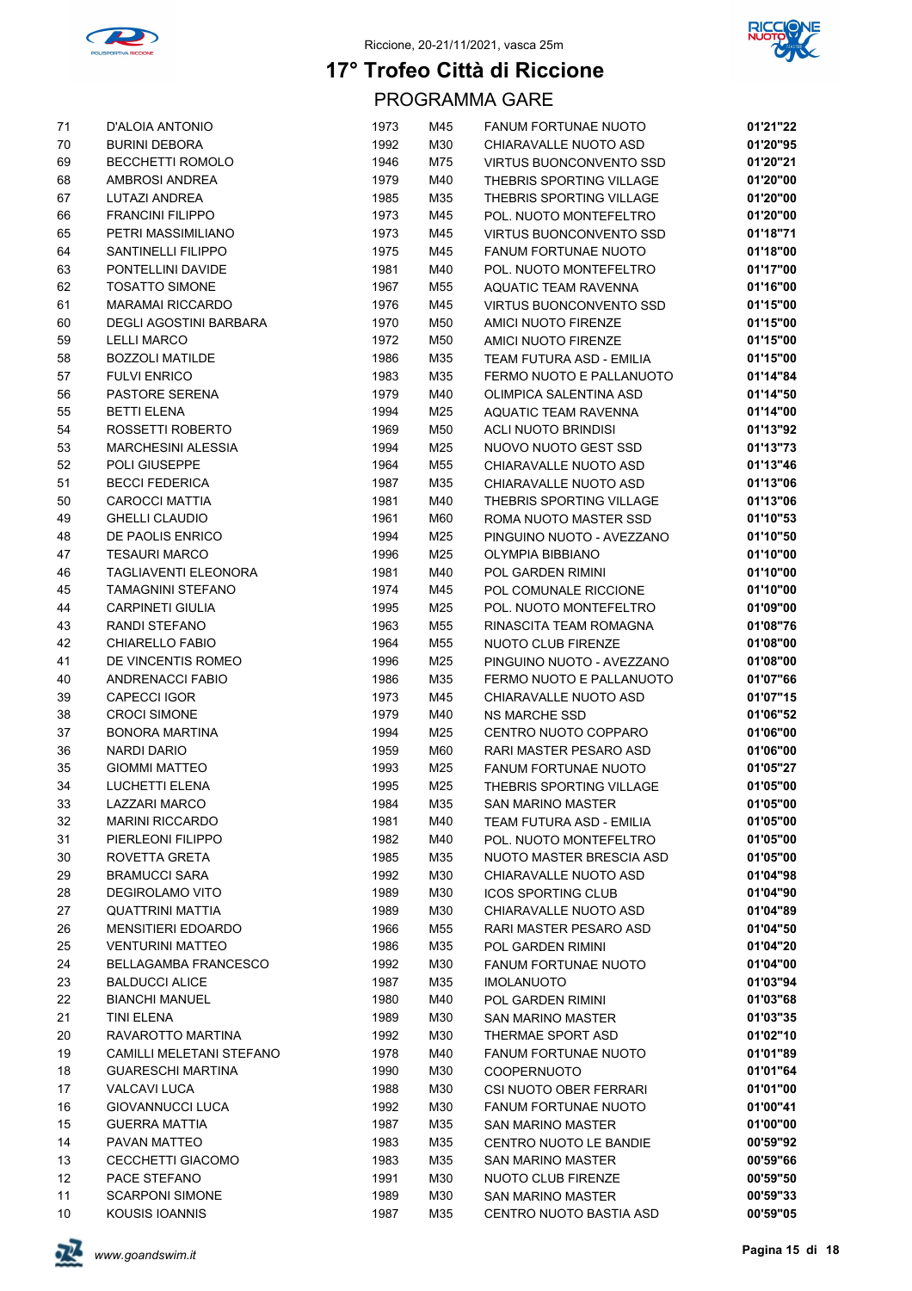



| 71 | D'ALOIA ANTONIO               | 1973 | M45 | <b>FANUM FORTUNAE NUOTO</b>    | 01'21"22 |
|----|-------------------------------|------|-----|--------------------------------|----------|
| 70 | <b>BURINI DEBORA</b>          | 1992 | M30 | CHIARAVALLE NUOTO ASD          | 01'20"95 |
| 69 | <b>BECCHETTI ROMOLO</b>       | 1946 | M75 | VIRTUS BUONCONVENTO SSD        | 01'20"21 |
| 68 | AMBROSI ANDREA                | 1979 | M40 | THEBRIS SPORTING VILLAGE       | 01'20"00 |
| 67 | LUTAZI ANDREA                 | 1985 | M35 | THEBRIS SPORTING VILLAGE       | 01'20"00 |
| 66 | <b>FRANCINI FILIPPO</b>       | 1973 | M45 | POL. NUOTO MONTEFELTRO         | 01'20"00 |
| 65 | PETRI MASSIMILIANO            | 1973 | M45 | <b>VIRTUS BUONCONVENTO SSD</b> | 01'18"71 |
| 64 | SANTINELLI FILIPPO            | 1975 | M45 | FANUM FORTUNAE NUOTO           | 01'18"00 |
| 63 | PONTELLINI DAVIDE             | 1981 | M40 | POL. NUOTO MONTEFELTRO         | 01'17"00 |
| 62 | <b>TOSATTO SIMONE</b>         | 1967 | M55 | AQUATIC TEAM RAVENNA           | 01'16"00 |
| 61 | <b>MARAMAI RICCARDO</b>       | 1976 | M45 | <b>VIRTUS BUONCONVENTO SSD</b> | 01'15"00 |
| 60 | <b>DEGLI AGOSTINI BARBARA</b> | 1970 | M50 | AMICI NUOTO FIRENZE            | 01'15"00 |
| 59 | <b>LELLI MARCO</b>            | 1972 | M50 | AMICI NUOTO FIRENZE            | 01'15"00 |
| 58 | <b>BOZZOLI MATILDE</b>        | 1986 | M35 |                                | 01'15"00 |
|    |                               |      |     | TEAM FUTURA ASD - EMILIA       |          |
| 57 | <b>FULVI ENRICO</b>           | 1983 | M35 | FERMO NUOTO E PALLANUOTO       | 01'14"84 |
| 56 | PASTORE SERENA                | 1979 | M40 | OLIMPICA SALENTINA ASD         | 01'14"50 |
| 55 | <b>BETTI ELENA</b>            | 1994 | M25 | AQUATIC TEAM RAVENNA           | 01'14"00 |
| 54 | ROSSETTI ROBERTO              | 1969 | M50 | <b>ACLI NUOTO BRINDISI</b>     | 01'13"92 |
| 53 | MARCHESINI ALESSIA            | 1994 | M25 | NUOVO NUOTO GEST SSD           | 01'13"73 |
| 52 | POLI GIUSEPPE                 | 1964 | M55 | CHIARAVALLE NUOTO ASD          | 01'13"46 |
| 51 | <b>BECCI FEDERICA</b>         | 1987 | M35 | CHIARAVALLE NUOTO ASD          | 01'13"06 |
| 50 | <b>CAROCCI MATTIA</b>         | 1981 | M40 | THEBRIS SPORTING VILLAGE       | 01'13"06 |
| 49 | <b>GHELLI CLAUDIO</b>         | 1961 | M60 | ROMA NUOTO MASTER SSD          | 01'10"53 |
| 48 | DE PAOLIS ENRICO              | 1994 | M25 | PINGUINO NUOTO - AVEZZANO      | 01'10"50 |
| 47 | <b>TESAURI MARCO</b>          | 1996 | M25 | OLYMPIA BIBBIANO               | 01'10"00 |
| 46 | TAGLIAVENTI ELEONORA          | 1981 | M40 | POL GARDEN RIMINI              | 01'10"00 |
| 45 | TAMAGNINI STEFANO             | 1974 | M45 | POL COMUNALE RICCIONE          | 01'10"00 |
| 44 | <b>CARPINETI GIULIA</b>       | 1995 | M25 | POL. NUOTO MONTEFELTRO         | 01'09"00 |
| 43 | RANDI STEFANO                 | 1963 | M55 | RINASCITA TEAM ROMAGNA         | 01'08"76 |
| 42 | CHIARELLO FABIO               | 1964 | M55 | NUOTO CLUB FIRENZE             | 01'08"00 |
| 41 | DE VINCENTIS ROMEO            | 1996 | M25 | PINGUINO NUOTO - AVEZZANO      | 01'08"00 |
| 40 | <b>ANDRENACCI FABIO</b>       | 1986 | M35 | FERMO NUOTO E PALLANUOTO       | 01'07"66 |
| 39 | CAPECCI IGOR                  | 1973 | M45 | CHIARAVALLE NUOTO ASD          | 01'07"15 |
| 38 | <b>CROCI SIMONE</b>           | 1979 | M40 | <b>NS MARCHE SSD</b>           | 01'06"52 |
| 37 | <b>BONORA MARTINA</b>         | 1994 | M25 | CENTRO NUOTO COPPARO           | 01'06"00 |
| 36 | <b>NARDI DARIO</b>            | 1959 | M60 | RARI MASTER PESARO ASD         | 01'06"00 |
| 35 | <b>GIOMMI MATTEO</b>          | 1993 | M25 | <b>FANUM FORTUNAE NUOTO</b>    | 01'05"27 |
| 34 | <b>LUCHETTI ELENA</b>         | 1995 | M25 | THEBRIS SPORTING VILLAGE       | 01'05"00 |
| 33 | LAZZARI MARCO                 | 1984 | M35 | <b>SAN MARINO MASTER</b>       | 01'05"00 |
| 32 | <b>MARINI RICCARDO</b>        | 1981 | M40 | TEAM FUTURA ASD - EMILIA       | 01'05"00 |
| 31 | PIERLEONI FILIPPO             | 1982 | M40 | POL. NUOTO MONTEFELTRO         | 01'05"00 |
| 30 | ROVETTA GRETA                 | 1985 | M35 | NUOTO MASTER BRESCIA ASD       | 01'05"00 |
| 29 | <b>BRAMUCCI SARA</b>          | 1992 | M30 | CHIARAVALLE NUOTO ASD          | 01'04"98 |
| 28 | <b>DEGIROLAMO VITO</b>        | 1989 | M30 | <b>ICOS SPORTING CLUB</b>      | 01'04"90 |
| 27 | QUATTRINI MATTIA              | 1989 | M30 | CHIARAVALLE NUOTO ASD          | 01'04"89 |
| 26 | <b>MENSITIERI EDOARDO</b>     | 1966 | M55 | RARI MASTER PESARO ASD         | 01'04"50 |
| 25 | <b>VENTURINI MATTEO</b>       | 1986 | M35 | POL GARDEN RIMINI              | 01'04"20 |
| 24 | <b>BELLAGAMBA FRANCESCO</b>   | 1992 | M30 | <b>FANUM FORTUNAE NUOTO</b>    | 01'04"00 |
| 23 | <b>BALDUCCI ALICE</b>         | 1987 | M35 | <b>IMOLANUOTO</b>              | 01'03"94 |
| 22 | <b>BIANCHI MANUEL</b>         | 1980 | M40 | POL GARDEN RIMINI              | 01'03"68 |
| 21 | TINI ELENA                    | 1989 | M30 | SAN MARINO MASTER              | 01'03"35 |
| 20 | RAVAROTTO MARTINA             | 1992 | M30 | THERMAE SPORT ASD              | 01'02"10 |
| 19 | CAMILLI MELETANI STEFANO      | 1978 | M40 | <b>FANUM FORTUNAE NUOTO</b>    | 01'01"89 |
| 18 | <b>GUARESCHI MARTINA</b>      | 1990 | M30 | <b>COOPERNUOTO</b>             | 01'01"64 |
| 17 | <b>VALCAVI LUCA</b>           | 1988 | M30 |                                | 01'01"00 |
|    |                               |      |     | CSI NUOTO OBER FERRARI         |          |
| 16 | GIOVANNUCCI LUCA              | 1992 | M30 | <b>FANUM FORTUNAE NUOTO</b>    | 01'00"41 |
| 15 | <b>GUERRA MATTIA</b>          | 1987 | M35 | <b>SAN MARINO MASTER</b>       | 01'00"00 |
| 14 | PAVAN MATTEO                  | 1983 | M35 | CENTRO NUOTO LE BANDIE         | 00'59"92 |
| 13 | CECCHETTI GIACOMO             | 1983 | M35 | <b>SAN MARINO MASTER</b>       | 00'59"66 |
| 12 | PACE STEFANO                  | 1991 | M30 | NUOTO CLUB FIRENZE             | 00'59"50 |
| 11 | <b>SCARPONI SIMONE</b>        | 1989 | M30 | <b>SAN MARINO MASTER</b>       | 00'59"33 |
| 10 | KOUSIS IOANNIS                | 1987 | M35 | CENTRO NUOTO BASTIA ASD        | 00'59"05 |

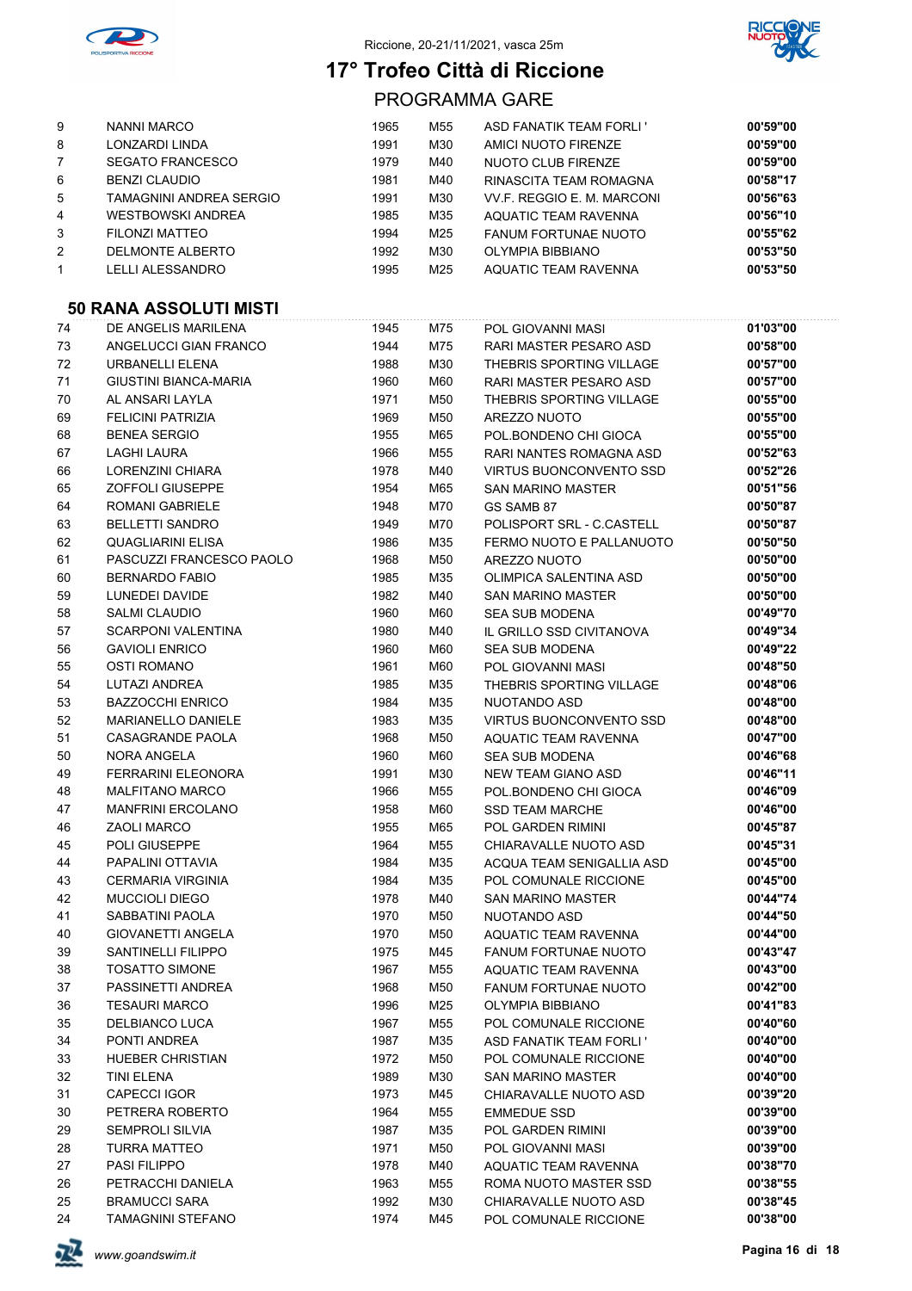



PROGRAMMA GARE

| 9              | <b>NANNI MARCO</b>       | 1965 | M55 | ASD FANATIK TEAM FORLI'     | 00'59"00 |
|----------------|--------------------------|------|-----|-----------------------------|----------|
| 8              | LONZARDI LINDA           | 1991 | M30 | AMICI NUOTO FIRENZE         | 00'59"00 |
|                | <b>SEGATO FRANCESCO</b>  | 1979 | M40 | NUOTO CLUB FIRENZE          | 00'59"00 |
| 6              | <b>BENZI CLAUDIO</b>     | 1981 | M40 | RINASCITA TEAM ROMAGNA      | 00'58"17 |
| 5              | TAMAGNINI ANDREA SERGIO  | 1991 | M30 | VV F. REGGIO E. M. MARCONI  | 00'56"63 |
| 4              | <b>WESTBOWSKI ANDREA</b> | 1985 | M35 | AQUATIC TEAM RAVENNA        | 00'56"10 |
| 3              | FILONZI MATTEO           | 1994 | M25 | <b>FANUM FORTUNAE NUOTO</b> | 00'55"62 |
| $\overline{2}$ | DELMONTE ALBERTO         | 1992 | M30 | OLYMPIA BIBBIANO            | 00'53"50 |
|                | LELLI ALESSANDRO         | 1995 | M25 | <b>AQUATIC TEAM RAVENNA</b> | 00'53"50 |

#### **50 RANA ASSOLUTI MISTI**

| 74 | DE ANGELIS MARILENA       | 1945 | M75 | POL GIOVANNI MASI              | 01'03"00 |
|----|---------------------------|------|-----|--------------------------------|----------|
| 73 | ANGELUCCI GIAN FRANCO     | 1944 | M75 | RARI MASTER PESARO ASD         | 00'58"00 |
| 72 | URBANELLI ELENA           | 1988 | M30 | THEBRIS SPORTING VILLAGE       | 00'57"00 |
| 71 | GIUSTINI BIANCA-MARIA     | 1960 | M60 | RARI MASTER PESARO ASD         | 00'57"00 |
| 70 | AL ANSARI LAYLA           | 1971 | M50 | THEBRIS SPORTING VILLAGE       | 00'55"00 |
| 69 | <b>FELICINI PATRIZIA</b>  | 1969 | M50 | AREZZO NUOTO                   | 00'55"00 |
| 68 | <b>BENEA SERGIO</b>       | 1955 | M65 | POL.BONDENO CHI GIOCA          | 00'55"00 |
| 67 | <b>LAGHI LAURA</b>        | 1966 | M55 | RARI NANTES ROMAGNA ASD        | 00'52"63 |
| 66 | LORENZINI CHIARA          | 1978 | M40 | <b>VIRTUS BUONCONVENTO SSD</b> | 00'52"26 |
| 65 | ZOFFOLI GIUSEPPE          | 1954 | M65 | <b>SAN MARINO MASTER</b>       | 00'51"56 |
| 64 | <b>ROMANI GABRIELE</b>    | 1948 | M70 | GS SAMB 87                     | 00'50"87 |
| 63 | <b>BELLETTI SANDRO</b>    | 1949 | M70 | POLISPORT SRL - C.CASTELL      | 00'50"87 |
| 62 | QUAGLIARINI ELISA         | 1986 | M35 | FERMO NUOTO E PALLANUOTO       | 00'50"50 |
| 61 | PASCUZZI FRANCESCO PAOLO  | 1968 | M50 | AREZZO NUOTO                   | 00'50"00 |
| 60 | <b>BERNARDO FABIO</b>     | 1985 | M35 | OLIMPICA SALENTINA ASD         | 00'50"00 |
| 59 | LUNEDEI DAVIDE            | 1982 | M40 | <b>SAN MARINO MASTER</b>       | 00'50"00 |
| 58 | <b>SALMI CLAUDIO</b>      | 1960 | M60 | <b>SEA SUB MODENA</b>          | 00'49"70 |
| 57 | <b>SCARPONI VALENTINA</b> | 1980 | M40 | IL GRILLO SSD CIVITANOVA       | 00'49"34 |
| 56 | <b>GAVIOLI ENRICO</b>     | 1960 | M60 | <b>SEA SUB MODENA</b>          | 00'49"22 |
| 55 | <b>OSTI ROMANO</b>        | 1961 | M60 | POL GIOVANNI MASI              | 00'48"50 |
| 54 | LUTAZI ANDREA             | 1985 | M35 | THEBRIS SPORTING VILLAGE       | 00'48"06 |
| 53 | <b>BAZZOCCHI ENRICO</b>   | 1984 | M35 | NUOTANDO ASD                   | 00'48"00 |
| 52 | <b>MARIANELLO DANIELE</b> | 1983 | M35 | <b>VIRTUS BUONCONVENTO SSD</b> | 00'48"00 |
| 51 | CASAGRANDE PAOLA          | 1968 | M50 | AQUATIC TEAM RAVENNA           | 00'47"00 |
| 50 | <b>NORA ANGELA</b>        | 1960 | M60 | <b>SEA SUB MODENA</b>          | 00'46"68 |
| 49 | FERRARINI ELEONORA        | 1991 | M30 | <b>NEW TEAM GIANO ASD</b>      | 00'46"11 |
| 48 | <b>MALFITANO MARCO</b>    | 1966 | M55 | POL.BONDENO CHI GIOCA          | 00'46"09 |
| 47 | <b>MANFRINI ERCOLANO</b>  | 1958 | M60 | <b>SSD TEAM MARCHE</b>         | 00'46"00 |
| 46 | <b>ZAOLI MARCO</b>        | 1955 | M65 | POL GARDEN RIMINI              | 00'45"87 |
| 45 | POLI GIUSEPPE             | 1964 | M55 | CHIARAVALLE NUOTO ASD          | 00'45"31 |
| 44 | PAPALINI OTTAVIA          | 1984 | M35 | ACQUA TEAM SENIGALLIA ASD      | 00'45"00 |
| 43 | <b>CERMARIA VIRGINIA</b>  | 1984 | M35 | POL COMUNALE RICCIONE          | 00'45"00 |
| 42 | <b>MUCCIOLI DIEGO</b>     | 1978 | M40 | <b>SAN MARINO MASTER</b>       | 00'44"74 |
| 41 | SABBATINI PAOLA           | 1970 | M50 | NUOTANDO ASD                   | 00'44"50 |
| 40 | <b>GIOVANETTI ANGELA</b>  | 1970 | M50 | AQUATIC TEAM RAVENNA           | 00'44"00 |
| 39 | SANTINELLI FILIPPO        | 1975 | M45 | <b>FANUM FORTUNAE NUOTO</b>    | 00'43"47 |
| 38 | <b>TOSATTO SIMONE</b>     | 1967 | M55 | AQUATIC TEAM RAVENNA           | 00'43"00 |
| 37 | PASSINETTI ANDREA         | 1968 | M50 | <b>FANUM FORTUNAE NUOTO</b>    | 00'42"00 |
| 36 | <b>TESAURI MARCO</b>      | 1996 | M25 | OLYMPIA BIBBIANO               | 00'41"83 |
| 35 | DELBIANCO LUCA            | 1967 | M55 | POL COMUNALE RICCIONE          | 00'40"60 |
| 34 | PONTI ANDREA              | 1987 | M35 | <b>ASD FANATIK TEAM FORLI'</b> | 00'40"00 |
| 33 | <b>HUEBER CHRISTIAN</b>   | 1972 | M50 | POL COMUNALE RICCIONE          | 00'40"00 |
| 32 | <b>TINI ELENA</b>         | 1989 | M30 | <b>SAN MARINO MASTER</b>       | 00'40"00 |
| 31 | <b>CAPECCI IGOR</b>       | 1973 | M45 | CHIARAVALLE NUOTO ASD          | 00'39"20 |
| 30 | PETRERA ROBERTO           | 1964 | M55 | <b>EMMEDUE SSD</b>             | 00'39"00 |
| 29 | SEMPROLI SILVIA           | 1987 | M35 | POL GARDEN RIMINI              | 00'39"00 |
| 28 | <b>TURRA MATTEO</b>       | 1971 | M50 | POL GIOVANNI MASI              | 00'39"00 |
| 27 | PASI FILIPPO              | 1978 | M40 | AQUATIC TEAM RAVENNA           | 00'38"70 |
| 26 | PETRACCHI DANIELA         | 1963 | M55 | ROMA NUOTO MASTER SSD          | 00'38"55 |
| 25 | <b>BRAMUCCI SARA</b>      | 1992 | M30 | CHIARAVALLE NUOTO ASD          | 00'38"45 |
| 24 | <b>TAMAGNINI STEFANO</b>  | 1974 | M45 | POL COMUNALE RICCIONE          | 00'38"00 |

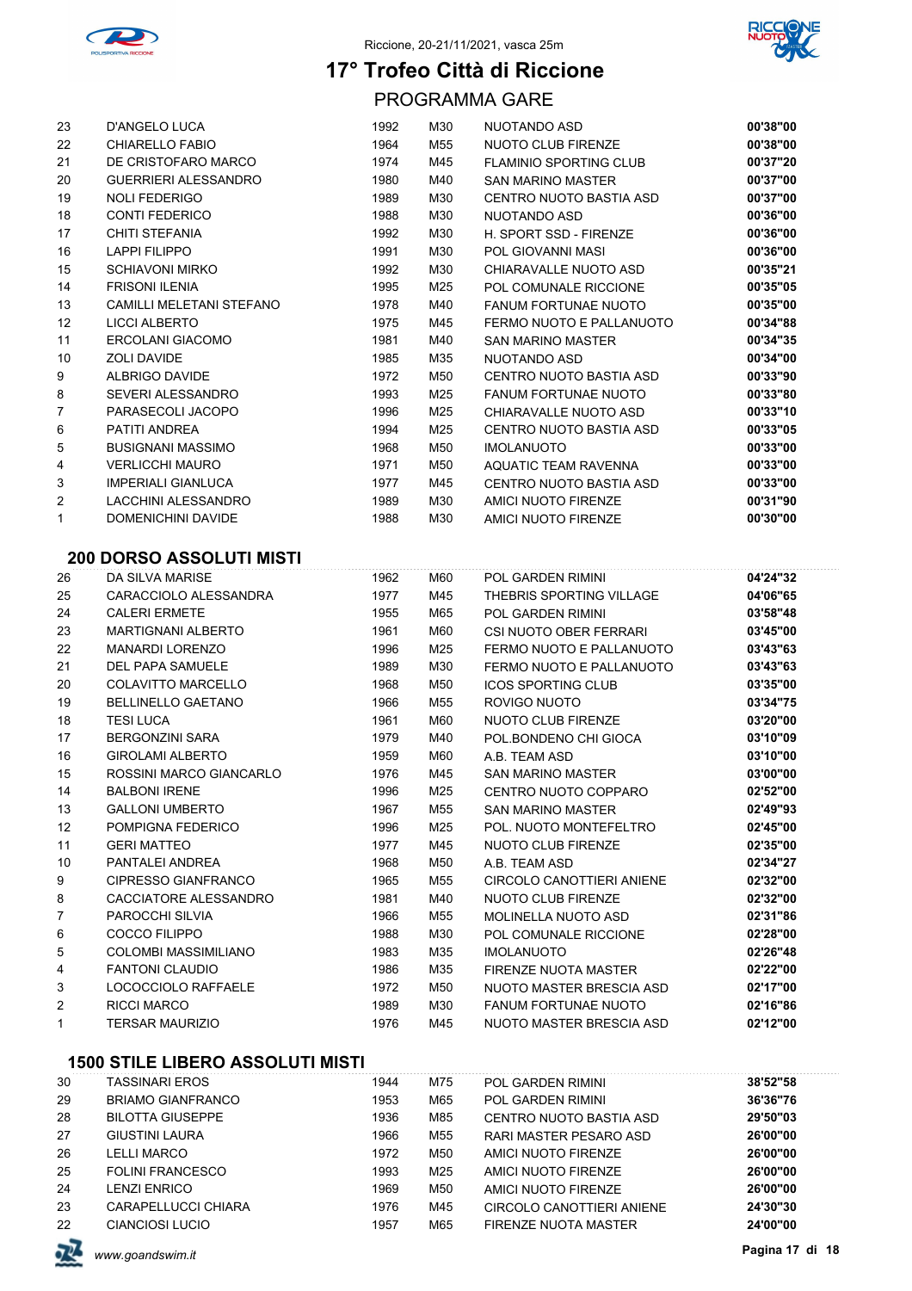



PROGRAMMA GARE

| 23 | <b>D'ANGELO LUCA</b>        | 1992 | M30 | NUOTANDO ASD                  | 00'38"00 |
|----|-----------------------------|------|-----|-------------------------------|----------|
| 22 | CHIARELLO FABIO             | 1964 | M55 | NUOTO CLUB FIRENZE            | 00'38"00 |
| 21 | DE CRISTOFARO MARCO         | 1974 | M45 | <b>FLAMINIO SPORTING CLUB</b> | 00'37"20 |
| 20 | <b>GUERRIERI ALESSANDRO</b> | 1980 | M40 | <b>SAN MARINO MASTER</b>      | 00'37"00 |
| 19 | <b>NOLI FEDERIGO</b>        | 1989 | M30 | CENTRO NUOTO BASTIA ASD       | 00'37"00 |
| 18 | <b>CONTI FEDERICO</b>       | 1988 | M30 | NUOTANDO ASD                  | 00'36"00 |
| 17 | CHITI STEFANIA              | 1992 | M30 | H. SPORT SSD - FIRENZE        | 00'36"00 |
| 16 | <b>LAPPI FILIPPO</b>        | 1991 | M30 | POL GIOVANNI MASI             | 00'36"00 |
| 15 | <b>SCHIAVONI MIRKO</b>      | 1992 | M30 | CHIARAVALLE NUOTO ASD         | 00'35"21 |
| 14 | <b>FRISONI ILENIA</b>       | 1995 | M25 | POL COMUNALE RICCIONE         | 00'35"05 |
| 13 | CAMILLI MELETANI STEFANO    | 1978 | M40 | <b>FANUM FORTUNAE NUOTO</b>   | 00'35"00 |
| 12 | LICCI ALBERTO               | 1975 | M45 | FERMO NUOTO E PALLANUOTO      | 00'34"88 |
| 11 | ERCOLANI GIACOMO            | 1981 | M40 | <b>SAN MARINO MASTER</b>      | 00'34"35 |
| 10 | <b>ZOLI DAVIDE</b>          | 1985 | M35 | NUOTANDO ASD                  | 00'34"00 |
| 9  | ALBRIGO DAVIDE              | 1972 | M50 | CENTRO NUOTO BASTIA ASD       | 00'33"90 |
| 8  | SEVERI ALESSANDRO           | 1993 | M25 | <b>FANUM FORTUNAE NUOTO</b>   | 00'33"80 |
| 7  | PARASECOLI JACOPO           | 1996 | M25 | CHIARAVALLE NUOTO ASD         | 00'33"10 |
| 6  | PATITI ANDREA               | 1994 | M25 | CENTRO NUOTO BASTIA ASD       | 00'33"05 |
| 5  | <b>BUSIGNANI MASSIMO</b>    | 1968 | M50 | <b>IMOLANUOTO</b>             | 00'33"00 |
| 4  | <b>VERLICCHI MAURO</b>      | 1971 | M50 | <b>AQUATIC TEAM RAVENNA</b>   | 00'33"00 |
| 3  | <b>IMPERIALI GIANLUCA</b>   | 1977 | M45 | CENTRO NUOTO BASTIA ASD       | 00'33"00 |
| 2  | LACCHINI ALESSANDRO         | 1989 | M30 | AMICI NUOTO FIRENZE           | 00'31"90 |
| 1  | <b>DOMENICHINI DAVIDE</b>   | 1988 | M30 | AMICI NUOTO FIRENZE           | 00'30"00 |
|    |                             |      |     |                               |          |

### **200 DORSO ASSOLUTI MISTI**

| 26 | DA SILVA MARISE           | 1962 | M60 | <b>POL GARDEN RIMINI</b>    | 04'24"32 |
|----|---------------------------|------|-----|-----------------------------|----------|
| 25 | CARACCIOLO ALESSANDRA     | 1977 | M45 | THEBRIS SPORTING VILLAGE    | 04'06"65 |
| 24 | <b>CALERI ERMETE</b>      | 1955 | M65 | <b>POL GARDEN RIMINI</b>    | 03'58"48 |
| 23 | <b>MARTIGNANI ALBERTO</b> | 1961 | M60 | CSI NUOTO OBER FERRARI      | 03'45"00 |
| 22 | <b>MANARDI LORENZO</b>    | 1996 | M25 | FERMO NUOTO E PALLANUOTO    | 03'43"63 |
| 21 | <b>DEL PAPA SAMUELE</b>   | 1989 | M30 | FERMO NUOTO E PALLANUOTO    | 03'43"63 |
| 20 | <b>COLAVITTO MARCELLO</b> | 1968 | M50 | <b>ICOS SPORTING CLUB</b>   | 03'35"00 |
| 19 | <b>BELLINELLO GAETANO</b> | 1966 | M55 | ROVIGO NUOTO                | 03'34"75 |
| 18 | <b>TESI LUCA</b>          | 1961 | M60 | NUOTO CLUB FIRENZE          | 03'20"00 |
| 17 | <b>BERGONZINI SARA</b>    | 1979 | M40 | POL BONDENO CHI GIOCA       | 03'10"09 |
| 16 | <b>GIROLAMI ALBERTO</b>   | 1959 | M60 | A.B. TEAM ASD               | 03'10"00 |
| 15 | ROSSINI MARCO GIANCARLO   | 1976 | M45 | <b>SAN MARINO MASTER</b>    | 03'00"00 |
| 14 | <b>BALBONI IRENE</b>      | 1996 | M25 | CENTRO NUOTO COPPARO        | 02'52"00 |
| 13 | <b>GALLONI UMBERTO</b>    | 1967 | M55 | <b>SAN MARINO MASTER</b>    | 02'49"93 |
| 12 | POMPIGNA FEDERICO         | 1996 | M25 | POL. NUOTO MONTEFELTRO      | 02'45"00 |
| 11 | <b>GERI MATTEO</b>        | 1977 | M45 | NUOTO CLUB FIRENZE          | 02'35"00 |
| 10 | PANTALEI ANDREA           | 1968 | M50 | A.B. TEAM ASD               | 02'34"27 |
| 9  | CIPRESSO GIANFRANCO       | 1965 | M55 | CIRCOLO CANOTTIERI ANIENE   | 02'32"00 |
| 8  | CACCIATORE ALESSANDRO     | 1981 | M40 | NUOTO CLUB FIRENZE          | 02'32"00 |
| 7  | PAROCCHI SILVIA           | 1966 | M55 | <b>MOLINELLA NUOTO ASD</b>  | 02'31"86 |
| 6  | COCCO FILIPPO             | 1988 | M30 | POL COMUNALE RICCIONE       | 02'28"00 |
| 5  | COLOMBI MASSIMILIANO      | 1983 | M35 | <b>IMOLANUOTO</b>           | 02'26"48 |
| 4  | <b>FANTONI CLAUDIO</b>    | 1986 | M35 | <b>FIRENZE NUOTA MASTER</b> | 02'22"00 |
| 3  | LOCOCCIOLO RAFFAELE       | 1972 | M50 | NUOTO MASTER BRESCIA ASD    | 02'17"00 |
| 2  | <b>RICCI MARCO</b>        | 1989 | M30 | <b>FANUM FORTUNAE NUOTO</b> | 02'16"86 |
| 1  | <b>TERSAR MAURIZIO</b>    | 1976 | M45 | NUOTO MASTER BRESCIA ASD    | 02'12"00 |
|    |                           |      |     |                             |          |

| 30 | TASSINARI EROS           | 1944 | M75 | <b>POL GARDEN RIMINI</b>  | 38'52"58 |
|----|--------------------------|------|-----|---------------------------|----------|
| 29 | <b>BRIAMO GIANFRANCO</b> | 1953 | M65 | <b>POL GARDEN RIMINI</b>  | 36'36"76 |
| 28 | <b>BILOTTA GIUSEPPE</b>  | 1936 | M85 | CENTRO NUOTO BASTIA ASD   | 29'50"03 |
| 27 | <b>GIUSTINI LAURA</b>    | 1966 | M55 | RARI MASTER PESARO ASD    | 26'00"00 |
| 26 | <b>LELLI MARCO</b>       | 1972 | M50 | AMICI NUOTO FIRENZE       | 26'00"00 |
| 25 | <b>FOLINI FRANCESCO</b>  | 1993 | M25 | AMICI NUOTO FIRENZE       | 26'00"00 |
| 24 | <b>LENZI ENRICO</b>      | 1969 | M50 | AMICI NUOTO FIRENZE       | 26'00"00 |
| 23 | CARAPELLUCCI CHIARA      | 1976 | M45 | CIRCOLO CANOTTIERI ANIENE | 24'30"30 |
| 22 | CIANCIOSI LUCIO          | 1957 | M65 | FIRENZE NUOTA MASTER      | 24'00"00 |